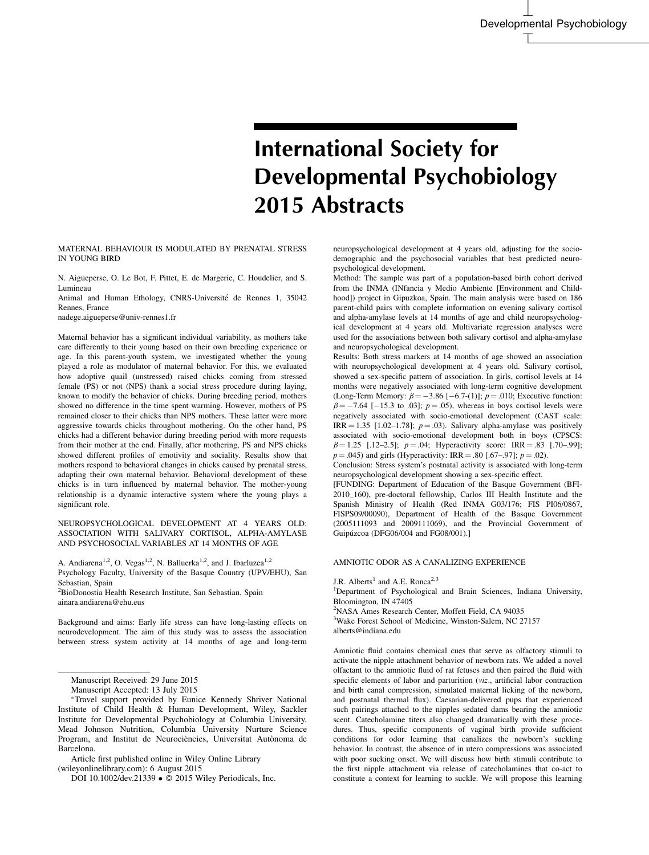# **International Society for<br>Developmental Psychobiology** 2015 Abstracts 2015 Abstracts

MATERNAL BEHAVIOUR IS MODULATED BY PRENATAL STRESS IN YOUNG BIRD

N. Aigueperse, O. Le Bot, F. Pittet, E. de Margerie, C. Houdelier, and S. Lumineau

Animal and Human Ethology, CNRS-Université de Rennes 1, 35042 Rennes, France

nadege.aigueperse@univ-rennes1.fr

Maternal behavior has a significant individual variability, as mothers take care differently to their young based on their own breeding experience or age. In this parent-youth system, we investigated whether the young played a role as modulator of maternal behavior. For this, we evaluated how adoptive quail (unstressed) raised chicks coming from stressed female (PS) or not (NPS) thank a social stress procedure during laying, known to modify the behavior of chicks. During breeding period, mothers showed no difference in the time spent warming. However, mothers of PS remained closer to their chicks than NPS mothers. These latter were more aggressive towards chicks throughout mothering. On the other hand, PS chicks had a different behavior during breeding period with more requests from their mother at the end. Finally, after mothering, PS and NPS chicks showed different profiles of emotivity and sociality. Results show that mothers respond to behavioral changes in chicks caused by prenatal stress, adapting their own maternal behavior. Behavioral development of these chicks is in turn influenced by maternal behavior. The mother-young relationship is a dynamic interactive system where the young plays a significant role.

NEUROPSYCHOLOGICAL DEVELOPMENT AT 4 YEARS OLD: ASSOCIATION WITH SALIVARY CORTISOL, ALPHA-AMYLASE AND PSYCHOSOCIAL VARIABLES AT 14 MONTHS OF AGE

A. Andiarena<sup>1,2</sup>, O. Vegas<sup>1,2</sup>, N. Balluerka<sup>1,2</sup>, and J. Ibarluzea<sup>1,2</sup> Psychology Faculty, University of the Basque Country (UPV/EHU), San

Sebastian, Spain

2 BioDonostia Health Research Institute, San Sebastian, Spain ainara.andiarena@ehu.eus

Background and aims: Early life stress can have long-lasting effects on neurodevelopment. The aim of this study was to assess the association between stress system activity at 14 months of age and long-term

Manuscript Accepted: 13 July 2015

Article first published online in Wiley Online Library

(wileyonlinelibrary.com): 6 August 2015

neuropsychological development at 4 years old, adjusting for the sociodemographic and the psychosocial variables that best predicted neuropsychological development.

Method: The sample was part of a population-based birth cohort derived from the INMA (INfancia y Medio Ambiente [Environment and Childhood]) project in Gipuzkoa, Spain. The main analysis were based on 186 parent-child pairs with complete information on evening salivary cortisol and alpha-amylase levels at 14 months of age and child neuropsychological development at 4 years old. Multivariate regression analyses were used for the associations between both salivary cortisol and alpha-amylase and neuropsychological development.

Results: Both stress markers at 14 months of age showed an association with neuropsychological development at 4 years old. Salivary cortisol, showed a sex-specific pattern of association. In girls, cortisol levels at 14 months were negatively associated with long-term cognitive development (Long-Term Memory:  $\beta = -3.86$  [-6.7-(1)];  $p = .010$ ; Executive function:  $\beta = -7.64$  [-15.3 to .03];  $p = .05$ ), whereas in boys cortisol levels were negatively associated with socio-emotional development (CAST scale: IRR = 1.35 [1.02–1.78];  $p = .03$ ). Salivary alpha-amylase was positively associated with socio-emotional development both in boys (CPSCS:  $\beta = 1.25$  [.12–2.5];  $p = .04$ ; Hyperactivity score: IRR = .83 [.70–.99];  $p = .045$ ) and girls (Hyperactivity: IRR = .80 [.67–.97];  $p = .02$ ).

Conclusion: Stress system's postnatal activity is associated with long-term neuropsychological development showing a sex-specific effect.

[FUNDING: Department of Education of the Basque Government (BFI-2010\_160), pre-doctoral fellowship, Carlos III Health Institute and the Spanish Ministry of Health (Red INMA G03/176; FIS PI06/0867, FISPS09/00090), Department of Health of the Basque Government (2005111093 and 2009111069), and the Provincial Government of Guipuzcoa (DFG06/004 and FG08/001).]

# AMNIOTIC ODOR AS A CANALIZING EXPERIENCE

J.R. Alberts<sup>1</sup> and A.E. Ronca<sup>2,3</sup>

<sup>1</sup>Department of Psychological and Brain Sciences, Indiana University, Bloomington, IN 47405

2 NASA Ames Research Center, Moffett Field, CA 94035

<sup>3</sup>Wake Forest School of Medicine, Winston-Salem, NC 27157 alberts@indiana.edu

Amniotic fluid contains chemical cues that serve as olfactory stimuli to activate the nipple attachment behavior of newborn rats. We added a novel olfactant to the amniotic fluid of rat fetuses and then paired the fluid with specific elements of labor and parturition (viz., artificial labor contraction and birth canal compression, simulated maternal licking of the newborn, and postnatal thermal flux). Caesarian-delivered pups that experienced such pairings attached to the nipples sedated dams bearing the amniotic scent. Catecholamine titers also changed dramatically with these procedures. Thus, specific components of vaginal birth provide sufficient conditions for odor learning that canalizes the newborn's suckling behavior. In contrast, the absence of in utero compressions was associated with poor sucking onset. We will discuss how birth stimuli contribute to the first nipple attachment via release of catecholamines that co-act to constitute a context for learning to suckle. We will propose this learning

Manuscript Received: 29 June 2015

Travel support provided by Eunice Kennedy Shriver National Institute of Child Health & Human Development, Wiley, Sackler Institute for Developmental Psychobiology at Columbia University, Mead Johnson Nutrition, Columbia University Nurture Science Program, and Institut de Neurociències, Universitat Autònoma de Barcelona.

DOI 10.1002/dev.21339  $\bullet$   $\odot$  2015 Wiley Periodicals, Inc.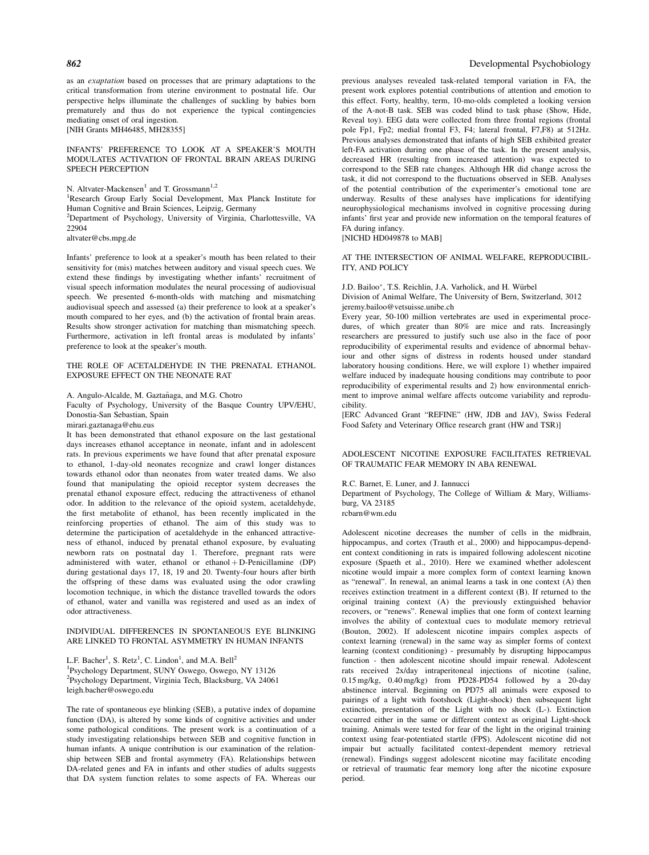as an exaptation based on processes that are primary adaptations to the critical transformation from uterine environment to postnatal life. Our perspective helps illuminate the challenges of suckling by babies born prematurely and thus do not experience the typical contingencies mediating onset of oral ingestion. [NIH Grants MH46485, MH28355]

INFANTS' PREFERENCE TO LOOK AT A SPEAKER'S MOUTH MODULATES ACTIVATION OF FRONTAL BRAIN AREAS DURING SPEECH PERCEPTION

N. Altvater-Mackensen<sup>1</sup> and T. Grossmann<sup>1,2</sup>

<sup>1</sup>Research Group Early Social Development, Max Planck Institute for Human Cognitive and Brain Sciences, Leipzig, Germany

2 Department of Psychology, University of Virginia, Charlottesville, VA 22904

altvater@cbs.mpg.de

Infants' preference to look at a speaker's mouth has been related to their sensitivity for (mis) matches between auditory and visual speech cues. We extend these findings by investigating whether infants' recruitment of visual speech information modulates the neural processing of audiovisual speech. We presented 6-month-olds with matching and mismatching audiovisual speech and assessed (a) their preference to look at a speaker's mouth compared to her eyes, and (b) the activation of frontal brain areas. Results show stronger activation for matching than mismatching speech. Furthermore, activation in left frontal areas is modulated by infants' preference to look at the speaker's mouth.

THE ROLE OF ACETALDEHYDE IN THE PRENATAL ETHANOL EXPOSURE EFFECT ON THE NEONATE RAT

A. Angulo-Alcalde, M. Gaztañaga, and M.G. Chotro

Faculty of Psychology, University of the Basque Country UPV/EHU, Donostia-San Sebastian, Spain

mirari.gaztanaga@ehu.eus

It has been demonstrated that ethanol exposure on the last gestational days increases ethanol acceptance in neonate, infant and in adolescent rats. In previous experiments we have found that after prenatal exposure to ethanol, 1-day-old neonates recognize and crawl longer distances towards ethanol odor than neonates from water treated dams. We also found that manipulating the opioid receptor system decreases the prenatal ethanol exposure effect, reducing the attractiveness of ethanol odor. In addition to the relevance of the opioid system, acetaldehyde, the first metabolite of ethanol, has been recently implicated in the reinforcing properties of ethanol. The aim of this study was to determine the participation of acetaldehyde in the enhanced attractiveness of ethanol, induced by prenatal ethanol exposure, by evaluating newborn rats on postnatal day 1. Therefore, pregnant rats were administered with water, ethanol or ethanol + D-Penicillamine (DP) during gestational days 17, 18, 19 and 20. Twenty-four hours after birth the offspring of these dams was evaluated using the odor crawling locomotion technique, in which the distance travelled towards the odors of ethanol, water and vanilla was registered and used as an index of odor attractiveness.

INDIVIDUAL DIFFERENCES IN SPONTANEOUS EYE BLINKING ARE LINKED TO FRONTAL ASYMMETRY IN HUMAN INFANTS

L.F. Bacher<sup>1</sup>, S. Retz<sup>1</sup>, C. Lindon<sup>1</sup>, and M.A. Bell<sup>2</sup> 1 Psychology Department, SUNY Oswego, Oswego, NY 13126 2 Psychology Department, Virginia Tech, Blacksburg, VA 24061 leigh.bacher@oswego.edu

The rate of spontaneous eye blinking (SEB), a putative index of dopamine function (DA), is altered by some kinds of cognitive activities and under some pathological conditions. The present work is a continuation of a study investigating relationships between SEB and cognitive function in human infants. A unique contribution is our examination of the relationship between SEB and frontal asymmetry (FA). Relationships between DA-related genes and FA in infants and other studies of adults suggests that DA system function relates to some aspects of FA. Whereas our

862 Developmental Psychobiology

previous analyses revealed task-related temporal variation in FA, the present work explores potential contributions of attention and emotion to this effect. Forty, healthy, term, 10-mo-olds completed a looking version of the A-not-B task. SEB was coded blind to task phase (Show, Hide, Reveal toy). EEG data were collected from three frontal regions (frontal pole Fp1, Fp2; medial frontal F3, F4; lateral frontal, F7,F8) at 512Hz. Previous analyses demonstrated that infants of high SEB exhibited greater left-FA activation during one phase of the task. In the present analysis, decreased HR (resulting from increased attention) was expected to correspond to the SEB rate changes. Although HR did change across the task, it did not correspond to the fluctuations observed in SEB. Analyses of the potential contribution of the experimenter's emotional tone are underway. Results of these analyses have implications for identifying neurophysiological mechanisms involved in cognitive processing during infants' first year and provide new information on the temporal features of FA during infancy.

[NICHD HD049878 to MAB]

AT THE INTERSECTION OF ANIMAL WELFARE, REPRODUCIBIL-ITY, AND POLICY

J.D. Bailoo\*, T.S. Reichlin, J.A. Varholick, and H. Würbel

Division of Animal Welfare, The University of Bern, Switzerland, 3012 jeremy.bailoo@vetsuisse.unibe.ch

Every year, 50-100 million vertebrates are used in experimental procedures, of which greater than 80% are mice and rats. Increasingly researchers are pressured to justify such use also in the face of poor reproducibility of experimental results and evidence of abnormal behaviour and other signs of distress in rodents housed under standard laboratory housing conditions. Here, we will explore 1) whether impaired welfare induced by inadequate housing conditions may contribute to poor reproducibility of experimental results and 2) how environmental enrichment to improve animal welfare affects outcome variability and reproducibility.

[ERC Advanced Grant "REFINE" (HW, JDB and JAV), Swiss Federal Food Safety and Veterinary Office research grant (HW and TSR)]

ADOLESCENT NICOTINE EXPOSURE FACILITATES RETRIEVAL OF TRAUMATIC FEAR MEMORY IN ABA RENEWAL

R.C. Barnet, E. Luner, and J. Iannucci

Department of Psychology, The College of William & Mary, Williamsburg, VA 23185 rcbarn@wm.edu

Adolescent nicotine decreases the number of cells in the midbrain, hippocampus, and cortex (Trauth et al., 2000) and hippocampus-dependent context conditioning in rats is impaired following adolescent nicotine exposure (Spaeth et al., 2010). Here we examined whether adolescent nicotine would impair a more complex form of context learning known as "renewal". In renewal, an animal learns a task in one context (A) then receives extinction treatment in a different context (B). If returned to the original training context (A) the previously extinguished behavior recovers, or "renews". Renewal implies that one form of context learning involves the ability of contextual cues to modulate memory retrieval (Bouton, 2002). If adolescent nicotine impairs complex aspects of context learning (renewal) in the same way as simpler forms of context learning (context conditioning) - presumably by disrupting hippocampus function - then adolescent nicotine should impair renewal. Adolescent rats received 2x/day intraperitoneal injections of nicotine (saline, 0.15 mg/kg, 0.40 mg/kg) from PD28-PD54 followed by a 20-day abstinence interval. Beginning on PD75 all animals were exposed to pairings of a light with footshock (Light-shock) then subsequent light extinction, presentation of the Light with no shock (L-). Extinction occurred either in the same or different context as original Light-shock training. Animals were tested for fear of the light in the original training context using fear-potentiated startle (FPS). Adolescent nicotine did not impair but actually facilitated context-dependent memory retrieval (renewal). Findings suggest adolescent nicotine may facilitate encoding or retrieval of traumatic fear memory long after the nicotine exposure period.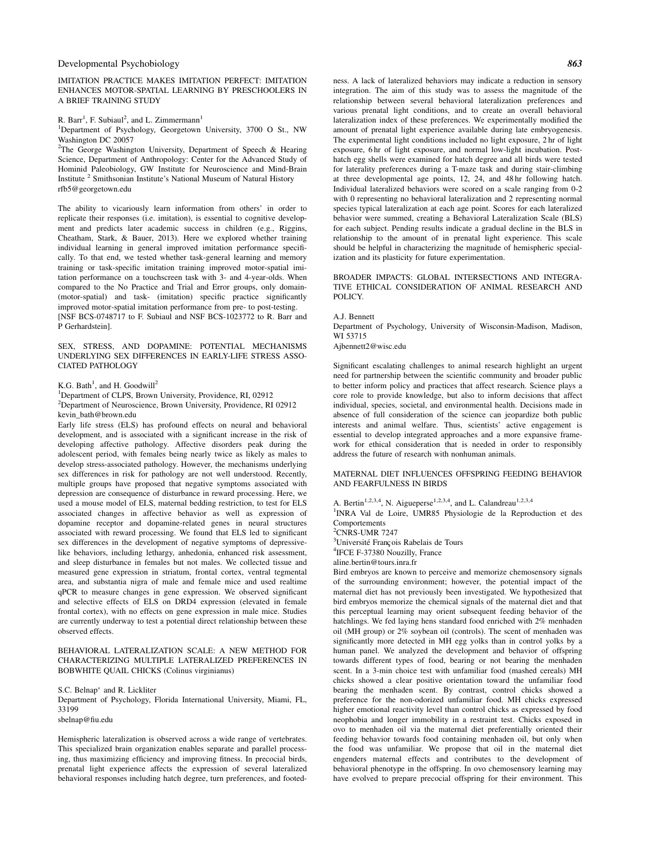IMITATION PRACTICE MAKES IMITATION PERFECT: IMITATION ENHANCES MOTOR-SPATIAL LEARNING BY PRESCHOOLERS IN A BRIEF TRAINING STUDY

R. Barr<sup>1</sup>, F. Subiaul<sup>2</sup>, and L. Zimmermann<sup>1</sup>

1 Department of Psychology, Georgetown University, 3700 O St., NW Washington DC 20057

<sup>2</sup>The George Washington University, Department of Speech & Hearing Science, Department of Anthropology: Center for the Advanced Study of Hominid Paleobiology, GW Institute for Neuroscience and Mind-Brain Institute<sup>2</sup> Smithsonian Institute's National Museum of Natural History rfb5@georgetown.edu

The ability to vicariously learn information from others' in order to replicate their responses (i.e. imitation), is essential to cognitive development and predicts later academic success in children (e.g., Riggins, Cheatham, Stark, & Bauer, 2013). Here we explored whether training individual learning in general improved imitation performance specifically. To that end, we tested whether task-general learning and memory training or task-specific imitation training improved motor-spatial imitation performance on a touchscreen task with 3- and 4-year-olds. When compared to the No Practice and Trial and Error groups, only domain- (motor-spatial) and task- (imitation) specific practice significantly improved motor-spatial imitation performance from pre- to post-testing. [NSF BCS-0748717 to F. Subiaul and NSF BCS-1023772 to R. Barr and

P Gerhardstein].

SEX, STRESS, AND DOPAMINE: POTENTIAL MECHANISMS UNDERLYING SEX DIFFERENCES IN EARLY-LIFE STRESS ASSO-CIATED PATHOLOGY

K.G. Bath<sup>1</sup>, and H. Goodwill<sup>2</sup>

<sup>1</sup>Department of CLPS, Brown University, Providence, RI, 02912 2 Department of Neuroscience, Brown University, Providence, RI 02912 kevin\_bath@brown.edu

Early life stress (ELS) has profound effects on neural and behavioral development, and is associated with a significant increase in the risk of developing affective pathology. Affective disorders peak during the adolescent period, with females being nearly twice as likely as males to develop stress-associated pathology. However, the mechanisms underlying sex differences in risk for pathology are not well understood. Recently, multiple groups have proposed that negative symptoms associated with depression are consequence of disturbance in reward processing. Here, we used a mouse model of ELS, maternal bedding restriction, to test for ELS associated changes in affective behavior as well as expression of dopamine receptor and dopamine-related genes in neural structures associated with reward processing. We found that ELS led to significant sex differences in the development of negative symptoms of depressivelike behaviors, including lethargy, anhedonia, enhanced risk assessment, and sleep disturbance in females but not males. We collected tissue and measured gene expression in striatum, frontal cortex, ventral tegmental area, and substantia nigra of male and female mice and used realtime qPCR to measure changes in gene expression. We observed significant and selective effects of ELS on DRD4 expression (elevated in female frontal cortex), with no effects on gene expression in male mice. Studies are currently underway to test a potential direct relationship between these observed effects.

# BEHAVIORAL LATERALIZATION SCALE: A NEW METHOD FOR CHARACTERIZING MULTIPLE LATERALIZED PREFERENCES IN BOBWHITE QUAIL CHICKS (Colinus virginianus)

S.C. Belnap<sup>\*</sup> and R. Lickliter

Department of Psychology, Florida International University, Miami, FL, 33199

sbelnap@fiu.edu

Hemispheric lateralization is observed across a wide range of vertebrates. This specialized brain organization enables separate and parallel processing, thus maximizing efficiency and improving fitness. In precocial birds, prenatal light experience affects the expression of several lateralized behavioral responses including hatch degree, turn preferences, and footedness. A lack of lateralized behaviors may indicate a reduction in sensory integration. The aim of this study was to assess the magnitude of the relationship between several behavioral lateralization preferences and various prenatal light conditions, and to create an overall behavioral lateralization index of these preferences. We experimentally modified the amount of prenatal light experience available during late embryogenesis. The experimental light conditions included no light exposure, 2 hr of light exposure, 6 hr of light exposure, and normal low-light incubation. Posthatch egg shells were examined for hatch degree and all birds were tested for laterality preferences during a T-maze task and during stair-climbing at three developmental age points, 12, 24, and 48 hr following hatch. Individual lateralized behaviors were scored on a scale ranging from 0-2 with 0 representing no behavioral lateralization and 2 representing normal species typical lateralization at each age point. Scores for each lateralized behavior were summed, creating a Behavioral Lateralization Scale (BLS) for each subject. Pending results indicate a gradual decline in the BLS in relationship to the amount of in prenatal light experience. This scale should be helpful in characterizing the magnitude of hemispheric specialization and its plasticity for future experimentation.

# BROADER IMPACTS: GLOBAL INTERSECTIONS AND INTEGRA-TIVE ETHICAL CONSIDERATION OF ANIMAL RESEARCH AND POLICY.

A.J. Bennett

Department of Psychology, University of Wisconsin-Madison, Madison, WI 53715 Ajbennett2@wisc.edu

Significant escalating challenges to animal research highlight an urgent need for partnership between the scientific community and broader public to better inform policy and practices that affect research. Science plays a core role to provide knowledge, but also to inform decisions that affect individual, species, societal, and environmental health. Decisions made in absence of full consideration of the science can jeopardize both public interests and animal welfare. Thus, scientists' active engagement is essential to develop integrated approaches and a more expansive framework for ethical consideration that is needed in order to responsibly address the future of research with nonhuman animals.

# MATERNAL DIET INFLUENCES OFFSPRING FEEDING BEHAVIOR AND FEARFULNESS IN BIRDS

A. Bertin<sup>1,2,3,4</sup>, N. Aigueperse<sup>1,2,3,4</sup>, and L. Calandreau<sup>1,2,3,4</sup>

<sup>1</sup>INRA Val de Loire, UMR85 Physiologie de la Reproduction et des Comportements

<sup>2</sup>CNRS-UMR 7247

<sup>3</sup>Université François Rabelais de Tours<br><sup>4</sup>UCCE E 37380 Nouzilly France

<sup>4</sup>IFCE F-37380 Nouzilly, France

aline.bertin@tours.inra.fr

Bird embryos are known to perceive and memorize chemosensory signals of the surrounding environment; however, the potential impact of the maternal diet has not previously been investigated. We hypothesized that bird embryos memorize the chemical signals of the maternal diet and that this perceptual learning may orient subsequent feeding behavior of the hatchlings. We fed laying hens standard food enriched with 2% menhaden oil (MH group) or 2% soybean oil (controls). The scent of menhaden was significantly more detected in MH egg yolks than in control yolks by a human panel. We analyzed the development and behavior of offspring towards different types of food, bearing or not bearing the menhaden scent. In a 3-min choice test with unfamiliar food (mashed cereals) MH chicks showed a clear positive orientation toward the unfamiliar food bearing the menhaden scent. By contrast, control chicks showed a preference for the non-odorized unfamiliar food. MH chicks expressed higher emotional reactivity level than control chicks as expressed by food neophobia and longer immobility in a restraint test. Chicks exposed in ovo to menhaden oil via the maternal diet preferentially oriented their feeding behavior towards food containing menhaden oil, but only when the food was unfamiliar. We propose that oil in the maternal diet engenders maternal effects and contributes to the development of behavioral phenotype in the offspring. In ovo chemosensory learning may have evolved to prepare precocial offspring for their environment. This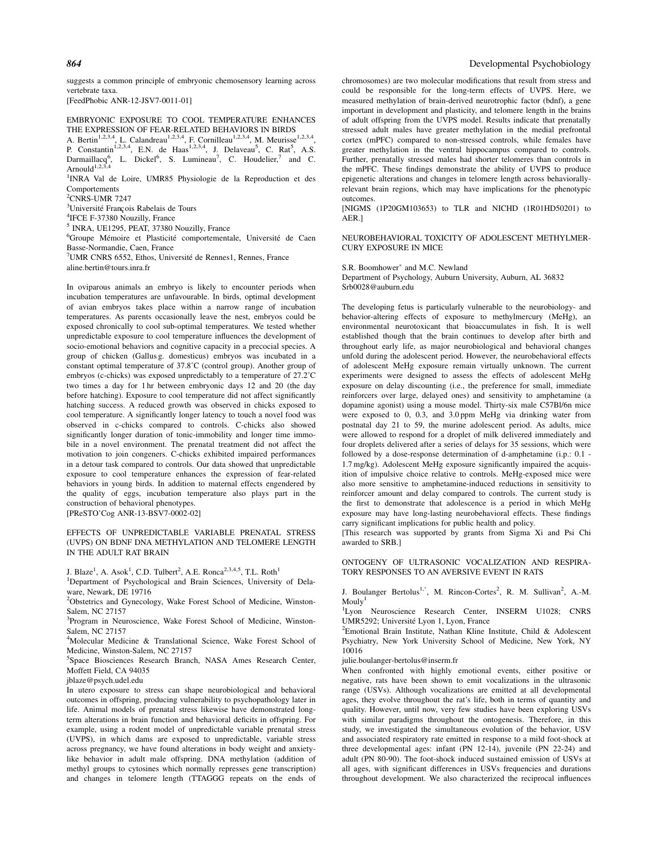suggests a common principle of embryonic chemosensory learning across vertebrate taxa.

[FeedPhobic ANR-12-JSV7-0011-01]

EMBRYONIC EXPOSURE TO COOL TEMPERATURE ENHANCES THE EXPRESSION OF FEAR-RELATED BEHAVIORS IN BIRDS

A. Bertin<sup>1,2,3,4</sup>, L. Calandreau<sup>1,2,3,4</sup>, F. Cornilleau<sup>1,2,3,4</sup>, M. Meurisse<sup>1,2,3,4</sup>, P. Constantin<sup>1,2,3,4</sup>, E.N. de Haas<sup>1,2,3,4</sup>, J. Delaveau<sup>5</sup>, C. Rat<sup>5</sup>, A.S. Darmaillacq<sup>6</sup>, L. Dickel<sup>6</sup>, S. Lumineau<sup>7</sup>, C. Houdelier,<sup>7</sup> and C. Arnould<sup>1,2,3,4</sup>

<sup>1</sup>INRA Val de Loire, UMR85 Physiologie de la Reproduction et des Comportements

<sup>2</sup>CNRS-UMR 7247

<sup>3</sup>Université François Rabelais de Tours<br><sup>4</sup>UCCE E 37380 Nouzilly France

<sup>4</sup>IFCE F-37380 Nouzilly, France

<sup>5</sup> INRA, UE1295, PEAT, 37380 Nouzilly, France

<sup>6</sup>Groupe Mémoire et Plasticité comportementale, Université de Caen Basse-Normandie, Caen, France

<sup>7</sup>UMR CNRS 6552, Ethos, Université de Rennes1, Rennes, France aline.bertin@tours.inra.fr

In oviparous animals an embryo is likely to encounter periods when incubation temperatures are unfavourable. In birds, optimal development of avian embryos takes place within a narrow range of incubation temperatures. As parents occasionally leave the nest, embryos could be exposed chronically to cool sub-optimal temperatures. We tested whether unpredictable exposure to cool temperature influences the development of socio-emotional behaviors and cognitive capacity in a precocial species. A group of chicken (Gallus g. domesticus) embryos was incubated in a constant optimal temperature of 37.8˚C (control group). Another group of embryos (c-chicks) was exposed unpredictably to a temperature of 27.2˚C two times a day for 1 hr between embryonic days 12 and 20 (the day before hatching). Exposure to cool temperature did not affect significantly hatching success. A reduced growth was observed in chicks exposed to cool temperature. A significantly longer latency to touch a novel food was observed in c-chicks compared to controls. C-chicks also showed significantly longer duration of tonic-immobility and longer time immobile in a novel environment. The prenatal treatment did not affect the motivation to join congeners. C-chicks exhibited impaired performances in a detour task compared to controls. Our data showed that unpredictable exposure to cool temperature enhances the expression of fear-related behaviors in young birds. In addition to maternal effects engendered by the quality of eggs, incubation temperature also plays part in the construction of behavioral phenotypes. [PReSTO'Cog ANR-13-BSV7-0002-02]

EFFECTS OF UNPREDICTABLE VARIABLE PRENATAL STRESS (UVPS) ON BDNF DNA METHYLATION AND TELOMERE LENGTH IN THE ADULT RAT BRAIN

J. Blaze<sup>1</sup>, A. Asok<sup>1</sup>, C.D. Tulbert<sup>2</sup>, A.E. Ronca<sup>2,3,4,5</sup>, T.L. Roth<sup>1</sup>

<sup>1</sup>Department of Psychological and Brain Sciences, University of Delaware, Newark, DE 19716

2 Obstetrics and Gynecology, Wake Forest School of Medicine, Winston-Salem, NC 27157

<sup>3</sup>Program in Neuroscience, Wake Forest School of Medicine, Winston-Salem, NC 27157

4 Molecular Medicine & Translational Science, Wake Forest School of Medicine, Winston-Salem, NC 27157

5 Space Biosciences Research Branch, NASA Ames Research Center, Moffett Field, CA 94035

jblaze@psych.udel.edu

In utero exposure to stress can shape neurobiological and behavioral outcomes in offspring, producing vulnerability to psychopathology later in life. Animal models of prenatal stress likewise have demonstrated longterm alterations in brain function and behavioral deficits in offspring. For example, using a rodent model of unpredictable variable prenatal stress (UVPS), in which dams are exposed to unpredictable, variable stress across pregnancy, we have found alterations in body weight and anxietylike behavior in adult male offspring. DNA methylation (addition of methyl groups to cytosines which normally represses gene transcription) and changes in telomere length (TTAGGG repeats on the ends of

chromosomes) are two molecular modifications that result from stress and could be responsible for the long-term effects of UVPS. Here, we measured methylation of brain-derived neurotrophic factor (bdnf), a gene important in development and plasticity, and telomere length in the brains of adult offspring from the UVPS model. Results indicate that prenatally stressed adult males have greater methylation in the medial prefrontal cortex (mPFC) compared to non-stressed controls, while females have greater methylation in the ventral hippocampus compared to controls. Further, prenatally stressed males had shorter telomeres than controls in the mPFC. These findings demonstrate the ability of UVPS to produce epigenetic alterations and changes in telomere length across behaviorallyrelevant brain regions, which may have implications for the phenotypic outcomes.

[NIGMS (1P20GM103653) to TLR and NICHD (1R01HD50201) to AER.]

NEUROBEHAVIORAL TOXICITY OF ADOLESCENT METHYLMER-CURY EXPOSURE IN MICE

S.R. Boomhower\* and M.C. Newland

Department of Psychology, Auburn University, Auburn, AL 36832 Srb0028@auburn.edu

The developing fetus is particularly vulnerable to the neurobiology- and behavior-altering effects of exposure to methylmercury (MeHg), an environmental neurotoxicant that bioaccumulates in fish. It is well established though that the brain continues to develop after birth and throughout early life, as major neurobiological and behavioral changes unfold during the adolescent period. However, the neurobehavioral effects of adolescent MeHg exposure remain virtually unknown. The current experiments were designed to assess the effects of adolescent MeHg exposure on delay discounting (i.e., the preference for small, immediate reinforcers over large, delayed ones) and sensitivity to amphetamine (a dopamine agonist) using a mouse model. Thirty-six male C57Bl/6n mice were exposed to 0, 0.3, and 3.0 ppm MeHg via drinking water from postnatal day 21 to 59, the murine adolescent period. As adults, mice were allowed to respond for a droplet of milk delivered immediately and four droplets delivered after a series of delays for 35 sessions, which were followed by a dose-response determination of d-amphetamine (i.p.: 0.1 - 1.7 mg/kg). Adolescent MeHg exposure significantly impaired the acquisition of impulsive choice relative to controls. MeHg-exposed mice were also more sensitive to amphetamine-induced reductions in sensitivity to reinforcer amount and delay compared to controls. The current study is the first to demonstrate that adolescence is a period in which MeHg exposure may have long-lasting neurobehavioral effects. These findings carry significant implications for public health and policy.

[This research was supported by grants from Sigma Xi and Psi Chi awarded to SRB.]

ONTOGENY OF ULTRASONIC VOCALIZATION AND RESPIRA-TORY RESPONSES TO AN AVERSIVE EVENT IN RATS

J. Boulanger Bertolus<sup>1,\*</sup>, M. Rincon-Cortes<sup>2</sup>, R. M. Sullivan<sup>2</sup>, A.-M.  $Mouly<sup>1</sup>$ 

<sup>1</sup>Lyon Neuroscience Research Center, INSERM U1028; CNRS UMR5292; Université Lyon 1, Lyon, France

<sup>2</sup>Emotional Brain Institute, Nathan Kline Institute, Child & Adolescent Psychiatry, New York University School of Medicine, New York, NY 10016

julie.boulanger-bertolus@inserm.fr

When confronted with highly emotional events, either positive or negative, rats have been shown to emit vocalizations in the ultrasonic range (USVs). Although vocalizations are emitted at all developmental ages, they evolve throughout the rat's life, both in terms of quantity and quality. However, until now, very few studies have been exploring USVs with similar paradigms throughout the ontogenesis. Therefore, in this study, we investigated the simultaneous evolution of the behavior, USV and associated respiratory rate emitted in response to a mild foot-shock at three developmental ages: infant (PN 12-14), juvenile (PN 22-24) and adult (PN 80-90). The foot-shock induced sustained emission of USVs at all ages, with significant differences in USVs frequencies and durations throughout development. We also characterized the reciprocal influences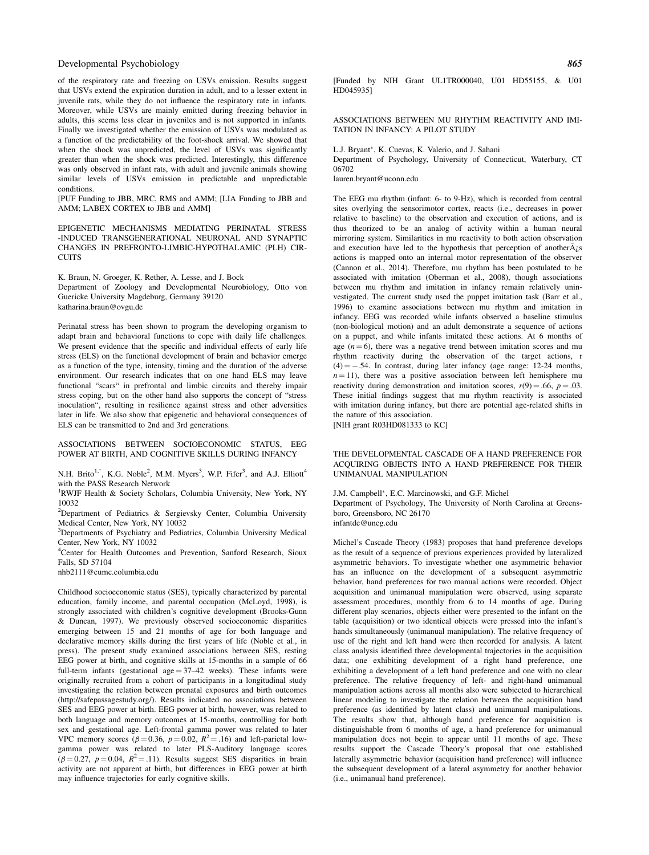of the respiratory rate and freezing on USVs emission. Results suggest that USVs extend the expiration duration in adult, and to a lesser extent in juvenile rats, while they do not influence the respiratory rate in infants. Moreover, while USVs are mainly emitted during freezing behavior in adults, this seems less clear in juveniles and is not supported in infants. Finally we investigated whether the emission of USVs was modulated as a function of the predictability of the foot-shock arrival. We showed that when the shock was unpredicted, the level of USVs was significantly greater than when the shock was predicted. Interestingly, this difference was only observed in infant rats, with adult and juvenile animals showing similar levels of USVs emission in predictable and unpredictable conditions.

[PUF Funding to JBB, MRC, RMS and AMM; [LIA Funding to JBB and AMM; LABEX CORTEX to JBB and AMM]

EPIGENETIC MECHANISMS MEDIATING PERINATAL STRESS -INDUCED TRANSGENERATIONAL NEURONAL AND SYNAPTIC CHANGES IN PREFRONTO-LIMBIC-HYPOTHALAMIC (PLH) CIR-**CUITS** 

K. Braun, N. Groeger, K. Rether, A. Lesse, and J. Bock Department of Zoology and Developmental Neurobiology, Otto von Guericke University Magdeburg, Germany 39120 katharina.braun@ovgu.de

Perinatal stress has been shown to program the developing organism to adapt brain and behavioral functions to cope with daily life challenges. We present evidence that the specific and individual effects of early life stress (ELS) on the functional development of brain and behavior emerge as a function of the type, intensity, timing and the duration of the adverse environment. Our research indicates that on one hand ELS may leave functional "scars" in prefrontal and limbic circuits and thereby impair stress coping, but on the other hand also supports the concept of "stress inoculation", resulting in resilience against stress and other adversities later in life. We also show that epigenetic and behavioral consequences of ELS can be transmitted to 2nd and 3rd generations.

# ASSOCIATIONS BETWEEN SOCIOECONOMIC STATUS, EEG POWER AT BIRTH, AND COGNITIVE SKILLS DURING INFANCY

N.H. Brito<sup>1,\*</sup>, K.G. Noble<sup>2</sup>, M.M. Myers<sup>3</sup>, W.P. Fifer<sup>3</sup>, and A.J. Elliott<sup>4</sup> with the PASS Research Network

1 RWJF Health & Society Scholars, Columbia University, New York, NY 10032

<sup>2</sup>Department of Pediatrics & Sergievsky Center, Columbia University Medical Center, New York, NY 10032

<sup>3</sup>Departments of Psychiatry and Pediatrics, Columbia University Medical Center, New York, NY 10032

4 Center for Health Outcomes and Prevention, Sanford Research, Sioux Falls, SD 57104

nhb2111@cumc.columbia.edu

Childhood socioeconomic status (SES), typically characterized by parental education, family income, and parental occupation (McLoyd, 1998), is strongly associated with children's cognitive development (Brooks-Gunn & Duncan, 1997). We previously observed socioeconomic disparities emerging between 15 and 21 months of age for both language and declarative memory skills during the first years of life (Noble et al., in press). The present study examined associations between SES, resting EEG power at birth, and cognitive skills at 15-months in a sample of 66 full-term infants (gestational age  $= 37-42$  weeks). These infants were originally recruited from a cohort of participants in a longitudinal study investigating the relation between prenatal exposures and birth outcomes ([http://safepassagestudy.org/\)](http://safepassagestudy.org/). Results indicated no associations between SES and EEG power at birth. EEG power at birth, however, was related to both language and memory outcomes at 15-months, controlling for both sex and gestational age. Left-frontal gamma power was related to later VPC memory scores  $(\beta = 0.36, p = 0.02, R^2 = .16)$  and left-parietal lowgamma power was related to later PLS-Auditory language scores  $(\beta = 0.27, p = 0.04, R^2 = .11)$ . Results suggest SES disparities in brain activity are not apparent at birth, but differences in EEG power at birth may influence trajectories for early cognitive skills.

[Funded by NIH Grant UL1TR000040, U01 HD55155, & U01 HD045935]

ASSOCIATIONS BETWEEN MU RHYTHM REACTIVITY AND IMI-TATION IN INFANCY: A PILOT STUDY

L.J. Brvant\*, K. Cuevas, K. Valerio, and J. Sahani Department of Psychology, University of Connecticut, Waterbury, CT 06702

lauren.bryant@uconn.edu

The EEG mu rhythm (infant: 6- to 9-Hz), which is recorded from central sites overlying the sensorimotor cortex, reacts (i.e., decreases in power relative to baseline) to the observation and execution of actions, and is thus theorized to be an analog of activity within a human neural mirroring system. Similarities in mu reactivity to both action observation and execution have led to the hypothesis that perception of another $A_{\lambda}$ s actions is mapped onto an internal motor representation of the observer (Cannon et al., 2014). Therefore, mu rhythm has been postulated to be associated with imitation (Oberman et al., 2008), though associations between mu rhythm and imitation in infancy remain relatively uninvestigated. The current study used the puppet imitation task (Barr et al., 1996) to examine associations between mu rhythm and imitation in infancy. EEG was recorded while infants observed a baseline stimulus (non-biological motion) and an adult demonstrate a sequence of actions on a puppet, and while infants imitated these actions. At 6 months of age  $(n = 6)$ , there was a negative trend between imitation scores and mu rhythm reactivity during the observation of the target actions, r  $(4) = -.54$ . In contrast, during later infancy (age range: 12-24 months,  $n = 11$ ), there was a positive association between left hemisphere mu reactivity during demonstration and imitation scores,  $r(9) = .66$ ,  $p = .03$ . These initial findings suggest that mu rhythm reactivity is associated with imitation during infancy, but there are potential age-related shifts in the nature of this association.

[NIH grant R03HD081333 to KC]

THE DEVELOPMENTAL CASCADE OF A HAND PREFERENCE FOR ACQUIRING OBJECTS INTO A HAND PREFERENCE FOR THEIR UNIMANUAL MANIPULATION

J.M. Campbell\*, E.C. Marcinowski, and G.F. Michel

Department of Psychology, The University of North Carolina at Greensboro, Greensboro, NC 26170 infantde@uncg.edu

Michel's Cascade Theory (1983) proposes that hand preference develops as the result of a sequence of previous experiences provided by lateralized asymmetric behaviors. To investigate whether one asymmetric behavior has an influence on the development of a subsequent asymmetric behavior, hand preferences for two manual actions were recorded. Object acquisition and unimanual manipulation were observed, using separate assessment procedures, monthly from 6 to 14 months of age. During different play scenarios, objects either were presented to the infant on the table (acquisition) or two identical objects were pressed into the infant's hands simultaneously (unimanual manipulation). The relative frequency of use of the right and left hand were then recorded for analysis. A latent class analysis identified three developmental trajectories in the acquisition data; one exhibiting development of a right hand preference, one exhibiting a development of a left hand preference and one with no clear preference. The relative frequency of left- and right-hand unimanual manipulation actions across all months also were subjected to hierarchical linear modeling to investigate the relation between the acquisition hand preference (as identified by latent class) and unimanual manipulations. The results show that, although hand preference for acquisition is distinguishable from 6 months of age, a hand preference for unimanual manipulation does not begin to appear until 11 months of age. These results support the Cascade Theory's proposal that one established laterally asymmetric behavior (acquisition hand preference) will influence the subsequent development of a lateral asymmetry for another behavior (i.e., unimanual hand preference).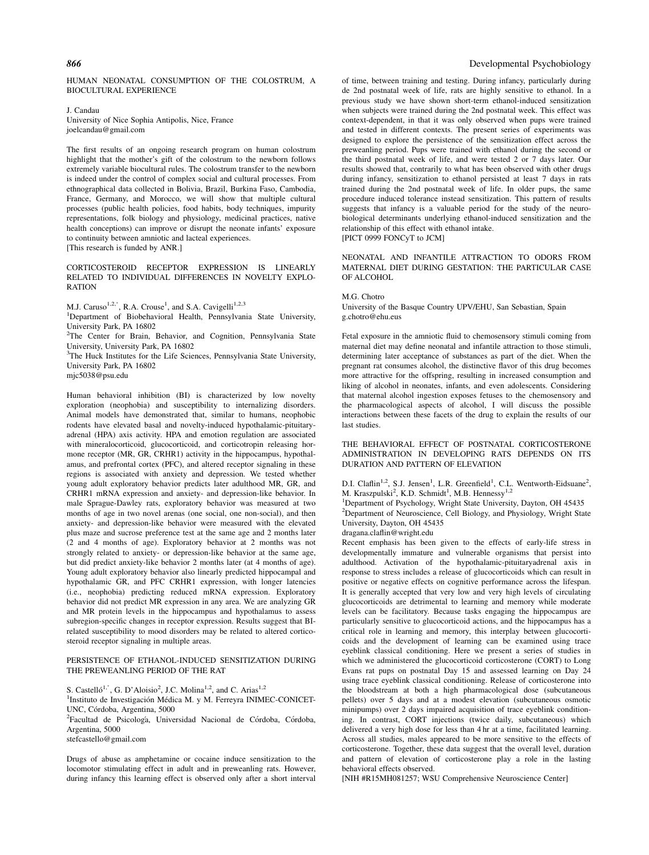HUMAN NEONATAL CONSUMPTION OF THE COLOSTRUM, A BIOCULTURAL EXPERIENCE

J. Candau University of Nice Sophia Antipolis, Nice, France joelcandau@gmail.com

The first results of an ongoing research program on human colostrum highlight that the mother's gift of the colostrum to the newborn follows extremely variable biocultural rules. The colostrum transfer to the newborn is indeed under the control of complex social and cultural processes. From ethnographical data collected in Bolivia, Brazil, Burkina Faso, Cambodia, France, Germany, and Morocco, we will show that multiple cultural processes (public health policies, food habits, body techniques, impurity representations, folk biology and physiology, medicinal practices, native health conceptions) can improve or disrupt the neonate infants' exposure to continuity between amniotic and lacteal experiences. [This research is funded by ANR.]

CORTICOSTEROID RECEPTOR EXPRESSION IS LINEARLY RELATED TO INDIVIDUAL DIFFERENCES IN NOVELTY EXPLO-

M.J. Caruso<sup>1,2,\*</sup>, R.A. Crouse<sup>1</sup>, and S.A. Cavigelli<sup>1,2,3</sup>

<sup>1</sup>Department of Biobehavioral Health, Pennsylvania State University, University Park, PA 16802

<sup>2</sup>The Center for Brain, Behavior, and Cognition, Pennsylvania State University, University Park, PA 16802

<sup>3</sup>The Huck Institutes for the Life Sciences, Pennsylvania State University, University Park, PA 16802

mjc5038@psu.edu

RATION

Human behavioral inhibition (BI) is characterized by low novelty exploration (neophobia) and susceptibility to internalizing disorders. Animal models have demonstrated that, similar to humans, neophobic rodents have elevated basal and novelty-induced hypothalamic-pituitaryadrenal (HPA) axis activity. HPA and emotion regulation are associated with mineralocorticoid, glucocorticoid, and corticotropin releasing hormone receptor (MR, GR, CRHR1) activity in the hippocampus, hypothalamus, and prefrontal cortex (PFC), and altered receptor signaling in these regions is associated with anxiety and depression. We tested whether young adult exploratory behavior predicts later adulthood MR, GR, and CRHR1 mRNA expression and anxiety- and depression-like behavior. In male Sprague-Dawley rats, exploratory behavior was measured at two months of age in two novel arenas (one social, one non-social), and then anxiety- and depression-like behavior were measured with the elevated plus maze and sucrose preference test at the same age and 2 months later (2 and 4 months of age). Exploratory behavior at 2 months was not strongly related to anxiety- or depression-like behavior at the same age, but did predict anxiety-like behavior 2 months later (at 4 months of age). Young adult exploratory behavior also linearly predicted hippocampal and hypothalamic GR, and PFC CRHR1 expression, with longer latencies (i.e., neophobia) predicting reduced mRNA expression. Exploratory behavior did not predict MR expression in any area. We are analyzing GR and MR protein levels in the hippocampus and hypothalamus to assess subregion-specific changes in receptor expression. Results suggest that BIrelated susceptibility to mood disorders may be related to altered corticosteroid receptor signaling in multiple areas.

# PERSISTENCE OF ETHANOL-INDUCED SENSITIZATION DURING THE PREWEANLING PERIOD OF THE RAT

S. Castelló<sup>1,\*</sup>, G. D'Aloisio<sup>2</sup>, J.C. Molina<sup>1,2</sup>, and C. Arias<sup>1,2</sup>

<sup>1</sup>Instituto de Investigación Médica M. y M. Ferreyra INIMEC-CONICET-UNC, Córdoba, Argentina, 5000

<sup>2</sup>Facultad de Psicologa, Universidad Nacional de Córdoba, Córdoba, Argentina, 5000

stefcastello@gmail.com

Drugs of abuse as amphetamine or cocaine induce sensitization to the locomotor stimulating effect in adult and in preweanling rats. However, during infancy this learning effect is observed only after a short interval of time, between training and testing. During infancy, particularly during de 2nd postnatal week of life, rats are highly sensitive to ethanol. In a previous study we have shown short-term ethanol-induced sensitization when subjects were trained during the 2nd postnatal week. This effect was context-dependent, in that it was only observed when pups were trained and tested in different contexts. The present series of experiments was designed to explore the persistence of the sensitization effect across the preweanling period. Pups were trained with ethanol during the second or the third postnatal week of life, and were tested 2 or 7 days later. Our results showed that, contrarily to what has been observed with other drugs during infancy, sensitization to ethanol persisted at least 7 days in rats trained during the 2nd postnatal week of life. In older pups, the same procedure induced tolerance instead sensitization. This pattern of results suggests that infancy is a valuable period for the study of the neurobiological determinants underlying ethanol-induced sensitization and the relationship of this effect with ethanol intake. [PICT 0999 FONCyT to JCM]

NEONATAL AND INFANTILE ATTRACTION TO ODORS FROM MATERNAL DIET DURING GESTATION: THE PARTICULAR CASE OF ALCOHOL

M.G. Chotro

University of the Basque Country UPV/EHU, San Sebastian, Spain g.chotro@ehu.eus

Fetal exposure in the amniotic fluid to chemosensory stimuli coming from maternal diet may define neonatal and infantile attraction to those stimuli, determining later acceptance of substances as part of the diet. When the pregnant rat consumes alcohol, the distinctive flavor of this drug becomes more attractive for the offspring, resulting in increased consumption and liking of alcohol in neonates, infants, and even adolescents. Considering that maternal alcohol ingestion exposes fetuses to the chemosensory and the pharmacological aspects of alcohol, I will discuss the possible interactions between these facets of the drug to explain the results of our last studies.

THE BEHAVIORAL EFFECT OF POSTNATAL CORTICOSTERONE ADMINISTRATION IN DEVELOPING RATS DEPENDS ON ITS DURATION AND PATTERN OF ELEVATION

D.I. Claflin<sup>1,2</sup>, S.J. Jensen<sup>1</sup>, L.R. Greenfield<sup>1</sup>, C.L. Wentworth-Eidsuane<sup>2</sup>, M. Kraszpulski<sup>2</sup>, K.D. Schmidt<sup>1</sup>, M.B. Hennessy<sup>1,2</sup>

<sup>1</sup>Department of Psychology, Wright State University, Dayton, OH 45435

<sup>2</sup>Department of Neuroscience, Cell Biology, and Physiology, Wright State University, Dayton, OH 45435

dragana.claflin@wright.edu

Recent emphasis has been given to the effects of early-life stress in developmentally immature and vulnerable organisms that persist into adulthood. Activation of the hypothalamic-pituitaryadrenal axis in response to stress includes a release of glucocorticoids which can result in positive or negative effects on cognitive performance across the lifespan. It is generally accepted that very low and very high levels of circulating glucocorticoids are detrimental to learning and memory while moderate levels can be facilitatory. Because tasks engaging the hippocampus are particularly sensitive to glucocorticoid actions, and the hippocampus has a critical role in learning and memory, this interplay between glucocorticoids and the development of learning can be examined using trace eyeblink classical conditioning. Here we present a series of studies in which we administered the glucocorticoid corticosterone (CORT) to Long Evans rat pups on postnatal Day 15 and assessed learning on Day 24 using trace eyeblink classical conditioning. Release of corticosterone into the bloodstream at both a high pharmacological dose (subcutaneous pellets) over 5 days and at a modest elevation (subcutaneous osmotic minipumps) over 2 days impaired acquisition of trace eyeblink conditioning. In contrast, CORT injections (twice daily, subcutaneous) which delivered a very high dose for less than 4 hr at a time, facilitated learning. Across all studies, males appeared to be more sensitive to the effects of corticosterone. Together, these data suggest that the overall level, duration and pattern of elevation of corticosterone play a role in the lasting behavioral effects observed.

[NIH #R15MH081257; WSU Comprehensive Neuroscience Center]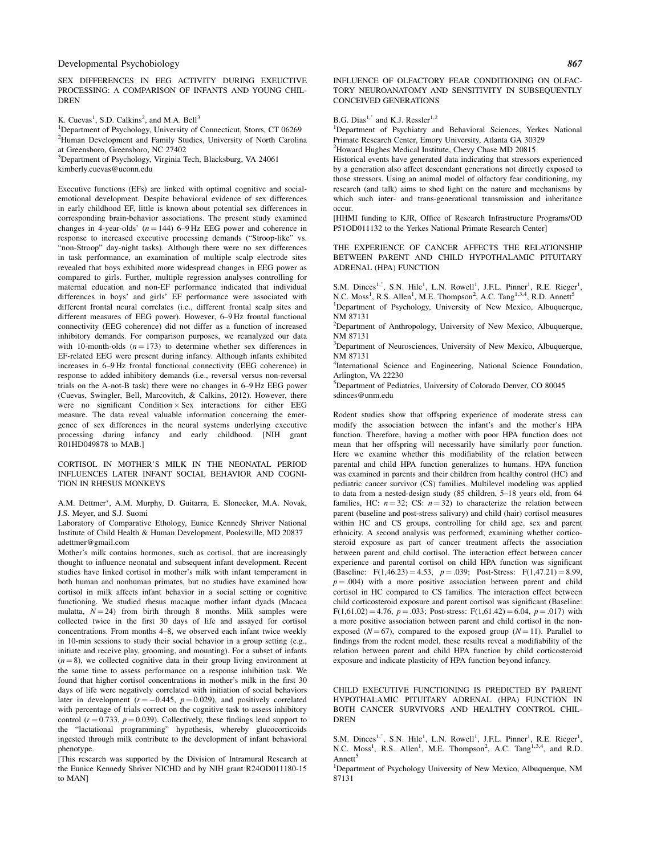SEX DIFFERENCES IN EEG ACTIVITY DURING EXEUCTIVE PROCESSING: A COMPARISON OF INFANTS AND YOUNG CHIL-DREN

K. Cuevas<sup>1</sup>, S.D. Calkins<sup>2</sup>, and M.A. Bell<sup>3</sup>

<sup>1</sup>Department of Psychology, University of Connecticut, Storrs, CT 06269 2 Human Development and Family Studies, University of North Carolina at Greensboro, Greensboro, NC 27402

<sup>3</sup>Department of Psychology, Virginia Tech, Blacksburg, VA 24061 kimberly.cuevas@uconn.edu

Executive functions (EFs) are linked with optimal cognitive and socialemotional development. Despite behavioral evidence of sex differences in early childhood EF, little is known about potential sex differences in corresponding brain-behavior associations. The present study examined changes in 4-year-olds'  $(n = 144)$  6–9 Hz EEG power and coherence in response to increased executive processing demands ("Stroop-like" vs. "non-Stroop" day-night tasks). Although there were no sex differences in task performance, an examination of multiple scalp electrode sites revealed that boys exhibited more widespread changes in EEG power as compared to girls. Further, multiple regression analyses controlling for maternal education and non-EF performance indicated that individual differences in boys' and girls' EF performance were associated with different frontal neural correlates (i.e., different frontal scalp sites and different measures of EEG power). However, 6–9 Hz frontal functional connectivity (EEG coherence) did not differ as a function of increased inhibitory demands. For comparison purposes, we reanalyzed our data with 10-month-olds  $(n = 173)$  to determine whether sex differences in EF-related EEG were present during infancy. Although infants exhibited increases in 6–9 Hz frontal functional connectivity (EEG coherence) in response to added inhibitory demands (i.e., reversal versus non-reversal trials on the A-not-B task) there were no changes in 6–9 Hz EEG power (Cuevas, Swingler, Bell, Marcovitch, & Calkins, 2012). However, there were no significant Condition  $\times$  Sex interactions for either EEG measure. The data reveal valuable information concerning the emergence of sex differences in the neural systems underlying executive processing during infancy and early childhood. [NIH grant R01HD049878 to MAB.]

CORTISOL IN MOTHER'S MILK IN THE NEONATAL PERIOD INFLUENCES LATER INFANT SOCIAL BEHAVIOR AND COGNI-TION IN RHESUS MONKEYS

A.M. Dettmer\*, A.M. Murphy, D. Guitarra, E. Slonecker, M.A. Novak, J.S. Meyer, and S.J. Suomi

Laboratory of Comparative Ethology, Eunice Kennedy Shriver National Institute of Child Health & Human Development, Poolesville, MD 20837 adettmer@gmail.com

Mother's milk contains hormones, such as cortisol, that are increasingly thought to influence neonatal and subsequent infant development. Recent studies have linked cortisol in mother's milk with infant temperament in both human and nonhuman primates, but no studies have examined how cortisol in milk affects infant behavior in a social setting or cognitive functioning. We studied rhesus macaque mother infant dyads (Macaca mulatta,  $N = 24$ ) from birth through 8 months. Milk samples were collected twice in the first 30 days of life and assayed for cortisol concentrations. From months 4–8, we observed each infant twice weekly in 10-min sessions to study their social behavior in a group setting (e.g., initiate and receive play, grooming, and mounting). For a subset of infants  $(n = 8)$ , we collected cognitive data in their group living environment at the same time to assess performance on a response inhibition task. We found that higher cortisol concentrations in mother's milk in the first 30 days of life were negatively correlated with initiation of social behaviors later in development ( $r = -0.445$ ,  $p = 0.029$ ), and positively correlated with percentage of trials correct on the cognitive task to assess inhibitory control ( $r = 0.733$ ,  $p = 0.039$ ). Collectively, these findings lend support to the "lactational programming" hypothesis, whereby glucocorticoids ingested through milk contribute to the development of infant behavioral phenotype.

[This research was supported by the Division of Intramural Research at the Eunice Kennedy Shriver NICHD and by NIH grant R24OD011180-15 to MAN]

B.G. Dias<sup>1,\*</sup> and K.J. Ressler<sup>1,2</sup>

<sup>1</sup>Department of Psychiatry and Behavioral Sciences, Yerkes National Primate Research Center, Emory University, Atlanta GA 30329

<sup>2</sup>Howard Hughes Medical Institute, Chevy Chase MD 20815 Historical events have generated data indicating that stressors experienced by a generation also affect descendant generations not directly exposed to those stressors. Using an animal model of olfactory fear conditioning, my

research (and talk) aims to shed light on the nature and mechanisms by which such inter- and trans-generational transmission and inheritance occur.

[HHMI funding to KJR, Office of Research Infrastructure Programs/OD P51OD011132 to the Yerkes National Primate Research Center]

THE EXPERIENCE OF CANCER AFFECTS THE RELATIONSHIP BETWEEN PARENT AND CHILD HYPOTHALAMIC PITUITARY ADRENAL (HPA) FUNCTION

S.M. Dinces<sup>1,\*</sup>, S.N. Hile<sup>1</sup>, L.N. Rowell<sup>1</sup>, J.F.L. Pinner<sup>1</sup>, R.E. Rieger<sup>1</sup>, N.C. Moss<sup>1</sup>, R.S. Allen<sup>1</sup>, M.E. Thompson<sup>2</sup>, A.C. Tang<sup>1,3,4</sup>, R.D. Annett<sup>5</sup>

<sup>1</sup>Department of Psychology, University of New Mexico, Albuquerque, NM 87131

<sup>2</sup>Department of Anthropology, University of New Mexico, Albuquerque, NM 87131

<sup>3</sup>Department of Neurosciences, University of New Mexico, Albuquerque, NM 87131

4 International Science and Engineering, National Science Foundation, Arlington, VA 22230

5 Department of Pediatrics, University of Colorado Denver, CO 80045 sdinces@unm.edu

Rodent studies show that offspring experience of moderate stress can modify the association between the infant's and the mother's HPA function. Therefore, having a mother with poor HPA function does not mean that her offspring will necessarily have similarly poor function. Here we examine whether this modifiability of the relation between parental and child HPA function generalizes to humans. HPA function was examined in parents and their children from healthy control (HC) and pediatric cancer survivor (CS) families. Multilevel modeling was applied to data from a nested-design study (85 children, 5–18 years old, from 64 families, HC:  $n = 32$ ; CS:  $n = 32$ ) to characterize the relation between parent (baseline and post-stress salivary) and child (hair) cortisol measures within HC and CS groups, controlling for child age, sex and parent ethnicity. A second analysis was performed; examining whether corticosteroid exposure as part of cancer treatment affects the association between parent and child cortisol. The interaction effect between cancer experience and parental cortisol on child HPA function was significant (Baseline: F(1,46.23) = 4.53,  $p = .039$ ; Post-Stress: F(1,47.21) = 8.99,  $p = .004$ ) with a more positive association between parent and child cortisol in HC compared to CS families. The interaction effect between child corticosteroid exposure and parent cortisol was significant (Baseline:  $F(1,61.02) = 4.76$ ,  $p = .033$ ; Post-stress:  $F(1,61.42) = 6.04$ ,  $p = .017$ ) with a more positive association between parent and child cortisol in the nonexposed ( $N = 67$ ), compared to the exposed group ( $N = 11$ ). Parallel to findings from the rodent model, these results reveal a modifiability of the relation between parent and child HPA function by child corticosteroid exposure and indicate plasticity of HPA function beyond infancy.

CHILD EXECUTIVE FUNCTIONING IS PREDICTED BY PARENT HYPOTHALAMIC PITUITARY ADRENAL (HPA) FUNCTION IN BOTH CANCER SURVIVORS AND HEALTHY CONTROL CHIL-DREN

S.M. Dinces<sup>1,\*</sup>, S.N. Hile<sup>1</sup>, L.N. Rowell<sup>1</sup>, J.F.L. Pinner<sup>1</sup>, R.E. Rieger<sup>1</sup>, N.C. Moss<sup>1</sup>, R.S. Allen<sup>1</sup>, M.E. Thompson<sup>2</sup>, A.C. Tang<sup>1,3,4</sup>, and R.D. Annett $^5$ 

<sup>1</sup>Department of Psychology University of New Mexico, Albuquerque, NM 87131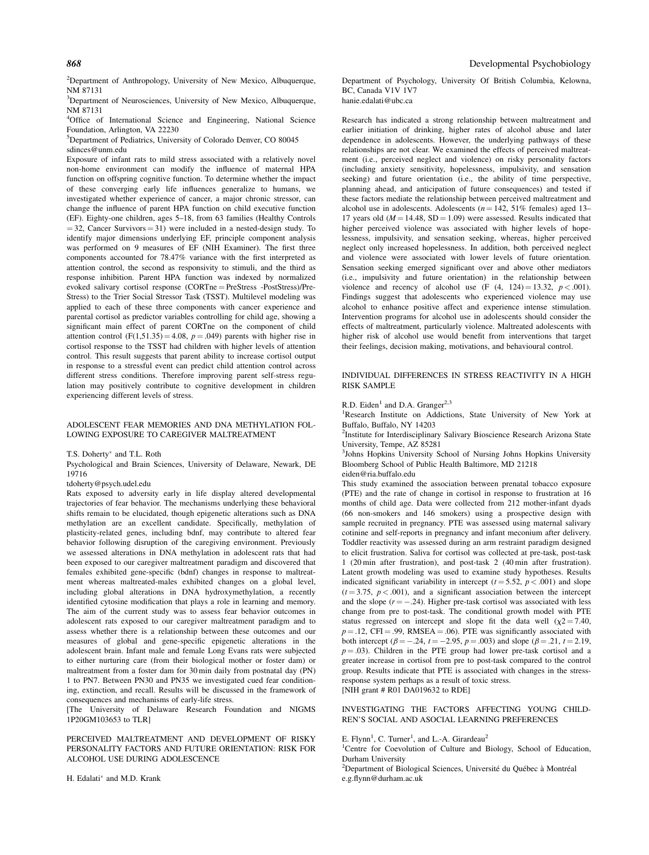<sup>2</sup>Department of Anthropology, University of New Mexico, Albuquerque, NM 87131

<sup>3</sup>Department of Neurosciences, University of New Mexico, Albuquerque, NM 87131

4 Office of International Science and Engineering, National Science Foundation, Arlington, VA 22230

5 Department of Pediatrics, University of Colorado Denver, CO 80045 sdinces@unm.edu

Exposure of infant rats to mild stress associated with a relatively novel non-home environment can modify the influence of maternal HPA function on offspring cognitive function. To determine whether the impact of these converging early life influences generalize to humans, we investigated whether experience of cancer, a major chronic stressor, can change the influence of parent HPA function on child executive function (EF). Eighty-one children, ages 5–18, from 63 families (Healthy Controls  $=$  32, Cancer Survivors  $=$  31) were included in a nested-design study. To identify major dimensions underlying EF, principle component analysis was performed on 9 measures of EF (NIH Examiner). The first three components accounted for 78.47% variance with the first interpreted as attention control, the second as responsivity to stimuli, and the third as response inhibition. Parent HPA function was indexed by normalized evoked salivary cortisol response (CORTne = PreStress -PostStress)/Pre-Stress) to the Trier Social Stressor Task (TSST). Multilevel modeling was applied to each of these three components with cancer experience and parental cortisol as predictor variables controlling for child age, showing a significant main effect of parent CORTne on the component of child attention control  $(F(1,51.35) = 4.08, p = .049)$  parents with higher rise in cortisol response to the TSST had children with higher levels of attention control. This result suggests that parent ability to increase cortisol output in response to a stressful event can predict child attention control across different stress conditions. Therefore improving parent self-stress regulation may positively contribute to cognitive development in children experiencing different levels of stress.

# ADOLESCENT FEAR MEMORIES AND DNA METHYLATION FOL-LOWING EXPOSURE TO CAREGIVER MALTREATMENT

T.S. Doherty<sup>\*</sup> and T.L. Roth

Psychological and Brain Sciences, University of Delaware, Newark, DE 19716

tdoherty@psych.udel.edu

Rats exposed to adversity early in life display altered developmental trajectories of fear behavior. The mechanisms underlying these behavioral shifts remain to be elucidated, though epigenetic alterations such as DNA methylation are an excellent candidate. Specifically, methylation of plasticity-related genes, including bdnf, may contribute to altered fear behavior following disruption of the caregiving environment. Previously we assessed alterations in DNA methylation in adolescent rats that had been exposed to our caregiver maltreatment paradigm and discovered that females exhibited gene-specific (bdnf) changes in response to maltreatment whereas maltreated-males exhibited changes on a global level, including global alterations in DNA hydroxymethylation, a recently identified cytosine modification that plays a role in learning and memory. The aim of the current study was to assess fear behavior outcomes in adolescent rats exposed to our caregiver maltreatment paradigm and to assess whether there is a relationship between these outcomes and our measures of global and gene-specific epigenetic alterations in the adolescent brain. Infant male and female Long Evans rats were subjected to either nurturing care (from their biological mother or foster dam) or maltreatment from a foster dam for 30 min daily from postnatal day (PN) 1 to PN7. Between PN30 and PN35 we investigated cued fear conditioning, extinction, and recall. Results will be discussed in the framework of consequences and mechanisms of early-life stress.

[The University of Delaware Research Foundation and NIGMS 1P20GM103653 to TLR]

PERCEIVED MALTREATMENT AND DEVELOPMENT OF RISKY PERSONALITY FACTORS AND FUTURE ORIENTATION: RISK FOR ALCOHOL USE DURING ADOLESCENCE

H. Edalati\* and M.D. Krank

Department of Psychology, University Of British Columbia, Kelowna, BC, Canada V1V 1V7 hanie.edalati@ubc.ca

Research has indicated a strong relationship between maltreatment and earlier initiation of drinking, higher rates of alcohol abuse and later dependence in adolescents. However, the underlying pathways of these relationships are not clear. We examined the effects of perceived maltreatment (i.e., perceived neglect and violence) on risky personality factors (including anxiety sensitivity, hopelessness, impulsivity, and sensation seeking) and future orientation (i.e., the ability of time perspective, planning ahead, and anticipation of future consequences) and tested if these factors mediate the relationship between perceived maltreatment and alcohol use in adolescents. Adolescents ( $n = 142, 51\%$  females) aged 13– 17 years old  $(M = 14.48, SD = 1.09)$  were assessed. Results indicated that higher perceived violence was associated with higher levels of hopelessness, impulsivity, and sensation seeking, whereas, higher perceived neglect only increased hopelessness. In addition, both perceived neglect and violence were associated with lower levels of future orientation. Sensation seeking emerged significant over and above other mediators (i.e., impulsivity and future orientation) in the relationship between violence and recency of alcohol use  $(F (4, 124) = 13.32, p < .001)$ . Findings suggest that adolescents who experienced violence may use alcohol to enhance positive affect and experience intense stimulation. Intervention programs for alcohol use in adolescents should consider the effects of maltreatment, particularly violence. Maltreated adolescents with higher risk of alcohol use would benefit from interventions that target their feelings, decision making, motivations, and behavioural control.

INDIVIDUAL DIFFERENCES IN STRESS REACTIVITY IN A HIGH RISK SAMPLE

R.D. Eiden<sup>1</sup> and D.A. Granger<sup>2,3</sup>

1 Research Institute on Addictions, State University of New York at Buffalo, Buffalo, NY 14203

<sup>2</sup>Institute for Interdisciplinary Salivary Bioscience Research Arizona State University, Tempe, AZ 85281

<sup>3</sup>Johns Hopkins University School of Nursing Johns Hopkins University Bloomberg School of Public Health Baltimore, MD 21218

eiden@ria.buffalo.edu

This study examined the association between prenatal tobacco exposure (PTE) and the rate of change in cortisol in response to frustration at 16 months of child age. Data were collected from 212 mother-infant dyads (66 non-smokers and 146 smokers) using a prospective design with sample recruited in pregnancy. PTE was assessed using maternal salivary cotinine and self-reports in pregnancy and infant meconium after delivery. Toddler reactivity was assessed during an arm restraint paradigm designed to elicit frustration. Saliva for cortisol was collected at pre-task, post-task 1 (20 min after frustration), and post-task 2 (40 min after frustration). Latent growth modeling was used to examine study hypotheses. Results indicated significant variability in intercept  $(t = 5.52, p < .001)$  and slope  $(t = 3.75, p < .001)$ , and a significant association between the intercept and the slope  $(r = -.24)$ . Higher pre-task cortisol was associated with less change from pre to post-task. The conditional growth model with PTE status regressed on intercept and slope fit the data well  $(\chi^2 = 7.40,$  $p = .12$ , CFI = .99, RMSEA = .06). PTE was significantly associated with both intercept  $(\beta = -0.24, t = -2.95, p = .003)$  and slope  $(\beta = 0.21, t = 2.19,$  $p = .03$ ). Children in the PTE group had lower pre-task cortisol and a greater increase in cortisol from pre to post-task compared to the control group. Results indicate that PTE is associated with changes in the stressresponse system perhaps as a result of toxic stress. [NIH grant # R01 DA019632 to RDE]

INVESTIGATING THE FACTORS AFFECTING YOUNG CHILD-REN'S SOCIAL AND ASOCIAL LEARNING PREFERENCES

E. Flynn<sup>1</sup>, C. Turner<sup>1</sup>, and L.-A. Girardeau<sup>2</sup>

<sup>1</sup>Centre for Coevolution of Culture and Biology, School of Education, Durham University

<sup>2</sup>Department of Biological Sciences, Université du Québec à Montréal e.g.flynn@durham.ac.uk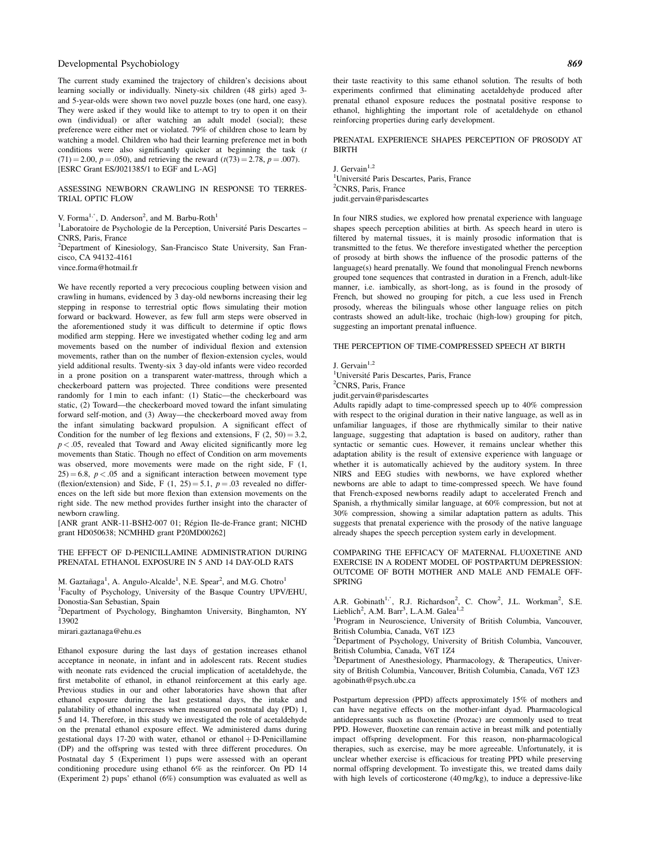The current study examined the trajectory of children's decisions about learning socially or individually. Ninety-six children (48 girls) aged 3 and 5-year-olds were shown two novel puzzle boxes (one hard, one easy). They were asked if they would like to attempt to try to open it on their own (individual) or after watching an adult model (social); these preference were either met or violated. 79% of children chose to learn by watching a model. Children who had their learning preference met in both conditions were also significantly quicker at beginning the task  $(t)$  $(71) = 2.00, p = .050$ , and retrieving the reward  $(t(73) = 2.78, p = .007)$ . [ESRC Grant ES/J021385/1 to EGF and L-AG]

ASSESSING NEWBORN CRAWLING IN RESPONSE TO TERRES-TRIAL OPTIC FLOW

V. Forma<sup>1,\*</sup>, D. Anderson<sup>2</sup>, and M. Barbu-Roth<sup>1</sup>

<sup>1</sup>Laboratoire de Psychologie de la Perception, Université Paris Descartes -CNRS, Paris, France

<sup>2</sup>Department of Kinesiology, San-Francisco State University, San Francisco, CA 94132-4161

vince.forma@hotmail.fr

We have recently reported a very precocious coupling between vision and crawling in humans, evidenced by 3 day-old newborns increasing their leg stepping in response to terrestrial optic flows simulating their motion forward or backward. However, as few full arm steps were observed in the aforementioned study it was difficult to determine if optic flows modified arm stepping. Here we investigated whether coding leg and arm movements based on the number of individual flexion and extension movements, rather than on the number of flexion-extension cycles, would yield additional results. Twenty-six 3 day-old infants were video recorded in a prone position on a transparent water-mattress, through which a checkerboard pattern was projected. Three conditions were presented randomly for 1 min to each infant: (1) Static—the checkerboard was static, (2) Toward—the checkerboard moved toward the infant simulating forward self-motion, and (3) Away—the checkerboard moved away from the infant simulating backward propulsion. A significant effect of Condition for the number of leg flexions and extensions,  $F(2, 50) = 3.2$ ,  $p < .05$ , revealed that Toward and Away elicited significantly more leg movements than Static. Though no effect of Condition on arm movements was observed, more movements were made on the right side, F (1,  $25 = 6.8$ ,  $p < .05$  and a significant interaction between movement type (flexion/extension) and Side, F (1, 25) = 5.1,  $p = .03$  revealed no differences on the left side but more flexion than extension movements on the right side. The new method provides further insight into the character of newborn crawling.

[ANR grant ANR-11-BSH2-007 01; Region Ile-de-France grant; NICHD grant HD050638; NCMHHD grant P20MD00262]

# THE EFFECT OF D-PENICILLAMINE ADMINISTRATION DURING PRENATAL ETHANOL EXPOSURE IN 5 AND 14 DAY-OLD RATS

M. Gaztañaga<sup>1</sup>, A. Angulo-Alcalde<sup>1</sup>, N.E. Spear<sup>2</sup>, and M.G. Chotro<sup>1</sup> 1 Faculty of Psychology, University of the Basque Country UPV/EHU,

Donostia-San Sebastian, Spain

2 Department of Psychology, Binghamton University, Binghamton, NY 13902

mirari.gaztanaga@ehu.es

Ethanol exposure during the last days of gestation increases ethanol acceptance in neonate, in infant and in adolescent rats. Recent studies with neonate rats evidenced the crucial implication of acetaldehyde, the first metabolite of ethanol, in ethanol reinforcement at this early age. Previous studies in our and other laboratories have shown that after ethanol exposure during the last gestational days, the intake and palatability of ethanol increases when measured on postnatal day (PD) 1, 5 and 14. Therefore, in this study we investigated the role of acetaldehyde on the prenatal ethanol exposure effect. We administered dams during gestational days 17-20 with water, ethanol or ethanol + D-Penicillamine (DP) and the offspring was tested with three different procedures. On Postnatal day 5 (Experiment 1) pups were assessed with an operant conditioning procedure using ethanol 6% as the reinforcer. On PD 14 (Experiment 2) pups' ethanol (6%) consumption was evaluated as well as their taste reactivity to this same ethanol solution. The results of both experiments confirmed that eliminating acetaldehyde produced after prenatal ethanol exposure reduces the postnatal positive response to ethanol, highlighting the important role of acetaldehyde on ethanol reinforcing properties during early development.

# PRENATAL EXPERIENCE SHAPES PERCEPTION OF PROSODY AT BIRTH

J. Gervain $1,2$ <sup>1</sup>Université Paris Descartes, Paris, France  ${}^{2}CNDS$ , Paris, France <sup>2</sup>CNRS, Paris, France judit.gervain@parisdescartes

In four NIRS studies, we explored how prenatal experience with language shapes speech perception abilities at birth. As speech heard in utero is filtered by maternal tissues, it is mainly prosodic information that is transmitted to the fetus. We therefore investigated whether the perception of prosody at birth shows the influence of the prosodic patterns of the language(s) heard prenatally. We found that monolingual French newborns grouped tone sequences that contrasted in duration in a French, adult-like manner, i.e. iambically, as short-long, as is found in the prosody of French, but showed no grouping for pitch, a cue less used in French prosody, whereas the bilinguals whose other language relies on pitch contrasts showed an adult-like, trochaic (high-low) grouping for pitch, suggesting an important prenatal influence.

# THE PERCEPTION OF TIME-COMPRESSED SPEECH AT BIRTH

J. Gervain<sup>1,2</sup>

<sup>1</sup>Université Paris Descartes, Paris, France  ${}^{2}CNDS$ , Paris, France

<sup>2</sup>CNRS, Paris, France

judit.gervain@parisdescartes

Adults rapidly adapt to time-compressed speech up to 40% compression with respect to the original duration in their native language, as well as in unfamiliar languages, if those are rhythmically similar to their native language, suggesting that adaptation is based on auditory, rather than syntactic or semantic cues. However, it remains unclear whether this adaptation ability is the result of extensive experience with language or whether it is automatically achieved by the auditory system. In three NIRS and EEG studies with newborns, we have explored whether newborns are able to adapt to time-compressed speech. We have found that French-exposed newborns readily adapt to accelerated French and Spanish, a rhythmically similar language, at 60% compression, but not at 30% compression, showing a similar adaptation pattern as adults. This suggests that prenatal experience with the prosody of the native language already shapes the speech perception system early in development.

COMPARING THE EFFICACY OF MATERNAL FLUOXETINE AND EXERCISE IN A RODENT MODEL OF POSTPARTUM DEPRESSION: OUTCOME OF BOTH MOTHER AND MALE AND FEMALE OFF-SPRING

A.R. Gobinath<sup>1,\*</sup>, R.J. Richardson<sup>2</sup>, C. Chow<sup>2</sup>, J.L. Workman<sup>2</sup>, S.E. Lieblich<sup>2</sup>, A.M. Barr<sup>3</sup>, L.A.M. Galea<sup>1,2</sup>

<sup>1</sup>Program in Neuroscience, University of British Columbia, Vancouver, British Columbia, Canada, V6T 1Z3

<sup>2</sup>Department of Psychology, University of British Columbia, Vancouver, British Columbia, Canada, V6T 1Z4

<sup>3</sup>Department of Anesthesiology, Pharmacology, & Therapeutics, University of British Columbia, Vancouver, British Columbia, Canada, V6T 1Z3 agobinath@psych.ubc.ca

Postpartum depression (PPD) affects approximately 15% of mothers and can have negative effects on the mother-infant dyad. Pharmacological antidepressants such as fluoxetine (Prozac) are commonly used to treat PPD. However, fluoxetine can remain active in breast milk and potentially impact offspring development. For this reason, non-pharmacological therapies, such as exercise, may be more agreeable. Unfortunately, it is unclear whether exercise is efficacious for treating PPD while preserving normal offspring development. To investigate this, we treated dams daily with high levels of corticosterone (40 mg/kg), to induce a depressive-like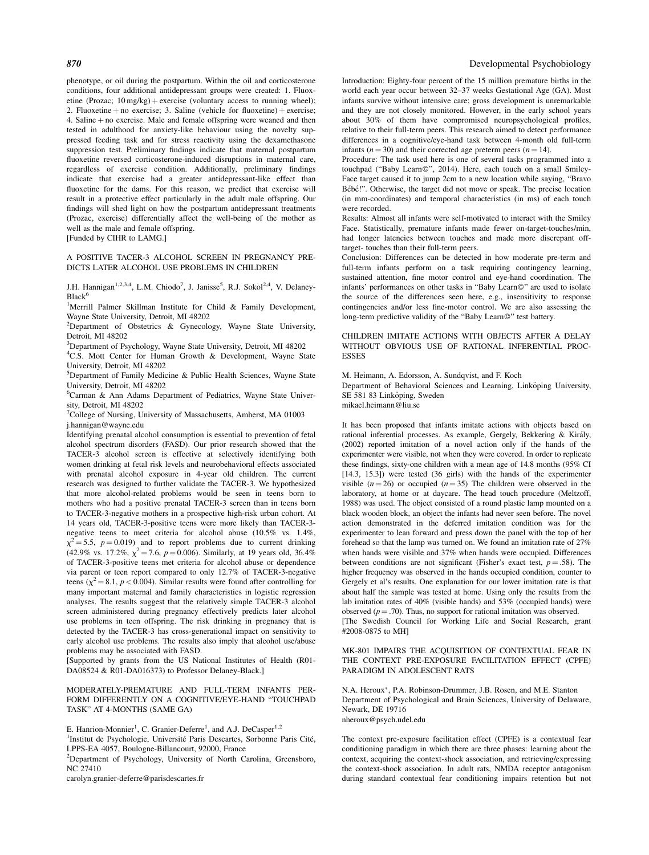phenotype, or oil during the postpartum. Within the oil and corticosterone conditions, four additional antidepressant groups were created: 1. Fluoxetine (Prozac;  $10 \text{ mg/kg}$ ) + exercise (voluntary access to running wheel); 2. Fluoxetine  $+$  no exercise; 3. Saline (vehicle for fluoxetine)  $+$  exercise; 4. Saline  $+$  no exercise. Male and female offspring were weaned and then tested in adulthood for anxiety-like behaviour using the novelty suppressed feeding task and for stress reactivity using the dexamethasone suppression test. Preliminary findings indicate that maternal postpartum fluoxetine reversed corticosterone-induced disruptions in maternal care, regardless of exercise condition. Additionally, preliminary findings indicate that exercise had a greater antidepressant-like effect than fluoxetine for the dams. For this reason, we predict that exercise will result in a protective effect particularly in the adult male offspring. Our findings will shed light on how the postpartum antidepressant treatments (Prozac, exercise) differentially affect the well-being of the mother as well as the male and female offspring.

[Funded by CIHR to LAMG.]

# A POSITIVE TACER-3 ALCOHOL SCREEN IN PREGNANCY PRE-DICTS LATER ALCOHOL USE PROBLEMS IN CHILDREN

J.H. Hannigan<sup>1,2,3,4</sup>, L.M. Chiodo<sup>7</sup>, J. Janisse<sup>5</sup>, R.J. Sokol<sup>2,4</sup>, V. Delaney-Black<sup>6</sup>

<sup>1</sup>Merrill Palmer Skillman Institute for Child & Family Development, Wayne State University, Detroit, MI 48202

<sup>2</sup>Department of Obstetrics & Gynecology, Wayne State University, Detroit, MI 48202

<sup>3</sup>Department of Psychology, Wayne State University, Detroit, MI 48202

4 C.S. Mott Center for Human Growth & Development, Wayne State University, Detroit, MI 48202

5 Department of Family Medicine & Public Health Sciences, Wayne State University, Detroit, MI 48202

6 Carman & Ann Adams Department of Pediatrics, Wayne State University, Detroit, MI 48202

<sup>7</sup>College of Nursing, University of Massachusetts, Amherst, MA 01003 j.hannigan@wayne.edu

Identifying prenatal alcohol consumption is essential to prevention of fetal alcohol spectrum disorders (FASD). Our prior research showed that the TACER-3 alcohol screen is effective at selectively identifying both women drinking at fetal risk levels and neurobehavioral effects associated with prenatal alcohol exposure in 4-year old children. The current research was designed to further validate the TACER-3. We hypothesized that more alcohol-related problems would be seen in teens born to mothers who had a positive prenatal TACER-3 screen than in teens born to TACER-3-negative mothers in a prospective high-risk urban cohort. At 14 years old, TACER-3-positive teens were more likely than TACER-3 negative teens to meet criteria for alcohol abuse (10.5% vs. 1.4%,  $\chi^2$  = 5.5, p = 0.019) and to report problems due to current drinking (42.9% vs. 17.2%,  $\chi^2$  = 7.6, p = 0.006). Similarly, at 19 years old, 36.4% of TACER-3-positive teens met criteria for alcohol abuse or dependence via parent or teen report compared to only 12.7% of TACER-3-negative teens ( $\chi^2$  = 8.1, p < 0.004). Similar results were found after controlling for many important maternal and family characteristics in logistic regression analyses. The results suggest that the relatively simple TACER-3 alcohol screen administered during pregnancy effectively predicts later alcohol use problems in teen offspring. The risk drinking in pregnancy that is detected by the TACER-3 has cross-generational impact on sensitivity to early alcohol use problems. The results also imply that alcohol use/abuse problems may be associated with FASD.

[Supported by grants from the US National Institutes of Health (R01- DA08524 & R01-DA016373) to Professor Delaney-Black.]

# MODERATELY-PREMATURE AND FULL-TERM INFANTS PER-FORM DIFFERENTLY ON A COGNITIVE/EYE-HAND "TOUCHPAD TASK" AT 4-MONTHS (SAME GA)

E. Hanrion-Monnier<sup>1</sup>, C. Granier-Deferre<sup>1</sup>, and A.J. DeCasper<sup>1,2</sup>

<sup>1</sup>Institut de Psychologie, Université Paris Descartes, Sorbonne Paris Cité, LPPS-EA 4057, Boulogne-Billancourt, 92000, France

2 Department of Psychology, University of North Carolina, Greensboro, NC 27410

carolyn.granier-deferre@parisdescartes.fr

# 870 Developmental Psychobiology

Introduction: Eighty-four percent of the 15 million premature births in the world each year occur between 32–37 weeks Gestational Age (GA). Most infants survive without intensive care; gross development is unremarkable and they are not closely monitored. However, in the early school years about 30% of them have compromised neuropsychological profiles, relative to their full-term peers. This research aimed to detect performance differences in a cognitive/eye-hand task between 4-month old full-term infants ( $n = 30$ ) and their corrected age preterm peers ( $n = 14$ ).

Procedure: The task used here is one of several tasks programmed into a touchpad ("Baby Learn@", 2014). Here, each touch on a small Smiley-Face target caused it to jump 2cm to a new location while saying, "Bravo Bébé!". Otherwise, the target did not move or speak. The precise location (in mm-coordinates) and temporal characteristics (in ms) of each touch were recorded.

Results: Almost all infants were self-motivated to interact with the Smiley Face. Statistically, premature infants made fewer on-target-touches/min, had longer latencies between touches and made more discrepant offtarget- touches than their full-term peers.

Conclusion: Differences can be detected in how moderate pre-term and full-term infants perform on a task requiring contingency learning, sustained attention, fine motor control and eye-hand coordination. The infants' performances on other tasks in "Baby Learn@" are used to isolate the source of the differences seen here, e.g., insensitivity to response contingencies and/or less fine-motor control. We are also assessing the long-term predictive validity of the "Baby Learn@" test battery.

CHILDREN IMITATE ACTIONS WITH OBJECTS AFTER A DELAY WITHOUT OBVIOUS USE OF RATIONAL INFERENTIAL PROC-ESSES

M. Heimann, A. Edorsson, A. Sundqvist, and F. Koch

Department of Behavioral Sciences and Learning, Linköping University, SE 581 83 Linköping, Sweden mikael.heimann@liu.se

It has been proposed that infants imitate actions with objects based on rational inferential processes. As example, Gergely, Bekkering & Kiraly, (2002) reported imitation of a novel action only if the hands of the experimenter were visible, not when they were covered. In order to replicate these findings, sixty-one children with a mean age of 14.8 months (95% CI [14.3, 15.3]) were tested (36 girls) with the hands of the experimenter visible  $(n = 26)$  or occupied  $(n = 35)$  The children were observed in the laboratory, at home or at daycare. The head touch procedure (Meltzoff, 1988) was used. The object consisted of a round plastic lamp mounted on a black wooden block, an object the infants had never seen before. The novel action demonstrated in the deferred imitation condition was for the experimenter to lean forward and press down the panel with the top of her forehead so that the lamp was turned on. We found an imitation rate of 27% when hands were visible and 37% when hands were occupied. Differences between conditions are not significant (Fisher's exact test,  $p = .58$ ). The higher frequency was observed in the hands occupied condition, counter to Gergely et al's results. One explanation for our lower imitation rate is that about half the sample was tested at home. Using only the results from the lab imitation rates of 40% (visible hands) and 53% (occupied hands) were observed ( $p = .70$ ). Thus, no support for rational imitation was observed. [The Swedish Council for Working Life and Social Research, grant #2008-0875 to MH]

MK-801 IMPAIRS THE ACQUISITION OF CONTEXTUAL FEAR IN THE CONTEXT PRE-EXPOSURE FACILITATION EFFECT (CPFE) PARADIGM IN ADOLESCENT RATS

N.A. Heroux\*, P.A. Robinson-Drummer, J.B. Rosen, and M.E. Stanton Department of Psychological and Brain Sciences, University of Delaware, Newark, DE 19716 nheroux@psych.udel.edu

The context pre-exposure facilitation effect (CPFE) is a contextual fear conditioning paradigm in which there are three phases: learning about the context, acquiring the context-shock association, and retrieving/expressing the context-shock association. In adult rats, NMDA receptor antagonism during standard contextual fear conditioning impairs retention but not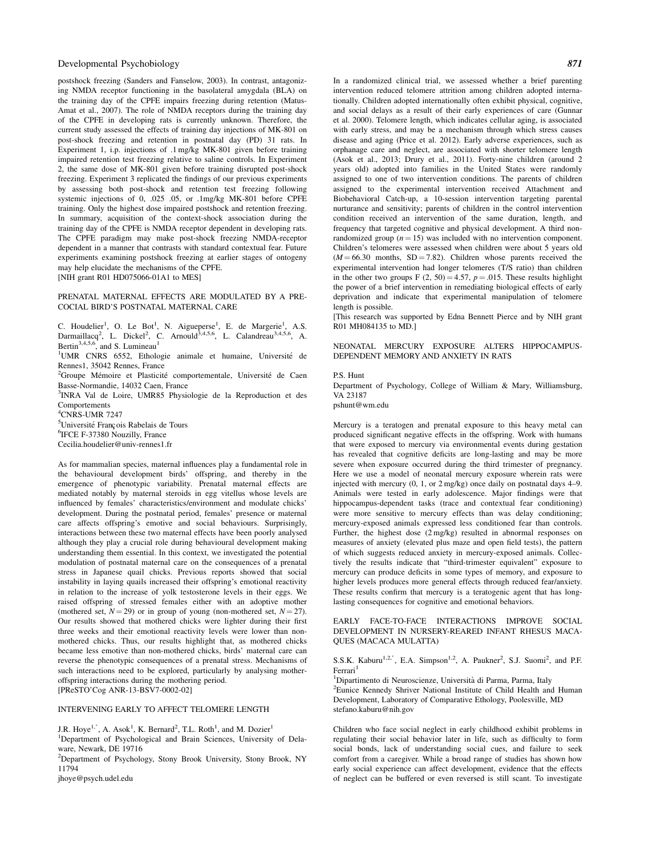postshock freezing (Sanders and Fanselow, 2003). In contrast, antagonizing NMDA receptor functioning in the basolateral amygdala (BLA) on the training day of the CPFE impairs freezing during retention (Matus-Amat et al., 2007). The role of NMDA receptors during the training day of the CPFE in developing rats is currently unknown. Therefore, the current study assessed the effects of training day injections of MK-801 on post-shock freezing and retention in postnatal day (PD) 31 rats. In Experiment 1, i.p. injections of .1 mg/kg MK-801 given before training impaired retention test freezing relative to saline controls. In Experiment 2, the same dose of MK-801 given before training disrupted post-shock freezing. Experiment 3 replicated the findings of our previous experiments by assessing both post-shock and retention test freezing following systemic injections of 0, .025 .05, or .1mg/kg MK-801 before CPFE training. Only the highest dose impaired postshock and retention freezing. In summary, acquisition of the context-shock association during the training day of the CPFE is NMDA receptor dependent in developing rats. The CPFE paradigm may make post-shock freezing NMDA-receptor dependent in a manner that contrasts with standard contextual fear. Future experiments examining postshock freezing at earlier stages of ontogeny may help elucidate the mechanisms of the CPFE. [NIH grant R01 HD075066-01A1 to MES]

# PRENATAL MATERNAL EFFECTS ARE MODULATED BY A PRE-COCIAL BIRD'S POSTNATAL MATERNAL CARE

C. Houdelier<sup>1</sup>, O. Le Bot<sup>1</sup>, N. Aigueperse<sup>1</sup>, E. de Margerie<sup>1</sup>, A.S.<br>Darmaillacq<sup>2</sup>, L. Dickel<sup>2</sup>, C. Arnould<sup>3,4,5,6</sup>, L. Calandreau<sup>3,4,5,6</sup>, A. Bertin<sup>3,4,5,6</sup>, and S. Lumineau<sup>1</sup>

<sup>1</sup>UMR CNRS 6552, Ethologie animale et humaine, Université de Rennes1, 35042 Rennes, France

<sup>2</sup>Groupe Mémoire et Plasticité comportementale, Université de Caen Basse-Normandie, 14032 Caen, France

<sup>3</sup>INRA Val de Loire, UMR85 Physiologie de la Reproduction et des Comportements

4 CNRS-UMR 7247 <sup>5</sup>Université François Rabelais de Tours<br><sup>6</sup>UCCE E 37380 Nouzilly France <sup>6</sup>IFCE F-37380 Nouzilly, France

Cecilia.houdelier@univ-rennes1.fr

As for mammalian species, maternal influences play a fundamental role in the behavioural development birds' offspring, and thereby in the emergence of phenotypic variability. Prenatal maternal effects are mediated notably by maternal steroids in egg vitellus whose levels are influenced by females' characteristics/environment and modulate chicks' development. During the postnatal period, females' presence or maternal care affects offspring's emotive and social behaviours. Surprisingly, interactions between these two maternal effects have been poorly analysed although they play a crucial role during behavioural development making understanding them essential. In this context, we investigated the potential modulation of postnatal maternal care on the consequences of a prenatal stress in Japanese quail chicks. Previous reports showed that social instability in laying quails increased their offspring's emotional reactivity in relation to the increase of yolk testosterone levels in their eggs. We raised offspring of stressed females either with an adoptive mother (mothered set,  $N = 29$ ) or in group of young (non-mothered set,  $N = 27$ ). Our results showed that mothered chicks were lighter during their first three weeks and their emotional reactivity levels were lower than nonmothered chicks. Thus, our results highlight that, as mothered chicks became less emotive than non-mothered chicks, birds' maternal care can reverse the phenotypic consequences of a prenatal stress. Mechanisms of such interactions need to be explored, particularly by analysing motheroffspring interactions during the mothering period. [PReSTO'Cog ANR-13-BSV7-0002-02]

# INTERVENING EARLY TO AFFECT TELOMERE LENGTH

J.R. Hoye<sup>1,\*</sup>, A. Asok<sup>1</sup>, K. Bernard<sup>2</sup>, T.L. Roth<sup>1</sup>, and M. Dozier<sup>1</sup> <sup>1</sup>Department of Psychological and Brain Sciences, University of Delaware, Newark, DE 19716

2 Department of Psychology, Stony Brook University, Stony Brook, NY 11794

jhoye@psych.udel.edu

In a randomized clinical trial, we assessed whether a brief parenting intervention reduced telomere attrition among children adopted internationally. Children adopted internationally often exhibit physical, cognitive, and social delays as a result of their early experiences of care (Gunnar et al. 2000). Telomere length, which indicates cellular aging, is associated with early stress, and may be a mechanism through which stress causes disease and aging (Price et al. 2012). Early adverse experiences, such as orphanage care and neglect, are associated with shorter telomere length (Asok et al., 2013; Drury et al., 2011). Forty-nine children (around 2 years old) adopted into families in the United States were randomly assigned to one of two intervention conditions. The parents of children assigned to the experimental intervention received Attachment and Biobehavioral Catch-up, a 10-session intervention targeting parental nurturance and sensitivity; parents of children in the control intervention condition received an intervention of the same duration, length, and frequency that targeted cognitive and physical development. A third nonrandomized group  $(n = 15)$  was included with no intervention component. Children's telomeres were assessed when children were about 5 years old  $(M = 66.30$  months,  $SD = 7.82$ ). Children whose parents received the experimental intervention had longer telomeres (T/S ratio) than children in the other two groups F (2, 50) = 4.57,  $p = .015$ . These results highlight the power of a brief intervention in remediating biological effects of early

length is possible. [This research was supported by Edna Bennett Pierce and by NIH grant R01 MH084135 to MD.]

deprivation and indicate that experimental manipulation of telomere

NEONATAL MERCURY EXPOSURE ALTERS HIPPOCAMPUS-DEPENDENT MEMORY AND ANXIETY IN RATS

#### P.S. Hunt

Department of Psychology, College of William & Mary, Williamsburg, VA 23187

pshunt@wm.edu

Mercury is a teratogen and prenatal exposure to this heavy metal can produced significant negative effects in the offspring. Work with humans that were exposed to mercury via environmental events during gestation has revealed that cognitive deficits are long-lasting and may be more severe when exposure occurred during the third trimester of pregnancy. Here we use a model of neonatal mercury exposure wherein rats were injected with mercury (0, 1, or 2 mg/kg) once daily on postnatal days 4–9. Animals were tested in early adolescence. Major findings were that hippocampus-dependent tasks (trace and contextual fear conditioning) were more sensitive to mercury effects than was delay conditioning; mercury-exposed animals expressed less conditioned fear than controls. Further, the highest dose (2 mg/kg) resulted in abnormal responses on measures of anxiety (elevated plus maze and open field tests), the pattern of which suggests reduced anxiety in mercury-exposed animals. Collectively the results indicate that "third-trimester equivalent" exposure to mercury can produce deficits in some types of memory, and exposure to higher levels produces more general effects through reduced fear/anxiety. These results confirm that mercury is a teratogenic agent that has longlasting consequences for cognitive and emotional behaviors.

EARLY FACE-TO-FACE INTERACTIONS IMPROVE SOCIAL DEVELOPMENT IN NURSERY-REARED INFANT RHESUS MACA-QUES (MACACA MULATTA)

S.S.K. Kaburu<sup>1,2,\*</sup>, E.A. Simpson<sup>1,2</sup>, A. Paukner<sup>2</sup>, S.J. Suomi<sup>2</sup>, and P.F.  $Ferrari<sup>1</sup>$ 

<sup>1</sup>Dipartimento di Neuroscienze, Università di Parma, Parma, Italy <sup>2</sup>Eunice Kannady Shriver National Institute of Child Haalth and <sup>2</sup>Eunice Kennedy Shriver National Institute of Child Health and Human Development, Laboratory of Comparative Ethology, Poolesville, MD stefano.kaburu@nih.gov

Children who face social neglect in early childhood exhibit problems in regulating their social behavior later in life, such as difficulty to form social bonds, lack of understanding social cues, and failure to seek comfort from a caregiver. While a broad range of studies has shown how early social experience can affect development, evidence that the effects of neglect can be buffered or even reversed is still scant. To investigate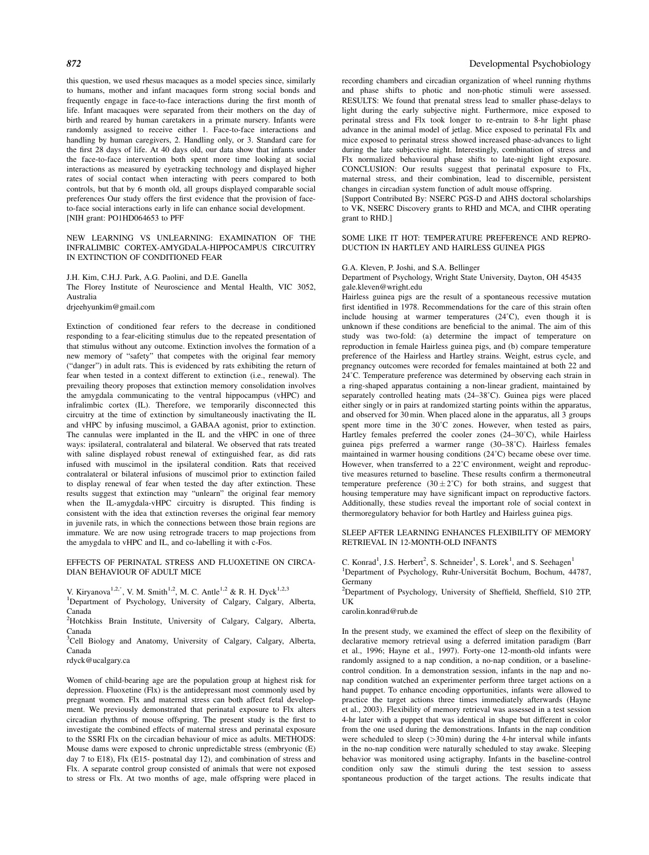this question, we used rhesus macaques as a model species since, similarly to humans, mother and infant macaques form strong social bonds and frequently engage in face-to-face interactions during the first month of life. Infant macaques were separated from their mothers on the day of birth and reared by human caretakers in a primate nursery. Infants were randomly assigned to receive either 1. Face-to-face interactions and handling by human caregivers, 2. Handling only, or 3. Standard care for the first 28 days of life. At 40 days old, our data show that infants under the face-to-face intervention both spent more time looking at social interactions as measured by eyetracking technology and displayed higher rates of social contact when interacting with peers compared to both controls, but that by 6 month old, all groups displayed comparable social preferences Our study offers the first evidence that the provision of faceto-face social interactions early in life can enhance social development. [NIH grant: PO1HD064653 to PFF

# NEW LEARNING VS UNLEARNING: EXAMINATION OF THE INFRALIMBIC CORTEX-AMYGDALA-HIPPOCAMPUS CIRCUITRY IN EXTINCTION OF CONDITIONED FEAR

J.H. Kim, C.H.J. Park, A.G. Paolini, and D.E. Ganella

The Florey Institute of Neuroscience and Mental Health, VIC 3052, Australia

drjeehyunkim@gmail.com

Extinction of conditioned fear refers to the decrease in conditioned responding to a fear-eliciting stimulus due to the repeated presentation of that stimulus without any outcome. Extinction involves the formation of a new memory of "safety" that competes with the original fear memory ("danger") in adult rats. This is evidenced by rats exhibiting the return of fear when tested in a context different to extinction (i.e., renewal). The prevailing theory proposes that extinction memory consolidation involves the amygdala communicating to the ventral hippocampus (vHPC) and infralimbic cortex (IL). Therefore, we temporarily disconnected this circuitry at the time of extinction by simultaneously inactivating the IL and vHPC by infusing muscimol, a GABAA agonist, prior to extinction. The cannulas were implanted in the IL and the vHPC in one of three ways: ipsilateral, contralateral and bilateral. We observed that rats treated with saline displayed robust renewal of extinguished fear, as did rats infused with muscimol in the ipsilateral condition. Rats that received contralateral or bilateral infusions of muscimol prior to extinction failed to display renewal of fear when tested the day after extinction. These results suggest that extinction may "unlearn" the original fear memory when the IL-amygdala-vHPC circuitry is disrupted. This finding is consistent with the idea that extinction reverses the original fear memory in juvenile rats, in which the connections between those brain regions are immature. We are now using retrograde tracers to map projections from the amygdala to vHPC and IL, and co-labelling it with c-Fos.

EFFECTS OF PERINATAL STRESS AND FLUOXETINE ON CIRCA-DIAN BEHAVIOUR OF ADULT MICE

V. Kiryanova<sup>1,2,\*</sup>, V. M. Smith<sup>1,2</sup>, M. C. Antle<sup>1,2</sup> & R. H. Dyck<sup>1,2,3</sup>

<sup>1</sup>Department of Psychology, University of Calgary, Calgary, Alberta, Canada

<sup>2</sup>Hotchkiss Brain Institute, University of Calgary, Calgary, Alberta, Canada

<sup>3</sup>Cell Biology and Anatomy, University of Calgary, Calgary, Alberta, Canada

rdyck@ucalgary.ca

Women of child-bearing age are the population group at highest risk for depression. Fluoxetine (Flx) is the antidepressant most commonly used by pregnant women. Flx and maternal stress can both affect fetal development. We previously demonstrated that perinatal exposure to Flx alters circadian rhythms of mouse offspring. The present study is the first to investigate the combined effects of maternal stress and perinatal exposure to the SSRI Flx on the circadian behaviour of mice as adults. METHODS: Mouse dams were exposed to chronic unpredictable stress (embryonic (E) day 7 to E18), Flx (E15- postnatal day 12), and combination of stress and Flx. A separate control group consisted of animals that were not exposed to stress or Flx. At two months of age, male offspring were placed in

# 872 Developmental Psychobiology

recording chambers and circadian organization of wheel running rhythms and phase shifts to photic and non-photic stimuli were assessed. RESULTS: We found that prenatal stress lead to smaller phase-delays to light during the early subjective night. Furthermore, mice exposed to perinatal stress and Flx took longer to re-entrain to 8-hr light phase advance in the animal model of jetlag. Mice exposed to perinatal Flx and mice exposed to perinatal stress showed increased phase-advances to light during the late subjective night. Interestingly, combination of stress and Flx normalized behavioural phase shifts to late-night light exposure. CONCLUSION: Our results suggest that perinatal exposure to Flx, maternal stress, and their combination, lead to discernible, persistent changes in circadian system function of adult mouse offspring.

[Support Contributed By: NSERC PGS-D and AIHS doctoral scholarships to VK, NSERC Discovery grants to RHD and MCA, and CIHR operating grant to RHD.]

SOME LIKE IT HOT: TEMPERATURE PREFERENCE AND REPRO-DUCTION IN HARTLEY AND HAIRLESS GUINEA PIGS

G.A. Kleven, P. Joshi, and S.A. Bellinger

Department of Psychology, Wright State University, Dayton, OH 45435 gale.kleven@wright.edu

Hairless guinea pigs are the result of a spontaneous recessive mutation first identified in 1978. Recommendations for the care of this strain often include housing at warmer temperatures (24˚C), even though it is unknown if these conditions are beneficial to the animal. The aim of this study was two-fold: (a) determine the impact of temperature on reproduction in female Hairless guinea pigs, and (b) compare temperature preference of the Hairless and Hartley strains. Weight, estrus cycle, and pregnancy outcomes were recorded for females maintained at both 22 and 24˚C. Temperature preference was determined by observing each strain in a ring-shaped apparatus containing a non-linear gradient, maintained by separately controlled heating mats (24–38˚C). Guinea pigs were placed either singly or in pairs at randomized starting points within the apparatus, and observed for 30 min. When placed alone in the apparatus, all 3 groups spent more time in the 30°C zones. However, when tested as pairs, Hartley females preferred the cooler zones (24–30˚C), while Hairless guinea pigs preferred a warmer range (30–38˚C). Hairless females maintained in warmer housing conditions (24˚C) became obese over time. However, when transferred to a 22˚C environment, weight and reproductive measures returned to baseline. These results confirm a thermoneutral temperature preference  $(30 \pm 2^{\circ}C)$  for both strains, and suggest that housing temperature may have significant impact on reproductive factors. Additionally, these studies reveal the important role of social context in thermoregulatory behavior for both Hartley and Hairless guinea pigs.

# SLEEP AFTER LEARNING ENHANCES FLEXIBILITY OF MEMORY RETRIEVAL IN 12-MONTH-OLD INFANTS

C. Konrad<sup>1</sup>, J.S. Herbert<sup>2</sup>, S. Schneider<sup>1</sup>, S. Lorek<sup>1</sup>, and S. Seehagen<sup>1</sup> <sup>1</sup>Department of Psychology, Ruhr-Universität Bochum, Bochum, 44787, Germany

<sup>2</sup>Department of Psychology, University of Sheffield, Sheffield, S10 2TP, UK

carolin.konrad@rub.de

In the present study, we examined the effect of sleep on the flexibility of declarative memory retrieval using a deferred imitation paradigm (Barr et al., 1996; Hayne et al., 1997). Forty-one 12-month-old infants were randomly assigned to a nap condition, a no-nap condition, or a baselinecontrol condition. In a demonstration session, infants in the nap and nonap condition watched an experimenter perform three target actions on a hand puppet. To enhance encoding opportunities, infants were allowed to practice the target actions three times immediately afterwards (Hayne et al., 2003). Flexibility of memory retrieval was assessed in a test session 4-hr later with a puppet that was identical in shape but different in color from the one used during the demonstrations. Infants in the nap condition were scheduled to sleep (>30 min) during the 4-hr interval while infants in the no-nap condition were naturally scheduled to stay awake. Sleeping behavior was monitored using actigraphy. Infants in the baseline-control condition only saw the stimuli during the test session to assess spontaneous production of the target actions. The results indicate that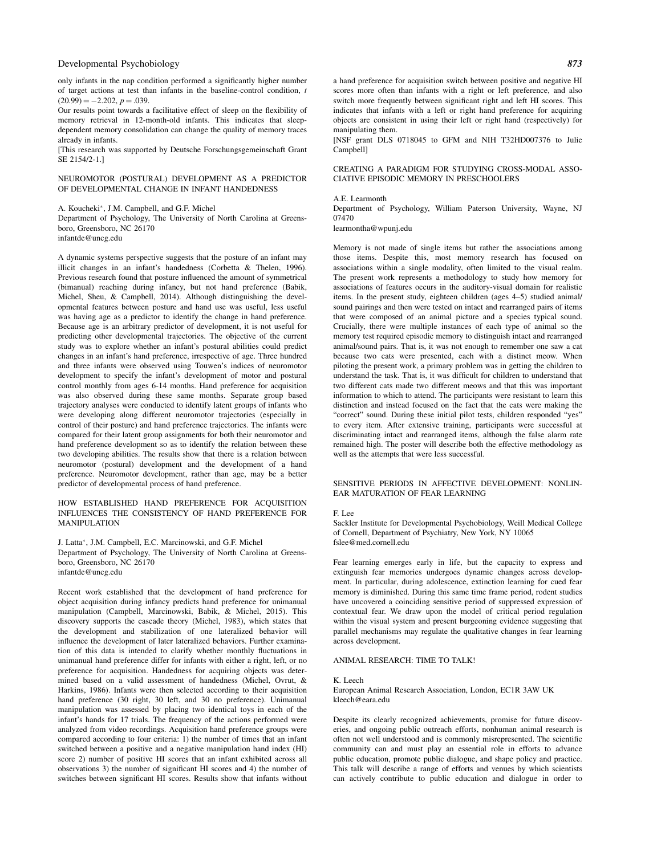only infants in the nap condition performed a significantly higher number of target actions at test than infants in the baseline-control condition,  $t$  $(20.99) = -2.202, p = .039.$ 

Our results point towards a facilitative effect of sleep on the flexibility of memory retrieval in 12-month-old infants. This indicates that sleepdependent memory consolidation can change the quality of memory traces already in infants.

[This research was supported by Deutsche Forschungsgemeinschaft Grant SE 2154/2-1.]

#### NEUROMOTOR (POSTURAL) DEVELOPMENT AS A PREDICTOR OF DEVELOPMENTAL CHANGE IN INFANT HANDEDNESS

#### A. Koucheki\*, J.M. Campbell, and G.F. Michel

Department of Psychology, The University of North Carolina at Greensboro, Greensboro, NC 26170 infantde@uncg.edu

A dynamic systems perspective suggests that the posture of an infant may illicit changes in an infant's handedness (Corbetta & Thelen, 1996). Previous research found that posture influenced the amount of symmetrical (bimanual) reaching during infancy, but not hand preference (Babik, Michel, Sheu, & Campbell, 2014). Although distinguishing the developmental features between posture and hand use was useful, less useful was having age as a predictor to identify the change in hand preference. Because age is an arbitrary predictor of development, it is not useful for predicting other developmental trajectories. The objective of the current study was to explore whether an infant's postural abilities could predict changes in an infant's hand preference, irrespective of age. Three hundred and three infants were observed using Touwen's indices of neuromotor development to specify the infant's development of motor and postural control monthly from ages 6-14 months. Hand preference for acquisition was also observed during these same months. Separate group based trajectory analyses were conducted to identify latent groups of infants who were developing along different neuromotor trajectories (especially in control of their posture) and hand preference trajectories. The infants were compared for their latent group assignments for both their neuromotor and hand preference development so as to identify the relation between these two developing abilities. The results show that there is a relation between neuromotor (postural) development and the development of a hand preference. Neuromotor development, rather than age, may be a better predictor of developmental process of hand preference.

# HOW ESTABLISHED HAND PREFERENCE FOR ACQUISITION INFLUENCES THE CONSISTENCY OF HAND PREFERENCE FOR MANIPULATION

J. Latta\*, J.M. Campbell, E.C. Marcinowski, and G.F. Michel Department of Psychology, The University of North Carolina at Greensboro, Greensboro, NC 26170 infantde@uncg.edu

Recent work established that the development of hand preference for object acquisition during infancy predicts hand preference for unimanual manipulation (Campbell, Marcinowski, Babik, & Michel, 2015). This discovery supports the cascade theory (Michel, 1983), which states that the development and stabilization of one lateralized behavior will influence the development of later lateralized behaviors. Further examination of this data is intended to clarify whether monthly fluctuations in unimanual hand preference differ for infants with either a right, left, or no preference for acquisition. Handedness for acquiring objects was determined based on a valid assessment of handedness (Michel, Ovrut, & Harkins, 1986). Infants were then selected according to their acquisition hand preference (30 right, 30 left, and 30 no preference). Unimanual manipulation was assessed by placing two identical toys in each of the infant's hands for 17 trials. The frequency of the actions performed were analyzed from video recordings. Acquisition hand preference groups were compared according to four criteria: 1) the number of times that an infant switched between a positive and a negative manipulation hand index (HI) score 2) number of positive HI scores that an infant exhibited across all observations 3) the number of significant HI scores and 4) the number of switches between significant HI scores. Results show that infants without a hand preference for acquisition switch between positive and negative HI scores more often than infants with a right or left preference, and also switch more frequently between significant right and left HI scores. This indicates that infants with a left or right hand preference for acquiring objects are consistent in using their left or right hand (respectively) for manipulating them.

[NSF grant DLS 0718045 to GFM and NIH T32HD007376 to Julie Campbell]

# CREATING A PARADIGM FOR STUDYING CROSS-MODAL ASSO-CIATIVE EPISODIC MEMORY IN PRESCHOOLERS

#### A.E. Learmonth

Department of Psychology, William Paterson University, Wayne, NJ 07470

learmontha@wpunj.edu

Memory is not made of single items but rather the associations among those items. Despite this, most memory research has focused on associations within a single modality, often limited to the visual realm. The present work represents a methodology to study how memory for associations of features occurs in the auditory-visual domain for realistic items. In the present study, eighteen children (ages 4–5) studied animal/ sound pairings and then were tested on intact and rearranged pairs of items that were composed of an animal picture and a species typical sound. Crucially, there were multiple instances of each type of animal so the memory test required episodic memory to distinguish intact and rearranged animal/sound pairs. That is, it was not enough to remember one saw a cat because two cats were presented, each with a distinct meow. When piloting the present work, a primary problem was in getting the children to understand the task. That is, it was difficult for children to understand that two different cats made two different meows and that this was important information to which to attend. The participants were resistant to learn this distinction and instead focused on the fact that the cats were making the "correct" sound. During these initial pilot tests, children responded "yes" to every item. After extensive training, participants were successful at discriminating intact and rearranged items, although the false alarm rate remained high. The poster will describe both the effective methodology as well as the attempts that were less successful.

# SENSITIVE PERIODS IN AFFECTIVE DEVELOPMENT: NONLIN-EAR MATURATION OF FEAR LEARNING

#### F. Lee

Sackler Institute for Developmental Psychobiology, Weill Medical College of Cornell, Department of Psychiatry, New York, NY 10065 fslee@med.cornell.edu

Fear learning emerges early in life, but the capacity to express and extinguish fear memories undergoes dynamic changes across development. In particular, during adolescence, extinction learning for cued fear memory is diminished. During this same time frame period, rodent studies have uncovered a coinciding sensitive period of suppressed expression of contextual fear. We draw upon the model of critical period regulation within the visual system and present burgeoning evidence suggesting that parallel mechanisms may regulate the qualitative changes in fear learning across development.

# ANIMAL RESEARCH: TIME TO TALK!

#### K. Leech

# European Animal Research Association, London, EC1R 3AW UK kleech@eara.edu

Despite its clearly recognized achievements, promise for future discoveries, and ongoing public outreach efforts, nonhuman animal research is often not well understood and is commonly misrepresented. The scientific community can and must play an essential role in efforts to advance public education, promote public dialogue, and shape policy and practice. This talk will describe a range of efforts and venues by which scientists can actively contribute to public education and dialogue in order to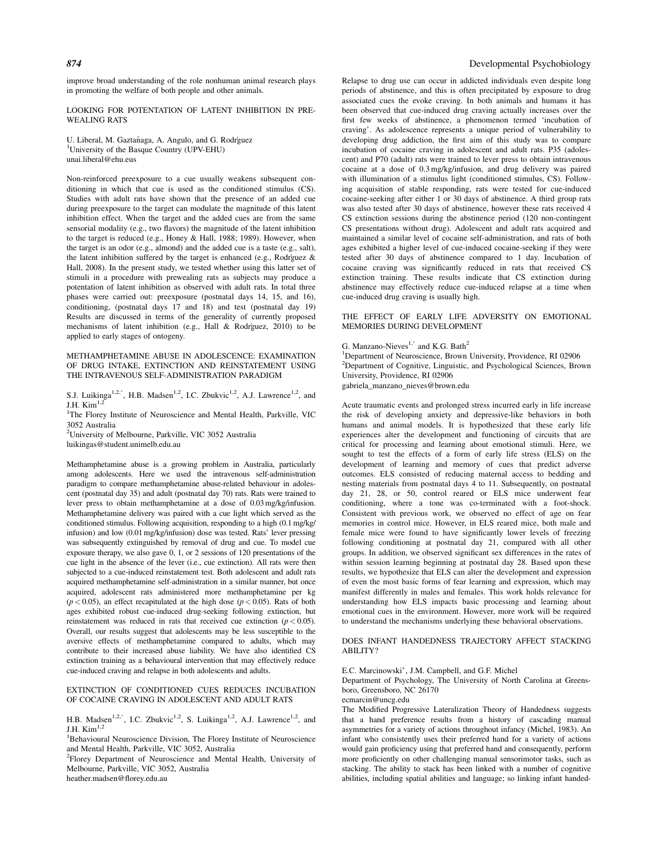improve broad understanding of the role nonhuman animal research plays in promoting the welfare of both people and other animals.

LOOKING FOR POTENTATION OF LATENT INHIBITION IN PRE-WEALING RATS

U. Liberal, M. Gaztañaga, A. Angulo, and G. Rodrguez <sup>1</sup>University of the Basque Country (UPV-EHU) unai.liberal@ehu.eus

Non-reinforced preexposure to a cue usually weakens subsequent conditioning in which that cue is used as the conditioned stimulus (CS). Studies with adult rats have shown that the presence of an added cue during preexposure to the target can modulate the magnitude of this latent inhibition effect. When the target and the added cues are from the same sensorial modality (e.g., two flavors) the magnitude of the latent inhibition to the target is reduced (e.g., Honey & Hall, 1988; 1989). However, when the target is an odor (e.g., almond) and the added cue is a taste (e.g., salt), the latent inhibition suffered by the target is enhanced (e.g., Rodrguez & Hall, 2008). In the present study, we tested whether using this latter set of stimuli in a procedure with prewealing rats as subjects may produce a potentation of latent inhibition as observed with adult rats. In total three phases were carried out: preexposure (postnatal days 14, 15, and 16), conditioning, (postnatal days 17 and 18) and test (postnatal day 19) Results are discussed in terms of the generality of currently proposed mechanisms of latent inhibition (e.g., Hall & Rodrguez, 2010) to be applied to early stages of ontogeny.

METHAMPHETAMINE ABUSE IN ADOLESCENCE: EXAMINATION OF DRUG INTAKE, EXTINCTION AND REINSTATEMENT USING THE INTRAVENOUS SELF-ADMINISTRATION PARADIGM

S.J. Luikinga<sup>1,2,\*</sup>, H.B. Madsen<sup>1,2</sup>, I.C. Zbukvic<sup>1,2</sup>, A.J. Lawrence<sup>1,2</sup>, and  $J.H.$  Kim<sup>1,2</sup>

<sup>1</sup>The Florey Institute of Neuroscience and Mental Health, Parkville, VIC 3052 Australia

<sup>2</sup>University of Melbourne, Parkville, VIC 3052 Australia luikingas@student.unimelb.edu.au

Methamphetamine abuse is a growing problem in Australia, particularly among adolescents. Here we used the intravenous self-administration paradigm to compare methamphetamine abuse-related behaviour in adolescent (postnatal day 35) and adult (postnatal day 70) rats. Rats were trained to lever press to obtain methamphetamine at a dose of 0.03 mg/kg/infusion. Methamphetamine delivery was paired with a cue light which served as the conditioned stimulus. Following acquisition, responding to a high (0.1 mg/kg/ infusion) and low (0.01 mg/kg/infusion) dose was tested. Rats' lever pressing was subsequently extinguished by removal of drug and cue. To model cue exposure therapy, we also gave 0, 1, or 2 sessions of 120 presentations of the cue light in the absence of the lever (i.e., cue extinction). All rats were then subjected to a cue-induced reinstatement test. Both adolescent and adult rats acquired methamphetamine self-administration in a similar manner, but once acquired, adolescent rats administered more methamphetamine per kg  $(p < 0.05)$ , an effect recapitulated at the high dose  $(p < 0.05)$ . Rats of both ages exhibited robust cue-induced drug-seeking following extinction, but reinstatement was reduced in rats that received cue extinction ( $p < 0.05$ ). Overall, our results suggest that adolescents may be less susceptible to the aversive effects of methamphetamine compared to adults, which may contribute to their increased abuse liability. We have also identified CS extinction training as a behavioural intervention that may effectively reduce cue-induced craving and relapse in both adolescents and adults.

# EXTINCTION OF CONDITIONED CUES REDUCES INCUBATION OF COCAINE CRAVING IN ADOLESCENT AND ADULT RATS

H.B. Madsen<sup>1,2,\*</sup>, I.C. Zbukvic<sup>1,2</sup>, S. Luikinga<sup>1,2</sup>, A.J. Lawrence<sup>1,2</sup>, and J.H.  $Kim<sup>1,2</sup>$ 

<sup>1</sup>Behavioural Neuroscience Division, The Florey Institute of Neuroscience and Mental Health, Parkville, VIC 3052, Australia

<sup>2</sup>Florey Department of Neuroscience and Mental Health, University of Melbourne, Parkville, VIC 3052, Australia

heather.madsen@florey.edu.au

Relapse to drug use can occur in addicted individuals even despite long periods of abstinence, and this is often precipitated by exposure to drug associated cues the evoke craving. In both animals and humans it has been observed that cue-induced drug craving actually increases over the first few weeks of abstinence, a phenomenon termed 'incubation of craving'. As adolescence represents a unique period of vulnerability to developing drug addiction, the first aim of this study was to compare incubation of cocaine craving in adolescent and adult rats. P35 (adolescent) and P70 (adult) rats were trained to lever press to obtain intravenous cocaine at a dose of 0.3 mg/kg/infusion, and drug delivery was paired with illumination of a stimulus light (conditioned stimulus, CS). Following acquisition of stable responding, rats were tested for cue-induced cocaine-seeking after either 1 or 30 days of abstinence. A third group rats was also tested after 30 days of abstinence, however these rats received 4 CS extinction sessions during the abstinence period (120 non-contingent CS presentations without drug). Adolescent and adult rats acquired and maintained a similar level of cocaine self-administration, and rats of both ages exhibited a higher level of cue-induced cocaine-seeking if they were tested after 30 days of abstinence compared to 1 day. Incubation of cocaine craving was significantly reduced in rats that received CS extinction training. These results indicate that CS extinction during abstinence may effectively reduce cue-induced relapse at a time when cue-induced drug craving is usually high.

#### THE EFFECT OF EARLY LIFE ADVERSITY ON EMOTIONAL MEMORIES DURING DEVELOPMENT

# G. Manzano-Nieves $1,^*$  and K.G. Bath<sup>2</sup>

<sup>1</sup>Department of Neuroscience, Brown University, Providence, RI 02906 <sup>2</sup>Department of Cognitive, Linguistic, and Psychological Sciences, Brown University, Providence, RI 02906 gabriela\_manzano\_nieves@brown.edu

Acute traumatic events and prolonged stress incurred early in life increase the risk of developing anxiety and depressive-like behaviors in both humans and animal models. It is hypothesized that these early life experiences alter the development and functioning of circuits that are critical for processing and learning about emotional stimuli. Here, we sought to test the effects of a form of early life stress (ELS) on the development of learning and memory of cues that predict adverse outcomes. ELS consisted of reducing maternal access to bedding and nesting materials from postnatal days 4 to 11. Subsequently, on postnatal day 21, 28, or 50, control reared or ELS mice underwent fear conditioning, where a tone was co-terminated with a foot-shock. Consistent with previous work, we observed no effect of age on fear memories in control mice. However, in ELS reared mice, both male and female mice were found to have significantly lower levels of freezing following conditioning at postnatal day 21, compared with all other groups. In addition, we observed significant sex differences in the rates of within session learning beginning at postnatal day 28. Based upon these results, we hypothesize that ELS can alter the development and expression of even the most basic forms of fear learning and expression, which may manifest differently in males and females. This work holds relevance for understanding how ELS impacts basic processing and learning about emotional cues in the environment. However, more work will be required to understand the mechanisms underlying these behavioral observations.

# DOES INFANT HANDEDNESS TRAJECTORY AFFECT STACKING ABILITY?

# E.C. Marcinowski\*, J.M. Campbell, and G.F. Michel

Department of Psychology, The University of North Carolina at Greensboro, Greensboro, NC 26170

# ecmarcin@uncg.edu

The Modified Progressive Lateralization Theory of Handedness suggests that a hand preference results from a history of cascading manual asymmetries for a variety of actions throughout infancy (Michel, 1983). An infant who consistently uses their preferred hand for a variety of actions would gain proficiency using that preferred hand and consequently, perform more proficiently on other challenging manual sensorimotor tasks, such as stacking. The ability to stack has been linked with a number of cognitive abilities, including spatial abilities and language; so linking infant handed-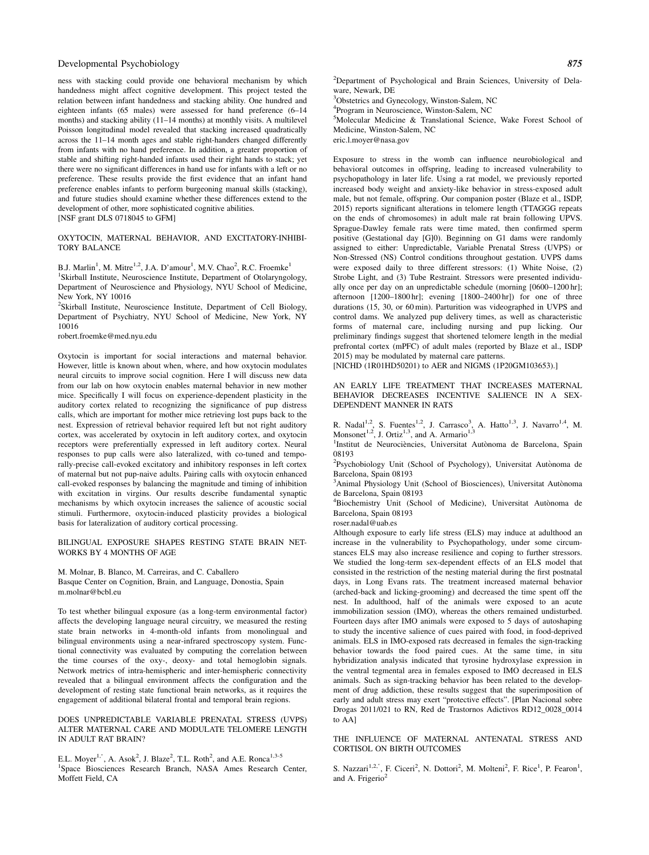ness with stacking could provide one behavioral mechanism by which handedness might affect cognitive development. This project tested the relation between infant handedness and stacking ability. One hundred and eighteen infants (65 males) were assessed for hand preference (6–14 months) and stacking ability (11–14 months) at monthly visits. A multilevel Poisson longitudinal model revealed that stacking increased quadratically across the 11–14 month ages and stable right-handers changed differently from infants with no hand preference. In addition, a greater proportion of stable and shifting right-handed infants used their right hands to stack; yet there were no significant differences in hand use for infants with a left or no preference. These results provide the first evidence that an infant hand preference enables infants to perform burgeoning manual skills (stacking), and future studies should examine whether these differences extend to the development of other, more sophisticated cognitive abilities. [NSF grant DLS 0718045 to GFM]

OXYTOCIN, MATERNAL BEHAVIOR, AND EXCITATORY-INHIBI-TORY BALANCE

B.J. Marlin<sup>1</sup>, M. Mitre<sup>1,2</sup>, J.A. D'amour<sup>1</sup>, M.V. Chao<sup>2</sup>, R.C. Froemke<sup>1</sup> <sup>1</sup>Skirball Institute, Neuroscience Institute, Department of Otolaryngology,

Department of Neuroscience and Physiology, NYU School of Medicine, New York, NY 10016

<sup>2</sup>Skirball Institute, Neuroscience Institute, Department of Cell Biology, Department of Psychiatry, NYU School of Medicine, New York, NY 10016

robert.froemke@med.nyu.edu

Oxytocin is important for social interactions and maternal behavior. However, little is known about when, where, and how oxytocin modulates neural circuits to improve social cognition. Here I will discuss new data from our lab on how oxytocin enables maternal behavior in new mother mice. Specifically I will focus on experience-dependent plasticity in the auditory cortex related to recognizing the significance of pup distress calls, which are important for mother mice retrieving lost pups back to the nest. Expression of retrieval behavior required left but not right auditory cortex, was accelerated by oxytocin in left auditory cortex, and oxytocin receptors were preferentially expressed in left auditory cortex. Neural responses to pup calls were also lateralized, with co-tuned and temporally-precise call-evoked excitatory and inhibitory responses in left cortex of maternal but not pup-naive adults. Pairing calls with oxytocin enhanced call-evoked responses by balancing the magnitude and timing of inhibition with excitation in virgins. Our results describe fundamental synaptic mechanisms by which oxytocin increases the salience of acoustic social stimuli. Furthermore, oxytocin-induced plasticity provides a biological basis for lateralization of auditory cortical processing.

BILINGUAL EXPOSURE SHAPES RESTING STATE BRAIN NET-WORKS BY 4 MONTHS OF AGE

M. Molnar, B. Blanco, M. Carreiras, and C. Caballero Basque Center on Cognition, Brain, and Language, Donostia, Spain m.molnar@bcbl.eu

To test whether bilingual exposure (as a long-term environmental factor) affects the developing language neural circuitry, we measured the resting state brain networks in 4-month-old infants from monolingual and bilingual environments using a near-infrared spectroscopy system. Functional connectivity was evaluated by computing the correlation between the time courses of the oxy-, deoxy- and total hemoglobin signals. Network metrics of intra-hemispheric and inter-hemispheric connectivity revealed that a bilingual environment affects the configuration and the development of resting state functional brain networks, as it requires the engagement of additional bilateral frontal and temporal brain regions.

DOES UNPREDICTABLE VARIABLE PRENATAL STRESS (UVPS) ALTER MATERNAL CARE AND MODULATE TELOMERE LENGTH IN ADULT RAT BRAIN?

E.L. Moyer<sup>1,\*</sup>, A. Asok<sup>2</sup>, J. Blaze<sup>2</sup>, T.L. Roth<sup>2</sup>, and A.E. Ronca<sup>1,3-5</sup> 1 Space Biosciences Research Branch, NASA Ames Research Center, Moffett Field, CA

<sup>2</sup>Department of Psychological and Brain Sciences, University of Delaware, Newark, DE

3 Obstetrics and Gynecology, Winston-Salem, NC

4 Program in Neuroscience, Winston-Salem, NC

5 Molecular Medicine & Translational Science, Wake Forest School of Medicine, Winston-Salem, NC

eric.l.moyer@nasa.gov

Exposure to stress in the womb can influence neurobiological and behavioral outcomes in offspring, leading to increased vulnerability to psychopathology in later life. Using a rat model, we previously reported increased body weight and anxiety-like behavior in stress-exposed adult male, but not female, offspring. Our companion poster (Blaze et al., ISDP, 2015) reports significant alterations in telomere length (TTAGGG repeats on the ends of chromosomes) in adult male rat brain following UPVS. Sprague-Dawley female rats were time mated, then confirmed sperm positive (Gestational day [G]0). Beginning on G1 dams were randomly assigned to either: Unpredictable, Variable Prenatal Stress (UVPS) or Non-Stressed (NS) Control conditions throughout gestation. UVPS dams were exposed daily to three different stressors: (1) White Noise, (2) Strobe Light, and (3) Tube Restraint. Stressors were presented individually once per day on an unpredictable schedule (morning [0600–1200 hr]; afternoon [1200–1800 hr]; evening [1800–2400 hr]) for one of three durations (15, 30, or 60 min). Parturition was videographed in UVPS and control dams. We analyzed pup delivery times, as well as characteristic forms of maternal care, including nursing and pup licking. Our preliminary findings suggest that shortened telomere length in the medial prefrontal cortex (mPFC) of adult males (reported by Blaze et al., ISDP 2015) may be modulated by maternal care patterns.

[NICHD (1R01HD50201) to AER and NIGMS (1P20GM103653).]

AN EARLY LIFE TREATMENT THAT INCREASES MATERNAL BEHAVIOR DECREASES INCENTIVE SALIENCE IN A SEX-DEPENDENT MANNER IN RATS

R. Nadal<sup>1,2</sup>, S. Fuentes<sup>1,2</sup>, J. Carrasco<sup>3</sup>, A. Hatto<sup>1,3</sup>, J. Navarro<sup>1,4</sup>, M. Monsonet<sup>1,2</sup>, J. Ortiz<sup>1,3</sup>, and A. Armario<sup>1,3</sup>

<sup>1</sup>Institut de Neurociències, Universitat Autònoma de Barcelona, Spain 08193

<sup>2</sup>Psychobiology Unit (School of Psychology), Universitat Autònoma de Barcelona, Spain 08193

<sup>3</sup>Animal Physiology Unit (School of Biosciences), Universitat Autònoma de Barcelona, Spain 08193

<sup>4</sup>Biochemistry Unit (School of Medicine), Universitat Autònoma de Barcelona, Spain 08193

roser.nadal@uab.es

Although exposure to early life stress (ELS) may induce at adulthood an increase in the vulnerability to Psychopathology, under some circumstances ELS may also increase resilience and coping to further stressors. We studied the long-term sex-dependent effects of an ELS model that consisted in the restriction of the nesting material during the first postnatal days, in Long Evans rats. The treatment increased maternal behavior (arched-back and licking-grooming) and decreased the time spent off the nest. In adulthood, half of the animals were exposed to an acute immobilization session (IMO), whereas the others remained undisturbed. Fourteen days after IMO animals were exposed to 5 days of autoshaping to study the incentive salience of cues paired with food, in food-deprived animals. ELS in IMO-exposed rats decreased in females the sign-tracking behavior towards the food paired cues. At the same time, in situ hybridization analysis indicated that tyrosine hydroxylase expression in the ventral tegmental area in females exposed to IMO decreased in ELS animals. Such as sign-tracking behavior has been related to the development of drug addiction, these results suggest that the superimposition of early and adult stress may exert "protective effects". [Plan Nacional sobre Drogas 2011/021 to RN, Red de Trastornos Adictivos RD12\_0028\_0014 to AA1

THE INFLUENCE OF MATERNAL ANTENATAL STRESS AND CORTISOL ON BIRTH OUTCOMES

S. Nazzari<sup>1,2,\*</sup>, F. Ciceri<sup>2</sup>, N. Dottori<sup>2</sup>, M. Molteni<sup>2</sup>, F. Rice<sup>1</sup>, P. Fearon<sup>1</sup>, and A. Frigerio $<sup>2</sup>$ </sup>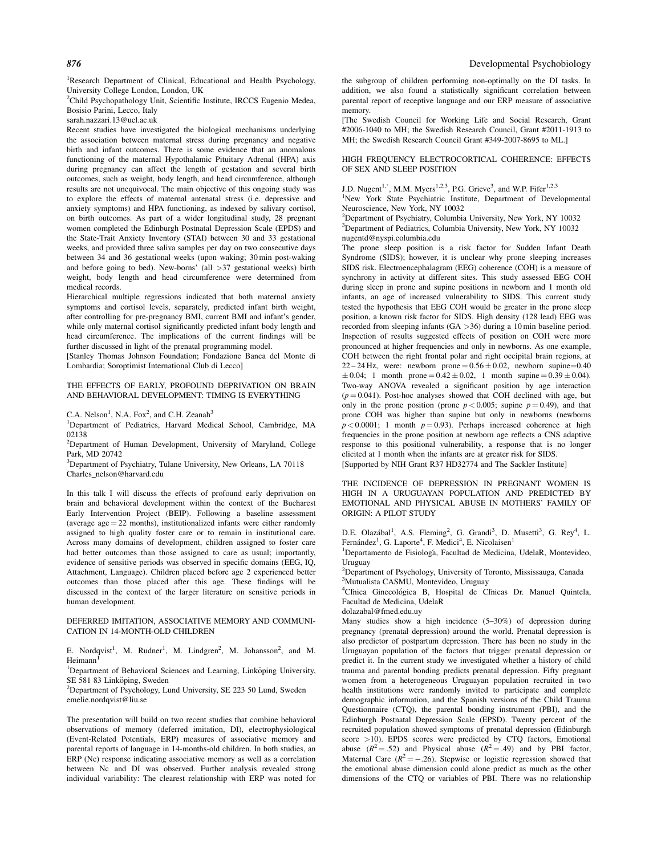<sup>1</sup>Research Department of Clinical, Educational and Health Psychology, University College London, London, UK

<sup>2</sup>Child Psychopathology Unit, Scientific Institute, IRCCS Eugenio Medea, Bosisio Parini, Lecco, Italy

sarah.nazzari.13@ucl.ac.uk

Recent studies have investigated the biological mechanisms underlying the association between maternal stress during pregnancy and negative birth and infant outcomes. There is some evidence that an anomalous functioning of the maternal Hypothalamic Pituitary Adrenal (HPA) axis during pregnancy can affect the length of gestation and several birth outcomes, such as weight, body length, and head circumference, although results are not unequivocal. The main objective of this ongoing study was to explore the effects of maternal antenatal stress (i.e. depressive and anxiety symptoms) and HPA functioning, as indexed by salivary cortisol, on birth outcomes. As part of a wider longitudinal study, 28 pregnant women completed the Edinburgh Postnatal Depression Scale (EPDS) and the State-Trait Anxiety Inventory (STAI) between 30 and 33 gestational weeks, and provided three saliva samples per day on two consecutive days between 34 and 36 gestational weeks (upon waking; 30 min post-waking and before going to bed). New-borns' (all >37 gestational weeks) birth weight, body length and head circumference were determined from medical records.

Hierarchical multiple regressions indicated that both maternal anxiety symptoms and cortisol levels, separately, predicted infant birth weight, after controlling for pre-pregnancy BMI, current BMI and infant's gender, while only maternal cortisol significantly predicted infant body length and head circumference. The implications of the current findings will be further discussed in light of the prenatal programming model.

[Stanley Thomas Johnson Foundation; Fondazione Banca del Monte di Lombardia; Soroptimist International Club di Lecco]

THE EFFECTS OF EARLY, PROFOUND DEPRIVATION ON BRAIN AND BEHAVIORAL DEVELOPMENT: TIMING IS EVERYTHING

C.A. Nelson<sup>1</sup>, N.A. Fox<sup>2</sup>, and C.H. Zeanah<sup>3</sup>

<sup>1</sup>Department of Pediatrics, Harvard Medical School, Cambridge, MA 02138

2 Department of Human Development, University of Maryland, College Park, MD 20742

<sup>3</sup>Department of Psychiatry, Tulane University, New Orleans, LA 70118 Charles\_nelson@harvard.edu

In this talk I will discuss the effects of profound early deprivation on brain and behavioral development within the context of the Bucharest Early Intervention Project (BEIP). Following a baseline assessment (average  $age = 22$  months), institutionalized infants were either randomly assigned to high quality foster care or to remain in institutional care. Across many domains of development, children assigned to foster care had better outcomes than those assigned to care as usual; importantly, evidence of sensitive periods was observed in specific domains (EEG, IQ, Attachment, Language). Children placed before age 2 experienced better outcomes than those placed after this age. These findings will be discussed in the context of the larger literature on sensitive periods in human development.

DEFERRED IMITATION, ASSOCIATIVE MEMORY AND COMMUNI-CATION IN 14-MONTH-OLD CHILDREN

E. Nordqvist<sup>1</sup>, M. Rudner<sup>1</sup>, M. Lindgren<sup>2</sup>, M. Johansson<sup>2</sup>, and M. Heimann<sup>1</sup>

<sup>1</sup>Department of Behavioral Sciences and Learning, Linköping University, SE 581 83 Linköping, Sweden

 ${}^{2}$ Department of Psychology, Lund University, SE 223 50 Lund, Sweden emelie.nordqvist@liu.se

The presentation will build on two recent studies that combine behavioral observations of memory (deferred imitation, DI), electrophysiological (Event-Related Potentials, ERP) measures of associative memory and parental reports of language in 14-months-old children. In both studies, an ERP (Nc) response indicating associative memory as well as a correlation between Nc and DI was observed. Further analysis revealed strong individual variability: The clearest relationship with ERP was noted for

the subgroup of children performing non-optimally on the DI tasks. In addition, we also found a statistically significant correlation between parental report of receptive language and our ERP measure of associative memory.

[The Swedish Council for Working Life and Social Research, Grant #2006-1040 to MH; the Swedish Research Council, Grant #2011-1913 to MH; the Swedish Research Council Grant #349-2007-8695 to ML.]

HIGH FREQUENCY ELECTROCORTICAL COHERENCE: EFFECTS OF SEX AND SLEEP POSITION

J.D. Nugent<sup>1,\*</sup>, M.M. Myers<sup>1,2,3</sup>, P.G. Grieve<sup>3</sup>, and W.P. Fifer<sup>1,2,3</sup>

<sup>1</sup>New York State Psychiatric Institute, Department of Developmental Neuroscience, New York, NY 10032

2 Department of Psychiatry, Columbia University, New York, NY 10032 3 Department of Pediatrics, Columbia University, New York, NY 10032 nugentd@nyspi.columbia.edu

The prone sleep position is a risk factor for Sudden Infant Death Syndrome (SIDS); however, it is unclear why prone sleeping increases SIDS risk. Electroencephalagram (EEG) coherence (COH) is a measure of synchrony in activity at different sites. This study assessed EEG COH during sleep in prone and supine positions in newborn and 1 month old infants, an age of increased vulnerability to SIDS. This current study tested the hypothesis that EEG COH would be greater in the prone sleep position, a known risk factor for SIDS. High density (128 lead) EEG was recorded from sleeping infants (GA >36) during a 10 min baseline period. Inspection of results suggested effects of position on COH were more pronounced at higher frequencies and only in newborns. As one example, COH between the right frontal polar and right occipital brain regions, at  $22 - 24$  Hz, were: newborn prone  $= 0.56 \pm 0.02$ , newborn supine  $= 0.40$  $\pm 0.04$ ; 1 month prone  $= 0.42 \pm 0.02$ , 1 month supine  $= 0.39 \pm 0.04$ ). Two-way ANOVA revealed a significant position by age interaction  $(p = 0.041)$ . Post-hoc analyses showed that COH declined with age, but only in the prone position (prone  $p < 0.005$ ; supine  $p = 0.49$ ), and that prone COH was higher than supine but only in newborns (newborns  $p < 0.0001$ ; 1 month  $p = 0.93$ ). Perhaps increased coherence at high frequencies in the prone position at newborn age reflects a CNS adaptive response to this positional vulnerability, a response that is no longer elicited at 1 month when the infants are at greater risk for SIDS. [Supported by NIH Grant R37 HD32774 and The Sackler Institute]

THE INCIDENCE OF DEPRESSION IN PREGNANT WOMEN IS HIGH IN A URUGUAYAN POPULATION AND PREDICTED BY EMOTIONAL AND PHYSICAL ABUSE IN MOTHERS' FAMILY OF ORIGIN: A PILOT STUDY

D.E. Olazábal<sup>1</sup>, A.S. Fleming<sup>2</sup>, G. Grandi<sup>3</sup>, D. Musetti<sup>3</sup>, G. Rey<sup>4</sup>, L. Fernández<sup>1</sup>, G. Laporte<sup>4</sup>, F. Medici<sup>4</sup>, E. Nicolaisen<sup>1</sup>

<sup>1</sup>Departamento de Fisiologa, Facultad de Medicina, UdelaR, Montevideo, Uruguay

<sup>2</sup>Department of Psychology, University of Toronto, Mississauga, Canada 3 Mutualista CASMU, Montevideo, Uruguay

<sup>4</sup>Clnica Ginecológica B, Hospital de Clnicas Dr. Manuel Quintela, Facultad de Medicina, UdelaR

dolazabal@fmed.edu.uy

Many studies show a high incidence (5–30%) of depression during pregnancy (prenatal depression) around the world. Prenatal depression is also predictor of postpartum depression. There has been no study in the Uruguayan population of the factors that trigger prenatal depression or predict it. In the current study we investigated whether a history of child trauma and parental bonding predicts prenatal depression. Fifty pregnant women from a heterogeneous Uruguayan population recruited in two health institutions were randomly invited to participate and complete demographic information, and the Spanish versions of the Child Trauma Questionnaire (CTQ), the parental bonding instrument (PBI), and the Edinburgh Postnatal Depression Scale (EPSD). Twenty percent of the recruited population showed symptoms of prenatal depression (Edinburgh score >10). EPDS scores were predicted by CTQ factors, Emotional abuse  $(R^2 = .52)$  and Physical abuse  $(R^2 = .49)$  and by PBI factor, Maternal Care  $(R^2 = -.26)$ . Stepwise or logistic regression showed that the emotional abuse dimension could alone predict as much as the other dimensions of the CTQ or variables of PBI. There was no relationship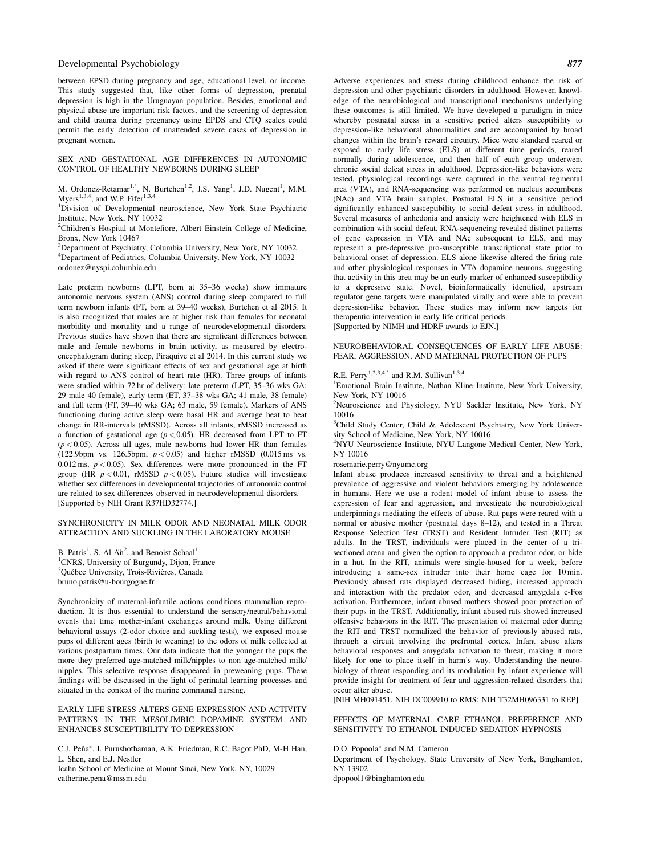between EPSD during pregnancy and age, educational level, or income. This study suggested that, like other forms of depression, prenatal depression is high in the Uruguayan population. Besides, emotional and physical abuse are important risk factors, and the screening of depression and child trauma during pregnancy using EPDS and CTQ scales could permit the early detection of unattended severe cases of depression in pregnant women.

SEX AND GESTATIONAL AGE DIFFERENCES IN AUTONOMIC CONTROL OF HEALTHY NEWBORNS DURING SLEEP

M. Ordonez-Retamar<sup>1,\*</sup>, N. Burtchen<sup>1,2</sup>, J.S. Yang<sup>1</sup>, J.D. Nugent<sup>1</sup>, M.M.<br>Myers<sup>1,3,4</sup>, and W.P. Fifer<sup>1,3,4</sup>

<sup>1</sup>Division of Developmental neuroscience, New York State Psychiatric Institute, New York, NY 10032

<sup>2</sup>Children's Hospital at Montefiore, Albert Einstein College of Medicine, Bronx, New York 10467

3 Department of Psychiatry, Columbia University, New York, NY 10032 4 Department of Pediatrics, Columbia University, New York, NY 10032 ordonez@nyspi.columbia.edu

Late preterm newborns (LPT, born at 35–36 weeks) show immature autonomic nervous system (ANS) control during sleep compared to full term newborn infants (FT, born at 39–40 weeks), Burtchen et al 2015. It is also recognized that males are at higher risk than females for neonatal morbidity and mortality and a range of neurodevelopmental disorders. Previous studies have shown that there are significant differences between male and female newborns in brain activity, as measured by electroencephalogram during sleep, Piraquive et al 2014. In this current study we asked if there were significant effects of sex and gestational age at birth with regard to ANS control of heart rate (HR). Three groups of infants were studied within 72 hr of delivery: late preterm (LPT, 35–36 wks GA; 29 male 40 female), early term (ET, 37–38 wks GA; 41 male, 38 female) and full term (FT, 39–40 wks GA; 63 male, 59 female). Markers of ANS functioning during active sleep were basal HR and average beat to beat change in RR-intervals (rMSSD). Across all infants, rMSSD increased as a function of gestational age ( $p < 0.05$ ). HR decreased from LPT to FT  $(p < 0.05)$ . Across all ages, male newborns had lower HR than females (122.9bpm vs. 126.5bpm,  $p < 0.05$ ) and higher rMSSD (0.015 ms vs. 0.012 ms,  $p < 0.05$ ). Sex differences were more pronounced in the FT group (HR  $p < 0.01$ , rMSSD  $p < 0.05$ ). Future studies will investigate whether sex differences in developmental trajectories of autonomic control are related to sex differences observed in neurodevelopmental disorders. [Supported by NIH Grant R37HD32774.]

# SYNCHRONICITY IN MILK ODOR AND NEONATAL MILK ODOR ATTRACTION AND SUCKLING IN THE LABORATORY MOUSE

B. Patris<sup>1</sup>, S. Al An<sup>2</sup>, and Benoist Schaal<sup>1</sup> <sup>1</sup>CNRS, University of Burgundy, Dijon, France <sup>2</sup>Québec University, Trois-Rivières, Canada bruno.patris@u-bourgogne.fr

Synchronicity of maternal-infantile actions conditions mammalian reproduction. It is thus essential to understand the sensory/neural/behavioral events that time mother-infant exchanges around milk. Using different behavioral assays (2-odor choice and suckling tests), we exposed mouse pups of different ages (birth to weaning) to the odors of milk collected at various postpartum times. Our data indicate that the younger the pups the more they preferred age-matched milk/nipples to non age-matched milk/ nipples. This selective response disappeared in preweaning pups. These findings will be discussed in the light of perinatal learning processes and situated in the context of the murine communal nursing.

EARLY LIFE STRESS ALTERS GENE EXPRESSION AND ACTIVITY PATTERNS IN THE MESOLIMBIC DOPAMINE SYSTEM AND ENHANCES SUSCEPTIBILITY TO DEPRESSION

C.J. Peña\*, I. Purushothaman, A.K. Friedman, R.C. Bagot PhD, M-H Han, L. Shen, and E.J. Nestler

Icahn School of Medicine at Mount Sinai, New York, NY, 10029 catherine.pena@mssm.edu

Adverse experiences and stress during childhood enhance the risk of depression and other psychiatric disorders in adulthood. However, knowledge of the neurobiological and transcriptional mechanisms underlying these outcomes is still limited. We have developed a paradigm in mice whereby postnatal stress in a sensitive period alters susceptibility to depression-like behavioral abnormalities and are accompanied by broad changes within the brain's reward circuitry. Mice were standard reared or exposed to early life stress (ELS) at different time periods, reared normally during adolescence, and then half of each group underwent chronic social defeat stress in adulthood. Depression-like behaviors were tested, physiological recordings were captured in the ventral tegmental area (VTA), and RNA-sequencing was performed on nucleus accumbens (NAc) and VTA brain samples. Postnatal ELS in a sensitive period significantly enhanced susceptibility to social defeat stress in adulthood. Several measures of anhedonia and anxiety were heightened with ELS in combination with social defeat. RNA-sequencing revealed distinct patterns of gene expression in VTA and NAc subsequent to ELS, and may represent a pre-depressive pro-susceptible transcriptional state prior to behavioral onset of depression. ELS alone likewise altered the firing rate and other physiological responses in VTA dopamine neurons, suggesting that activity in this area may be an early marker of enhanced susceptibility to a depressive state. Novel, bioinformatically identified, upstream regulator gene targets were manipulated virally and were able to prevent depression-like behavior. These studies may inform new targets for therapeutic intervention in early life critical periods. [Supported by NIMH and HDRF awards to EJN.]

NEUROBEHAVIORAL CONSEQUENCES OF EARLY LIFE ABUSE: FEAR, AGGRESSION, AND MATERNAL PROTECTION OF PUPS

# R.E. Perry<sup>1,2,3,4,\*</sup> and R.M. Sullivan<sup>1,3,4</sup>

<sup>1</sup>Emotional Brain Institute, Nathan Kline Institute, New York University, New York, NY 10016

<sup>2</sup>Neuroscience and Physiology, NYU Sackler Institute, New York, NY 10016

<sup>3</sup>Child Study Center, Child & Adolescent Psychiatry, New York University School of Medicine, New York, NY 10016

4 NYU Neuroscience Institute, NYU Langone Medical Center, New York, NY 10016

rosemarie.perry@nyumc.org

Infant abuse produces increased sensitivity to threat and a heightened prevalence of aggressive and violent behaviors emerging by adolescence in humans. Here we use a rodent model of infant abuse to assess the expression of fear and aggression, and investigate the neurobiological underpinnings mediating the effects of abuse. Rat pups were reared with a normal or abusive mother (postnatal days 8–12), and tested in a Threat Response Selection Test (TRST) and Resident Intruder Test (RIT) as adults. In the TRST, individuals were placed in the center of a trisectioned arena and given the option to approach a predator odor, or hide in a hut. In the RIT, animals were single-housed for a week, before introducing a same-sex intruder into their home cage for 10 min. Previously abused rats displayed decreased hiding, increased approach and interaction with the predator odor, and decreased amygdala c-Fos activation. Furthermore, infant abused mothers showed poor protection of their pups in the TRST. Additionally, infant abused rats showed increased offensive behaviors in the RIT. The presentation of maternal odor during the RIT and TRST normalized the behavior of previously abused rats, through a circuit involving the prefrontal cortex. Infant abuse alters behavioral responses and amygdala activation to threat, making it more likely for one to place itself in harm's way. Understanding the neurobiology of threat responding and its modulation by infant experience will provide insight for treatment of fear and aggression-related disorders that occur after abuse.

[NIH MH091451, NIH DC009910 to RMS; NIH T32MH096331 to REP]

EFFECTS OF MATERNAL CARE ETHANOL PREFERENCE AND SENSITIVITY TO ETHANOL INDUCED SEDATION HYPNOSIS

D.O. Popoola\* and N.M. Cameron Department of Psychology, State University of New York, Binghamton, NY 13902

dpopool1@binghamton.edu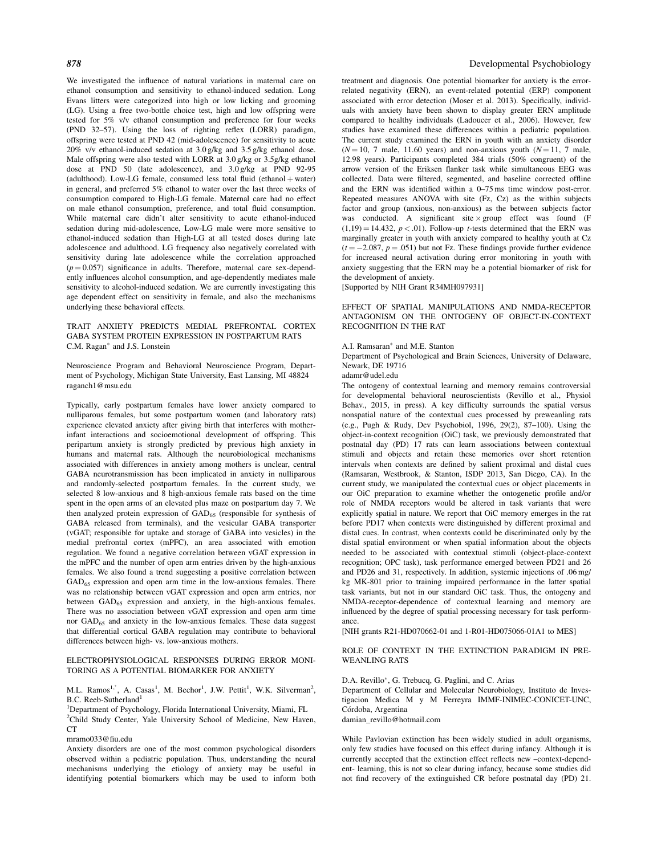We investigated the influence of natural variations in maternal care on ethanol consumption and sensitivity to ethanol-induced sedation. Long Evans litters were categorized into high or low licking and grooming (LG). Using a free two-bottle choice test, high and low offspring were tested for 5% v/v ethanol consumption and preference for four weeks (PND 32–57). Using the loss of righting reflex (LORR) paradigm, offspring were tested at PND 42 (mid-adolescence) for sensitivity to acute 20% v/v ethanol-induced sedation at 3.0 g/kg and 3.5 g/kg ethanol dose. Male offspring were also tested with LORR at 3.0 g/kg or 3.5g/kg ethanol dose at PND 50 (late adolescence), and 3.0 g/kg at PND 92-95 (adulthood). Low-LG female, consumed less total fluid (ethanol  $+$  water) in general, and preferred 5% ethanol to water over the last three weeks of consumption compared to High-LG female. Maternal care had no effect on male ethanol consumption, preference, and total fluid consumption. While maternal care didn't alter sensitivity to acute ethanol-induced sedation during mid-adolescence, Low-LG male were more sensitive to ethanol-induced sedation than High-LG at all tested doses during late adolescence and adulthood. LG frequency also negatively correlated with sensitivity during late adolescence while the correlation approached  $(p = 0.057)$  significance in adults. Therefore, maternal care sex-dependently influences alcohol consumption, and age-dependently mediates male sensitivity to alcohol-induced sedation. We are currently investigating this age dependent effect on sensitivity in female, and also the mechanisms underlying these behavioral effects.

TRAIT ANXIETY PREDICTS MEDIAL PREFRONTAL CORTEX GABA SYSTEM PROTEIN EXPRESSION IN POSTPARTUM RATS C.M. Ragan\* and J.S. Lonstein

Neuroscience Program and Behavioral Neuroscience Program, Department of Psychology, Michigan State University, East Lansing, MI 48824 raganch1@msu.edu

Typically, early postpartum females have lower anxiety compared to nulliparous females, but some postpartum women (and laboratory rats) experience elevated anxiety after giving birth that interferes with motherinfant interactions and socioemotional development of offspring. This peripartum anxiety is strongly predicted by previous high anxiety in humans and maternal rats. Although the neurobiological mechanisms associated with differences in anxiety among mothers is unclear, central GABA neurotransmission has been implicated in anxiety in nulliparous and randomly-selected postpartum females. In the current study, we selected 8 low-anxious and 8 high-anxious female rats based on the time spent in the open arms of an elevated plus maze on postpartum day 7. We then analyzed protein expression of  $GAD_{65}$  (responsible for synthesis of GABA released from terminals), and the vesicular GABA transporter (vGAT; responsible for uptake and storage of GABA into vesicles) in the medial prefrontal cortex (mPFC), an area associated with emotion regulation. We found a negative correlation between vGAT expression in the mPFC and the number of open arm entries driven by the high-anxious females. We also found a trend suggesting a positive correlation between  $GAD<sub>65</sub>$  expression and open arm time in the low-anxious females. There was no relationship between vGAT expression and open arm entries, nor between GAD<sub>65</sub> expression and anxiety, in the high-anxious females. There was no association between vGAT expression and open arm time nor GAD<sub>65</sub> and anxiety in the low-anxious females. These data suggest that differential cortical GABA regulation may contribute to behavioral differences between high- vs. low-anxious mothers.

# ELECTROPHYSIOLOGICAL RESPONSES DURING ERROR MONI-TORING AS A POTENTIAL BIOMARKER FOR ANXIETY

M.L. Ramos<sup>1,\*</sup>, A. Casas<sup>1</sup>, M. Bechor<sup>1</sup>, J.W. Pettit<sup>1</sup>, W.K. Silverman<sup>2</sup>, B.C. Reeb-Sutherland<sup>1</sup>

<sup>1</sup>Department of Psychology, Florida International University, Miami, FL <sup>2</sup>Child Study Center, Yale University School of Medicine, New Haven, CT

#### mramo033@fiu.edu

Anxiety disorders are one of the most common psychological disorders observed within a pediatric population. Thus, understanding the neural mechanisms underlying the etiology of anxiety may be useful in identifying potential biomarkers which may be used to inform both treatment and diagnosis. One potential biomarker for anxiety is the errorrelated negativity (ERN), an event-related potential (ERP) component associated with error detection (Moser et al. 2013). Specifically, individuals with anxiety have been shown to display greater ERN amplitude compared to healthy individuals (Ladoucer et al., 2006). However, few studies have examined these differences within a pediatric population. The current study examined the ERN in youth with an anxiety disorder  $(N = 10, 7$  male, 11.60 years) and non-anxious youth  $(N = 11, 7$  male, 12.98 years). Participants completed 384 trials (50% congruent) of the arrow version of the Eriksen flanker task while simultaneous EEG was collected. Data were filtered, segmented, and baseline corrected offline and the ERN was identified within a 0–75 ms time window post-error. Repeated measures ANOVA with site (Fz, Cz) as the within subjects factor and group (anxious, non-anxious) as the between subjects factor was conducted. A significant site  $\times$  group effect was found (F  $(1,19) = 14.432$ ,  $p < .01$ ). Follow-up *t*-tests determined that the ERN was marginally greater in youth with anxiety compared to healthy youth at Cz  $(t = -2.087, p = .051)$  but not Fz. These findings provide further evidence for increased neural activation during error monitoring in youth with anxiety suggesting that the ERN may be a potential biomarker of risk for the development of anxiety.

[Supported by NIH Grant R34MH097931]

#### EFFECT OF SPATIAL MANIPULATIONS AND NMDA-RECEPTOR ANTAGONISM ON THE ONTOGENY OF OBJECT-IN-CONTEXT RECOGNITION IN THE RAT

#### A.I. Ramsaran\* and M.E. Stanton

Department of Psychological and Brain Sciences, University of Delaware, Newark, DE 19716

adamr@udel.edu

The ontogeny of contextual learning and memory remains controversial for developmental behavioral neuroscientists (Revillo et al., Physiol Behav., 2015, in press). A key difficulty surrounds the spatial versus nonspatial nature of the contextual cues processed by preweanling rats (e.g., Pugh & Rudy, Dev Psychobiol, 1996, 29(2), 87–100). Using the object-in-context recognition (OiC) task, we previously demonstrated that postnatal day (PD) 17 rats can learn associations between contextual stimuli and objects and retain these memories over short retention intervals when contexts are defined by salient proximal and distal cues (Ramsaran, Westbrook, & Stanton, ISDP 2013, San Diego, CA). In the current study, we manipulated the contextual cues or object placements in our OiC preparation to examine whether the ontogenetic profile and/or role of NMDA receptors would be altered in task variants that were explicitly spatial in nature. We report that OiC memory emerges in the rat before PD17 when contexts were distinguished by different proximal and distal cues. In contrast, when contexts could be discriminated only by the distal spatial environment or when spatial information about the objects needed to be associated with contextual stimuli (object-place-context recognition; OPC task), task performance emerged between PD21 and 26 and PD26 and 31, respectively. In addition, systemic injections of .06 mg/ kg MK-801 prior to training impaired performance in the latter spatial task variants, but not in our standard OiC task. Thus, the ontogeny and NMDA-receptor-dependence of contextual learning and memory are influenced by the degree of spatial processing necessary for task performance.

[NIH grants R21-HD070662-01 and 1-R01-HD075066-01A1 to MES]

# ROLE OF CONTEXT IN THE EXTINCTION PARADIGM IN PRE-WEANLING RATS

D.A. Revillo\*, G. Trebucq, G. Paglini, and C. Arias

Department of Cellular and Molecular Neurobiology, Instituto de Investigacion Medica M y M Ferreyra IMMF-INIMEC-CONICET-UNC, Córdoba, Argentina

damian\_revillo@hotmail.com

While Pavlovian extinction has been widely studied in adult organisms, only few studies have focused on this effect during infancy. Although it is currently accepted that the extinction effect reflects new –context-dependent- learning, this is not so clear during infancy, because some studies did not find recovery of the extinguished CR before postnatal day (PD) 21.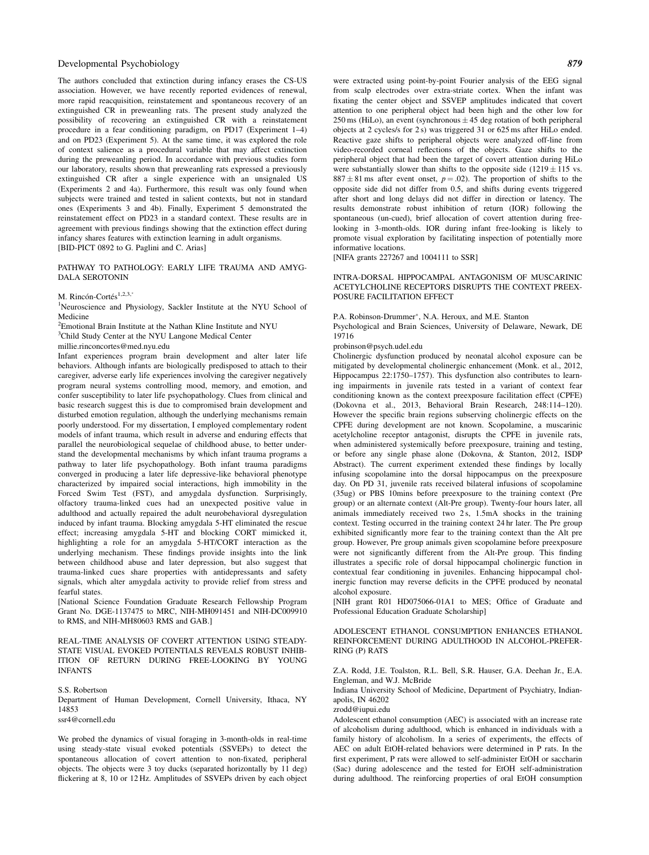The authors concluded that extinction during infancy erases the CS-US association. However, we have recently reported evidences of renewal, more rapid reacquisition, reinstatement and spontaneous recovery of an extinguished CR in preweanling rats. The present study analyzed the possibility of recovering an extinguished CR with a reinstatement procedure in a fear conditioning paradigm, on PD17 (Experiment 1–4) and on PD23 (Experiment 5). At the same time, it was explored the role of context salience as a procedural variable that may affect extinction during the preweanling period. In accordance with previous studies form our laboratory, results shown that preweanling rats expressed a previously extinguished CR after a single experience with an unsignaled US (Experiments 2 and 4a). Furthermore, this result was only found when subjects were trained and tested in salient contexts, but not in standard ones (Experiments 3 and 4b). Finally, Experiment 5 demonstrated the reinstatement effect on PD23 in a standard context. These results are in agreement with previous findings showing that the extinction effect during infancy shares features with extinction learning in adult organisms. [BID-PICT 0892 to G. Paglini and C. Arias]

# PATHWAY TO PATHOLOGY: EARLY LIFE TRAUMA AND AMYG-DALA SEROTONIN

M. Rincón-Cortés<sup>1,2,3,\*</sup>

<sup>1</sup>Neuroscience and Physiology, Sackler Institute at the NYU School of Medicine

2 Emotional Brain Institute at the Nathan Kline Institute and NYU

<sup>3</sup>Child Study Center at the NYU Langone Medical Center

millie.rinconcortes@med.nyu.edu

Infant experiences program brain development and alter later life behaviors. Although infants are biologically predisposed to attach to their caregiver, adverse early life experiences involving the caregiver negatively program neural systems controlling mood, memory, and emotion, and confer susceptibility to later life psychopathology. Clues from clinical and basic research suggest this is due to compromised brain development and disturbed emotion regulation, although the underlying mechanisms remain poorly understood. For my dissertation, I employed complementary rodent models of infant trauma, which result in adverse and enduring effects that parallel the neurobiological sequelae of childhood abuse, to better understand the developmental mechanisms by which infant trauma programs a pathway to later life psychopathology. Both infant trauma paradigms converged in producing a later life depressive-like behavioral phenotype characterized by impaired social interactions, high immobility in the Forced Swim Test (FST), and amygdala dysfunction. Surprisingly, olfactory trauma-linked cues had an unexpected positive value in adulthood and actually repaired the adult neurobehavioral dysregulation induced by infant trauma. Blocking amygdala 5-HT eliminated the rescue effect; increasing amygdala 5-HT and blocking CORT mimicked it, highlighting a role for an amygdala 5-HT/CORT interaction as the underlying mechanism. These findings provide insights into the link between childhood abuse and later depression, but also suggest that trauma-linked cues share properties with antidepressants and safety signals, which alter amygdala activity to provide relief from stress and fearful states.

[National Science Foundation Graduate Research Fellowship Program Grant No. DGE-1137475 to MRC, NIH-MH091451 and NIH-DC009910 to RMS, and NIH-MH80603 RMS and GAB.]

REAL-TIME ANALYSIS OF COVERT ATTENTION USING STEADY-STATE VISUAL EVOKED POTENTIALS REVEALS ROBUST INHIB-ITION OF RETURN DURING FREE-LOOKING BY YOUNG INFANTS

S.S. Robertson

Department of Human Development, Cornell University, Ithaca, NY 14853

ssr4@cornell.edu

We probed the dynamics of visual foraging in 3-month-olds in real-time using steady-state visual evoked potentials (SSVEPs) to detect the spontaneous allocation of covert attention to non-fixated, peripheral objects. The objects were 3 toy ducks (separated horizontally by 11 deg) flickering at 8, 10 or 12 Hz. Amplitudes of SSVEPs driven by each object were extracted using point-by-point Fourier analysis of the EEG signal from scalp electrodes over extra-striate cortex. When the infant was fixating the center object and SSVEP amplitudes indicated that covert attention to one peripheral object had been high and the other low for  $250 \text{ ms}$  (HiLo), an event (synchronous  $\pm 45$  deg rotation of both peripheral objects at 2 cycles/s for 2 s) was triggered 31 or 625 ms after HiLo ended. Reactive gaze shifts to peripheral objects were analyzed off-line from video-recorded corneal reflections of the objects. Gaze shifts to the peripheral object that had been the target of covert attention during HiLo were substantially slower than shifts to the opposite side  $(1219 \pm 115 \text{ vs.})$  $887 \pm 81$  ms after event onset,  $p = .02$ ). The proportion of shifts to the opposite side did not differ from 0.5, and shifts during events triggered after short and long delays did not differ in direction or latency. The results demonstrate robust inhibition of return (IOR) following the spontaneous (un-cued), brief allocation of covert attention during freelooking in 3-month-olds. IOR during infant free-looking is likely to promote visual exploration by facilitating inspection of potentially more informative locations.

[NIFA grants 227267 and 1004111 to SSR]

#### INTRA-DORSAL HIPPOCAMPAL ANTAGONISM OF MUSCARINIC ACETYLCHOLINE RECEPTORS DISRUPTS THE CONTEXT PREEX-POSURE FACILITATION EFFECT

#### P.A. Robinson-Drummer\*, N.A. Heroux, and M.E. Stanton

Psychological and Brain Sciences, University of Delaware, Newark, DE 19716

probinson@psych.udel.edu

Cholinergic dysfunction produced by neonatal alcohol exposure can be mitigated by developmental cholinergic enhancement (Monk. et al., 2012, Hippocampus 22:1750–1757). This dysfunction also contributes to learning impairments in juvenile rats tested in a variant of context fear conditioning known as the context preexposure facilitation effect (CPFE) (Dokovna et al., 2013, Behavioral Brain Research, 248:114–120). However the specific brain regions subserving cholinergic effects on the CPFE during development are not known. Scopolamine, a muscarinic acetylcholine receptor antagonist, disrupts the CPFE in juvenile rats, when administered systemically before preexposure, training and testing, or before any single phase alone (Dokovna, & Stanton, 2012, ISDP Abstract). The current experiment extended these findings by locally infusing scopolamine into the dorsal hippocampus on the preexposure day. On PD 31, juvenile rats received bilateral infusions of scopolamine (35ug) or PBS 10mins before preexposure to the training context (Pre group) or an alternate context (Alt-Pre group). Twenty-four hours later, all animals immediately received two 2 s, 1.5mA shocks in the training context. Testing occurred in the training context 24 hr later. The Pre group exhibited significantly more fear to the training context than the Alt pre group. However, Pre group animals given scopolamine before preexposure were not significantly different from the Alt-Pre group. This finding illustrates a specific role of dorsal hippocampal cholinergic function in contextual fear conditioning in juveniles. Enhancing hippocampal cholinergic function may reverse deficits in the CPFE produced by neonatal alcohol exposure.

[NIH grant R01 HD075066-01A1 to MES; Office of Graduate and Professional Education Graduate Scholarship]

ADOLESCENT ETHANOL CONSUMPTION ENHANCES ETHANOL REINFORCEMENT DURING ADULTHOOD IN ALCOHOL-PREFER-RING (P) RATS

Z.A. Rodd, J.E. Toalston, R.L. Bell, S.R. Hauser, G.A. Deehan Jr., E.A. Engleman, and W.J. McBride

Indiana University School of Medicine, Department of Psychiatry, Indianapolis, IN 46202

zrodd@iupui.edu

Adolescent ethanol consumption (AEC) is associated with an increase rate of alcoholism during adulthood, which is enhanced in individuals with a family history of alcoholism. In a series of experiments, the effects of AEC on adult EtOH-related behaviors were determined in P rats. In the first experiment, P rats were allowed to self-administer EtOH or saccharin (Sac) during adolescence and the tested for EtOH self-administration during adulthood. The reinforcing properties of oral EtOH consumption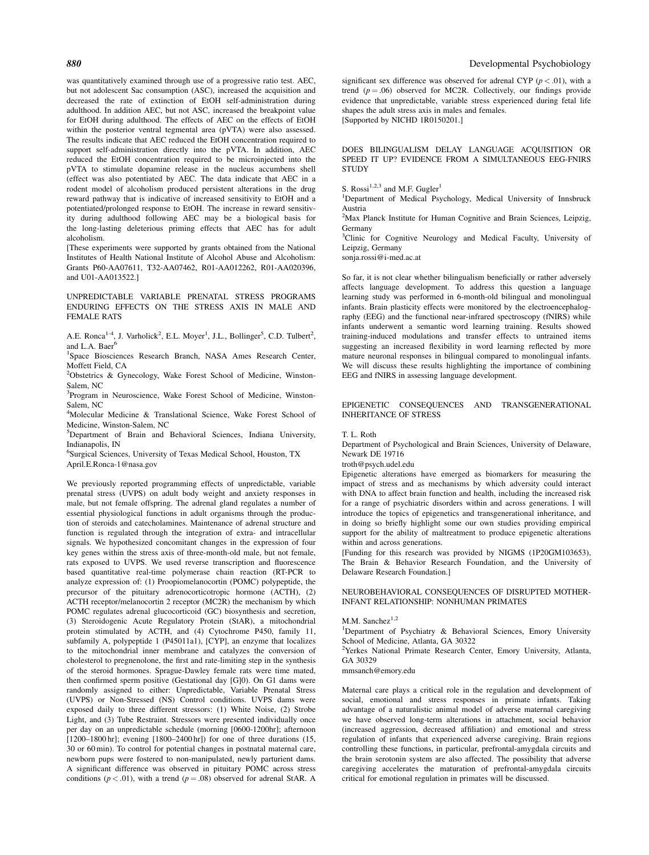was quantitatively examined through use of a progressive ratio test. AEC, but not adolescent Sac consumption (ASC), increased the acquisition and decreased the rate of extinction of EtOH self-administration during adulthood. In addition AEC, but not ASC, increased the breakpoint value for EtOH during adulthood. The effects of AEC on the effects of EtOH within the posterior ventral tegmental area (pVTA) were also assessed. The results indicate that AEC reduced the EtOH concentration required to support self-administration directly into the pVTA. In addition, AEC reduced the EtOH concentration required to be microinjected into the pVTA to stimulate dopamine release in the nucleus accumbens shell (effect was also potentiated by AEC. The data indicate that AEC in a rodent model of alcoholism produced persistent alterations in the drug reward pathway that is indicative of increased sensitivity to EtOH and a potentiated/prolonged response to EtOH. The increase in reward sensitivity during adulthood following AEC may be a biological basis for the long-lasting deleterious priming effects that AEC has for adult alcoholism.

[These experiments were supported by grants obtained from the National Institutes of Health National Institute of Alcohol Abuse and Alcoholism: Grants P60-AA07611, T32-AA07462, R01-AA012262, R01-AA020396, and U01-AA013522.]

UNPREDICTABLE VARIABLE PRENATAL STRESS PROGRAMS ENDURING EFFECTS ON THE STRESS AXIS IN MALE AND FEMALE RATS

A.E. Ronca<sup>1-4</sup>, J. Varholick<sup>2</sup>, E.L. Moyer<sup>1</sup>, J.L., Bollinger<sup>5</sup>, C.D. Tulbert<sup>2</sup>, and L.A. Baer<sup>6</sup>

1 Space Biosciences Research Branch, NASA Ames Research Center, Moffett Field, CA

2 Obstetrics & Gynecology, Wake Forest School of Medicine, Winston-Salem, NC

<sup>3</sup>Program in Neuroscience, Wake Forest School of Medicine, Winston-Salem, NC

4 Molecular Medicine & Translational Science, Wake Forest School of Medicine, Winston-Salem, NC

5 Department of Brain and Behavioral Sciences, Indiana University, Indianapolis, IN

6 Surgical Sciences, University of Texas Medical School, Houston, TX April.E.Ronca-1@nasa.gov

We previously reported programming effects of unpredictable, variable prenatal stress (UVPS) on adult body weight and anxiety responses in male, but not female offspring. The adrenal gland regulates a number of essential physiological functions in adult organisms through the production of steroids and catecholamines. Maintenance of adrenal structure and function is regulated through the integration of extra- and intracellular signals. We hypothesized concomitant changes in the expression of four key genes within the stress axis of three-month-old male, but not female, rats exposed to UVPS. We used reverse transcription and fluorescence based quantitative real-time polymerase chain reaction (RT-PCR to analyze expression of: (1) Proopiomelanocortin (POMC) polypeptide, the precursor of the pituitary adrenocorticotropic hormone (ACTH), (2) ACTH receptor/melanocortin 2 receptor (MC2R) the mechanism by which POMC regulates adrenal glucocorticoid (GC) biosynthesis and secretion, (3) Steroidogenic Acute Regulatory Protein (StAR), a mitochondrial protein stimulated by ACTH, and (4) Cytochrome P450, family 11, subfamily A, polypeptide 1 (P45011a1), [CYP], an enzyme that localizes to the mitochondrial inner membrane and catalyzes the conversion of cholesterol to pregnenolone, the first and rate-limiting step in the synthesis of the steroid hormones. Sprague-Dawley female rats were time mated, then confirmed sperm positive (Gestational day [G]0). On G1 dams were randomly assigned to either: Unpredictable, Variable Prenatal Stress (UVPS) or Non-Stressed (NS) Control conditions. UVPS dams were exposed daily to three different stressors: (1) White Noise, (2) Strobe Light, and (3) Tube Restraint. Stressors were presented individually once per day on an unpredictable schedule (morning [0600-1200hr]; afternoon [1200–1800 hr]; evening [1800–2400 hr]) for one of three durations (15, 30 or 60 min). To control for potential changes in postnatal maternal care, newborn pups were fostered to non-manipulated, newly parturient dams. A significant difference was observed in pituitary POMC across stress conditions ( $p < .01$ ), with a trend ( $p = .08$ ) observed for adrenal StAR. A

significant sex difference was observed for adrenal CYP ( $p < .01$ ), with a trend ( $p = .06$ ) observed for MC2R. Collectively, our findings provide evidence that unpredictable, variable stress experienced during fetal life shapes the adult stress axis in males and females. [Supported by NICHD 1R0150201.]

DOES BILINGUALISM DELAY LANGUAGE ACQUISITION OR SPEED IT UP? EVIDENCE FROM A SIMULTANEOUS EEG-FNIRS **STUDY** 

S. Rossi<sup>1,2,3</sup> and M.F. Gugler<sup>1</sup>

<sup>1</sup>Department of Medical Psychology, Medical University of Innsbruck Austria

<sup>2</sup>Max Planck Institute for Human Cognitive and Brain Sciences, Leipzig, Germany

<sup>3</sup>Clinic for Cognitive Neurology and Medical Faculty, University of Leipzig, Germany

sonja.rossi@i-med.ac.at

So far, it is not clear whether bilingualism beneficially or rather adversely affects language development. To address this question a language learning study was performed in 6-month-old bilingual and monolingual infants. Brain plasticity effects were monitored by the electroencephalography (EEG) and the functional near-infrared spectroscopy (fNIRS) while infants underwent a semantic word learning training. Results showed training-induced modulations and transfer effects to untrained items suggesting an increased flexibility in word learning reflected by more mature neuronal responses in bilingual compared to monolingual infants. We will discuss these results highlighting the importance of combining EEG and fNIRS in assessing language development.

# EPIGENETIC CONSEQUENCES AND TRANSGENERATIONAL INHERITANCE OF STRESS

#### T. L. Roth

Department of Psychological and Brain Sciences, University of Delaware, Newark DE 19716

troth@psych.udel.edu

Epigenetic alterations have emerged as biomarkers for measuring the impact of stress and as mechanisms by which adversity could interact with DNA to affect brain function and health, including the increased risk for a range of psychiatric disorders within and across generations. I will introduce the topics of epigenetics and transgenerational inheritance, and in doing so briefly highlight some our own studies providing empirical support for the ability of maltreatment to produce epigenetic alterations within and across generations.

[Funding for this research was provided by NIGMS (1P20GM103653), The Brain & Behavior Research Foundation, and the University of Delaware Research Foundation.]

# NEUROBEHAVIORAL CONSEQUENCES OF DISRUPTED MOTHER-INFANT RELATIONSHIP: NONHUMAN PRIMATES

# M.M. Sanchez<sup>1,2</sup>

<sup>1</sup>Department of Psychiatry & Behavioral Sciences, Emory University School of Medicine, Atlanta, GA 30322

<sup>2</sup>Yerkes National Primate Research Center, Emory University, Atlanta, GA 30329

mmsanch@emory.edu

Maternal care plays a critical role in the regulation and development of social, emotional and stress responses in primate infants. Taking advantage of a naturalistic animal model of adverse maternal caregiving we have observed long-term alterations in attachment, social behavior (increased aggression, decreased affiliation) and emotional and stress regulation of infants that experienced adverse caregiving. Brain regions controlling these functions, in particular, prefrontal-amygdala circuits and the brain serotonin system are also affected. The possibility that adverse caregiving accelerates the maturation of prefrontal-amygdala circuits critical for emotional regulation in primates will be discussed.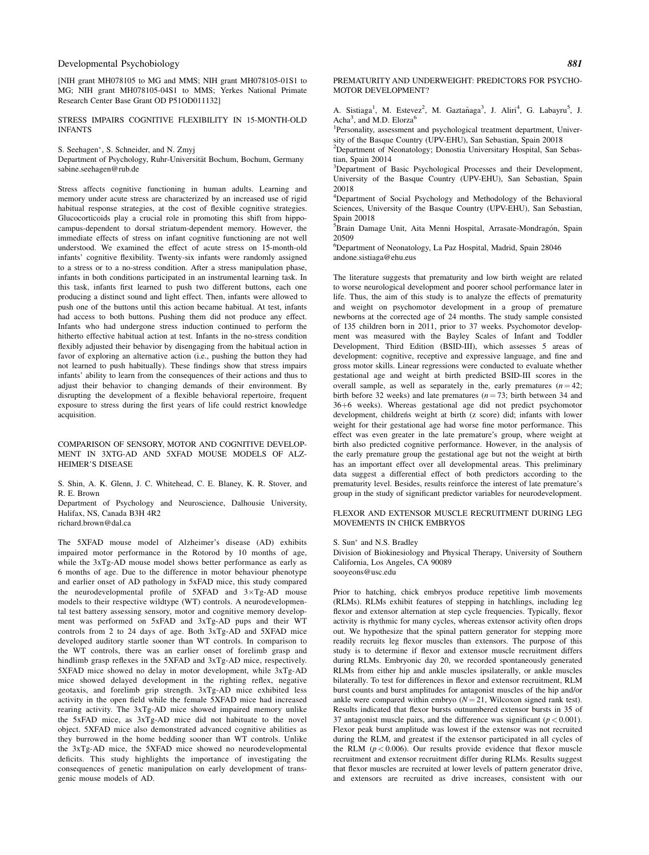[NIH grant MH078105 to MG and MMS; NIH grant MH078105-01S1 to MG; NIH grant MH078105-04S1 to MMS; Yerkes National Primate Research Center Base Grant OD P51OD011132]

STRESS IMPAIRS COGNITIVE FLEXIBILITY IN 15-MONTH-OLD INFANTS

S. Seehagen\*, S. Schneider, and N. Zmyj

Department of Psychology, Ruhr-Universität Bochum, Bochum, Germany sabine.seehagen@rub.de

Stress affects cognitive functioning in human adults. Learning and memory under acute stress are characterized by an increased use of rigid habitual response strategies, at the cost of flexible cognitive strategies. Glucocorticoids play a crucial role in promoting this shift from hippocampus-dependent to dorsal striatum-dependent memory. However, the immediate effects of stress on infant cognitive functioning are not well understood. We examined the effect of acute stress on 15-month-old infants' cognitive flexibility. Twenty-six infants were randomly assigned to a stress or to a no-stress condition. After a stress manipulation phase, infants in both conditions participated in an instrumental learning task. In this task, infants first learned to push two different buttons, each one producing a distinct sound and light effect. Then, infants were allowed to push one of the buttons until this action became habitual. At test, infants had access to both buttons. Pushing them did not produce any effect. Infants who had undergone stress induction continued to perform the hitherto effective habitual action at test. Infants in the no-stress condition flexibly adjusted their behavior by disengaging from the habitual action in favor of exploring an alternative action (i.e., pushing the button they had not learned to push habitually). These findings show that stress impairs infants' ability to learn from the consequences of their actions and thus to adjust their behavior to changing demands of their environment. By disrupting the development of a flexible behavioral repertoire, frequent exposure to stress during the first years of life could restrict knowledge acquisition.

COMPARISON OF SENSORY, MOTOR AND COGNITIVE DEVELOP-MENT IN 3XTG-AD AND 5XFAD MOUSE MODELS OF ALZ-HEIMER'S DISEASE

S. Shin, A. K. Glenn, J. C. Whitehead, C. E. Blaney, K. R. Stover, and R. E. Brown

Department of Psychology and Neuroscience, Dalhousie University, Halifax, NS, Canada B3H 4R2 richard.brown@dal.ca

The 5XFAD mouse model of Alzheimer's disease (AD) exhibits impaired motor performance in the Rotorod by 10 months of age, while the 3xTg-AD mouse model shows better performance as early as 6 months of age. Due to the difference in motor behaviour phenotype and earlier onset of AD pathology in 5xFAD mice, this study compared the neurodevelopmental profile of  $5XFAD$  and  $3\times Tg-AD$  mouse models to their respective wildtype (WT) controls. A neurodevelopmental test battery assessing sensory, motor and cognitive memory development was performed on 5xFAD and 3xTg-AD pups and their WT controls from 2 to 24 days of age. Both 3xTg-AD and 5XFAD mice developed auditory startle sooner than WT controls. In comparison to the WT controls, there was an earlier onset of forelimb grasp and hindlimb grasp reflexes in the 5XFAD and 3xTg-AD mice, respectively. 5XFAD mice showed no delay in motor development, while 3xTg-AD mice showed delayed development in the righting reflex, negative geotaxis, and forelimb grip strength. 3xTg-AD mice exhibited less activity in the open field while the female 5XFAD mice had increased rearing activity. The 3xTg-AD mice showed impaired memory unlike the 5xFAD mice, as 3xTg-AD mice did not habituate to the novel object. 5XFAD mice also demonstrated advanced cognitive abilities as they burrowed in the home bedding sooner than WT controls. Unlike the 3xTg-AD mice, the 5XFAD mice showed no neurodevelopmental deficits. This study highlights the importance of investigating the consequences of genetic manipulation on early development of transgenic mouse models of AD.

PREMATURITY AND UNDERWEIGHT: PREDICTORS FOR PSYCHO-MOTOR DEVELOPMENT?

A. Sistiaga<sup>1</sup>, M. Estevez<sup>2</sup>, M. Gaztañaga<sup>3</sup>, J. Aliri<sup>4</sup>, G. Labayru<sup>5</sup>, J. Acha<sup>3</sup>, and M.D. Elorza<sup>6</sup>

<sup>1</sup>Personality, assessment and psychological treatment department, University of the Basque Country (UPV-EHU), San Sebastian, Spain 20018

<sup>2</sup>Department of Neonatology; Donostia Universitary Hospital, San Sebastian, Spain 20014

<sup>3</sup>Department of Basic Psychological Processes and their Development, University of the Basque Country (UPV-EHU), San Sebastian, Spain 20018

4 Department of Social Psychology and Methodology of the Behavioral Sciences, University of the Basque Country (UPV-EHU), San Sebastian, Spain 20018

<sup>5</sup> Brain Damage Unit, Aita Menni Hospital, Arrasate-Mondragón, Spain 20509

6 Department of Neonatology, La Paz Hospital, Madrid, Spain 28046 andone.sistiaga@ehu.eus

The literature suggests that prematurity and low birth weight are related to worse neurological development and poorer school performance later in life. Thus, the aim of this study is to analyze the effects of prematurity and weight on psychomotor development in a group of premature newborns at the corrected age of 24 months. The study sample consisted of 135 children born in 2011, prior to 37 weeks. Psychomotor development was measured with the Bayley Scales of Infant and Toddler Development, Third Edition (BSID-III), which assesses 5 areas of development: cognitive, receptive and expressive language, and fine and gross motor skills. Linear regressions were conducted to evaluate whether gestational age and weight at birth predicted BSID-III scores in the overall sample, as well as separately in the, early prematures  $(n = 42;$ birth before 32 weeks) and late prematures  $(n = 73;$  birth between 34 and  $36+6$  weeks). Whereas gestational age did not predict psychomotor development, childrens weight at birth (z score) did; infants with lower weight for their gestational age had worse fine motor performance. This effect was even greater in the late premature's group, where weight at birth also predicted cognitive performance. However, in the analysis of the early premature group the gestational age but not the weight at birth has an important effect over all developmental areas. This preliminary data suggest a differential effect of both predictors according to the prematurity level. Besides, results reinforce the interest of late premature's group in the study of significant predictor variables for neurodevelopment.

#### FLEXOR AND EXTENSOR MUSCLE RECRUITMENT DURING LEG MOVEMENTS IN CHICK EMBRYOS

# S. Sun<sup>\*</sup> and N.S. Bradley

Division of Biokinesiology and Physical Therapy, University of Southern California, Los Angeles, CA 90089

sooyeons@usc.edu

Prior to hatching, chick embryos produce repetitive limb movements (RLMs). RLMs exhibit features of stepping in hatchlings, including leg flexor and extensor alternation at step cycle frequencies. Typically, flexor activity is rhythmic for many cycles, whereas extensor activity often drops out. We hypothesize that the spinal pattern generator for stepping more readily recruits leg flexor muscles than extensors. The purpose of this study is to determine if flexor and extensor muscle recruitment differs during RLMs. Embryonic day 20, we recorded spontaneously generated RLMs from either hip and ankle muscles ipsilaterally, or ankle muscles bilaterally. To test for differences in flexor and extensor recruitment, RLM burst counts and burst amplitudes for antagonist muscles of the hip and/or ankle were compared within embryo  $(N = 21$ , Wilcoxon signed rank test). Results indicated that flexor bursts outnumbered extensor bursts in 35 of 37 antagonist muscle pairs, and the difference was significant ( $p < 0.001$ ). Flexor peak burst amplitude was lowest if the extensor was not recruited during the RLM, and greatest if the extensor participated in all cycles of the RLM  $(p < 0.006)$ . Our results provide evidence that flexor muscle recruitment and extensor recruitment differ during RLMs. Results suggest that flexor muscles are recruited at lower levels of pattern generator drive, and extensors are recruited as drive increases, consistent with our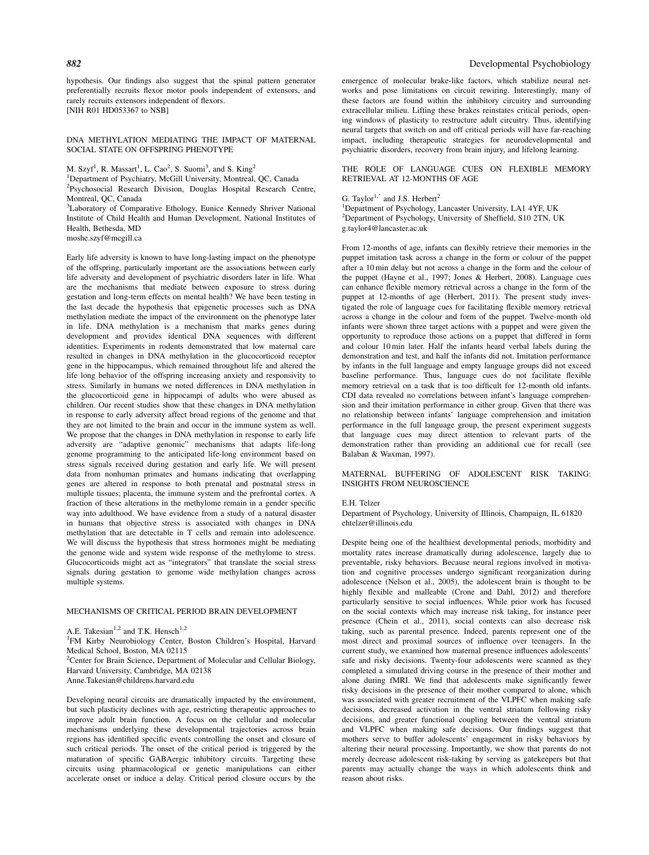hypothesis. Our findings also suggest that the spinal pattern generator preferentially recruits flexor motor pools independent of extensors, and rarely recruits extensors independent of flexors. [NIH R01 HD053367 to NSB]

#### DNA METHYLATION MEDIATING THE IMPACT OF MATERNAL SOCIAL STATE ON OFFSPRING PHENOTYPE

M. Szyf<sup>1</sup>, R. Massart<sup>1</sup>, L. Cao<sup>2</sup>, S. Suomi<sup>3</sup>, and S. King<sup>2</sup> <sup>1</sup>Department of Psychiatry, McGill University, Montreal, QC, Canada 2 Psychosocial Research Division, Douglas Hospital Research Centre, Montreal, QC, Canada

<sup>3</sup>Laboratory of Comparative Ethology, Eunice Kennedy Shriver National Institute of Child Health and Human Development, National Institutes of Health, Bethesda, MD moshe.szyf@mcgill.ca

Early life adversity is known to have long-lasting impact on the phenotype of the offspring, particularly important are the associations between early life adversity and development of psychiatric disorders later in life. What are the mechanisms that mediate between exposure to stress during gestation and long-term effects on mental health? We have been testing in the last decade the hypothesis that epigenetic processes such as DNA methylation mediate the impact of the environment on the phenotype later in life. DNA methylation is a mechanism that marks genes during development and provides identical DNA sequences with different identities. Experiments in rodents demonstrated that low maternal care resulted in changes in DNA methylation in the glucocorticoid receptor gene in the hippocampus, which remained throughout life and altered the life long behavior of the offspring increasing anxiety and responsivity to stress. Similarly in humans we noted differences in DNA methylation in the glucocorticoid gene in hippocampi of adults who were abused as children. Our recent studies show that these changes in DNA methylation in response to early adversity affect broad regions of the genome and that they are not limited to the brain and occur in the immune system as well. We propose that the changes in DNA methylation in response to early life adversity are "adaptive genomic" mechanisms that adapts life-long genome programming to the anticipated life-long environment based on stress signals received during gestation and early life. We will present data from nonhuman primates and humans indicating that overlapping genes are altered in response to both prenatal and postnatal stress in multiple tissues; placenta, the immune system and the prefrontal cortex. A fraction of these alterations in the methylome remain in a gender specific way into adulthood. We have evidence from a study of a natural disaster in humans that objective stress is associated with changes in DNA methylation that are detectable in T cells and remain into adolescence. We will discuss the hypothesis that stress hormones might be mediating the genome wide and system wide response of the methylome to stress. Glucocorticoids might act as "integrators" that translate the social stress signals during gestation to genome wide methylation changes across multiple systems.

# MECHANISMS OF CRITICAL PERIOD BRAIN DEVELOPMENT

A.E. Takesian<sup>1,2</sup> and T.K. Hensch<sup>1,2</sup>

<sup>1</sup>FM Kirby Neurobiology Center, Boston Children's Hospital, Harvard Medical School, Boston, MA 02115

<sup>2</sup>Center for Brain Science, Department of Molecular and Cellular Biology, Harvard University, Cambridge, MA 02138

Anne.Takesian@childrens.harvard.edu

Developing neural circuits are dramatically impacted by the environment, but such plasticity declines with age, restricting therapeutic approaches to improve adult brain function. A focus on the cellular and molecular mechanisms underlying these developmental trajectories across brain regions has identified specific events controlling the onset and closure of such critical periods. The onset of the critical period is triggered by the maturation of specific GABAergic inhibitory circuits. Targeting these circuits using pharmacological or genetic manipulations can either accelerate onset or induce a delay. Critical period closure occurs by the emergence of molecular brake-like factors, which stabilize neural networks and pose limitations on circuit rewiring. Interestingly, many of these factors are found within the inhibitory circuitry and surrounding extracellular milieu. Lifting these brakes reinstates critical periods, opening windows of plasticity to restructure adult circuitry. Thus, identifying neural targets that switch on and off critical periods will have far-reaching impact, including therapeutic strategies for neurodevelopmental and psychiatric disorders, recovery from brain injury, and lifelong learning.

# THE ROLE OF LANGUAGE CUES ON FLEXIBLE MEMORY RETRIEVAL AT 12-MONTHS OF AGE

# G. Taylor<sup>1,\*</sup> and J.S. Herbert<sup>2</sup>

<sup>1</sup>Department of Psychology, Lancaster University, LA1 4YF, UK 2 Department of Psychology, University of Sheffield, S10 2TN, UK g.taylor4@lancaster.ac.uk

From 12-months of age, infants can flexibly retrieve their memories in the puppet imitation task across a change in the form or colour of the puppet after a 10 min delay but not across a change in the form and the colour of the puppet (Hayne et al., 1997; Jones & Herbert, 2008). Language cues can enhance flexible memory retrieval across a change in the form of the puppet at 12-months of age (Herbert, 2011). The present study investigated the role of language cues for facilitating flexible memory retrieval across a change in the colour and form of the puppet. Twelve-month old infants were shown three target actions with a puppet and were given the opportunity to reproduce those actions on a puppet that differed in form and colour 10 min later. Half the infants heard verbal labels during the demonstration and test, and half the infants did not. Imitation performance by infants in the full language and empty language groups did not exceed baseline performance. Thus, language cues do not facilitate flexible memory retrieval on a task that is too difficult for 12-month old infants. CDI data revealed no correlations between infant's language comprehension and their imitation performance in either group. Given that there was no relationship between infants' language comprehension and imitation performance in the full language group, the present experiment suggests that language cues may direct attention to relevant parts of the demonstration rather than providing an additional cue for recall (see Balaban & Waxman, 1997).

MATERNAL BUFFERING OF ADOLESCENT RISK TAKING: INSIGHTS FROM NEUROSCIENCE

# E.H. Telzer

Department of Psychology, University of Illinois, Champaign, IL 61820 ehtelzer@illinois.edu

Despite being one of the healthiest developmental periods, morbidity and mortality rates increase dramatically during adolescence, largely due to preventable, risky behaviors. Because neural regions involved in motivation and cognitive processes undergo significant reorganization during adolescence (Nelson et al., 2005), the adolescent brain is thought to be highly flexible and malleable (Crone and Dahl, 2012) and therefore particularly sensitive to social influences. While prior work has focused on the social contexts which may increase risk taking, for instance peer presence (Chein et al., 2011), social contexts can also decrease risk taking, such as parental presence. Indeed, parents represent one of the most direct and proximal sources of influence over teenagers. In the current study, we examined how maternal presence influences adolescents' safe and risky decisions. Twenty-four adolescents were scanned as they completed a simulated driving course in the presence of their mother and alone during fMRI. We find that adolescents make significantly fewer risky decisions in the presence of their mother compared to alone, which was associated with greater recruitment of the VLPFC when making safe decisions, decreased activation in the ventral striatum following risky decisions, and greater functional coupling between the ventral striatum and VLPFC when making safe decisions. Our findings suggest that mothers serve to buffer adolescents' engagement in risky behaviors by altering their neural processing. Importantly, we show that parents do not merely decrease adolescent risk-taking by serving as gatekeepers but that parents may actually change the ways in which adolescents think and reason about risks.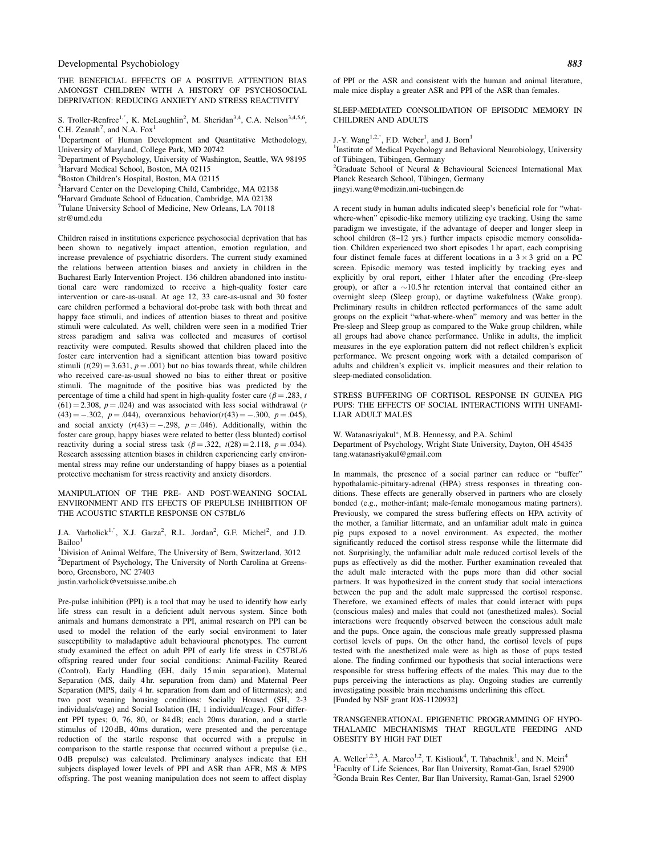THE BENEFICIAL EFFECTS OF A POSITIVE ATTENTION BIAS AMONGST CHILDREN WITH A HISTORY OF PSYCHOSOCIAL DEPRIVATION: REDUCING ANXIETY AND STRESS REACTIVITY

S. Troller-Renfree<sup>1,\*</sup>, K. McLaughlin<sup>2</sup>, M. Sheridan<sup>3,4</sup>, C.A. Nelson<sup>3,4,5,6</sup>, C.H. Zeanah<sup>7</sup>, and N.A.  $Fox<sup>1</sup>$ 

<sup>1</sup>Department of Human Development and Quantitative Methodology, University of Maryland, College Park, MD 20742

<sup>2</sup>Department of Psychology, University of Washington, Seattle, WA 98195 3 Harvard Medical School, Boston, MA 02115

4 Boston Children's Hospital, Boston, MA 02115

<sup>5</sup>Harvard Center on the Developing Child, Cambridge, MA 02138

6 Harvard Graduate School of Education, Cambridge, MA 02138

7 Tulane University School of Medicine, New Orleans, LA 70118

str@umd.edu

Children raised in institutions experience psychosocial deprivation that has been shown to negatively impact attention, emotion regulation, and increase prevalence of psychiatric disorders. The current study examined the relations between attention biases and anxiety in children in the Bucharest Early Intervention Project. 136 children abandoned into institutional care were randomized to receive a high-quality foster care intervention or care-as-usual. At age 12, 33 care-as-usual and 30 foster care children performed a behavioral dot-probe task with both threat and happy face stimuli, and indices of attention biases to threat and positive stimuli were calculated. As well, children were seen in a modified Trier stress paradigm and saliva was collected and measures of cortisol reactivity were computed. Results showed that children placed into the foster care intervention had a significant attention bias toward positive stimuli  $(t(29) = 3.631, p = .001)$  but no bias towards threat, while children who received care-as-usual showed no bias to either threat or positive stimuli. The magnitude of the positive bias was predicted by the percentage of time a child had spent in high-quality foster care ( $\beta$  = .283, t  $(61) = 2.308$ ,  $p = .024$ ) and was associated with less social withdrawal (r  $(43) = -.302, p = .044$ , overanxious behavior( $r(43) = -.300, p = .045$ ), and social anxiety  $(r(43) = -.298, p = .046)$ . Additionally, within the foster care group, happy biases were related to better (less blunted) cortisol reactivity during a social stress task  $(\beta = .322, t(28) = 2.118, p = .034)$ . Research assessing attention biases in children experiencing early environmental stress may refine our understanding of happy biases as a potential protective mechanism for stress reactivity and anxiety disorders.

# MANIPULATION OF THE PRE- AND POST-WEANING SOCIAL ENVIRONMENT AND ITS EFECTS OF PREPULSE INHIBITION OF THE ACOUSTIC STARTLE RESPONSE ON C57BL/6

J.A. Varholick<sup>1,\*</sup>, X.J. Garza<sup>2</sup>, R.L. Jordan<sup>2</sup>, G.F. Michel<sup>2</sup>, and J.D.  $Bailoo<sup>1</sup>$ 

<sup>1</sup>Division of Animal Welfare, The University of Bern, Switzerland, 3012 <sup>2</sup>Department of Psychology, The University of North Carolina at Greensboro, Greensboro, NC 27403

justin.varholick@vetsuisse.unibe.ch

Pre-pulse inhibition (PPI) is a tool that may be used to identify how early life stress can result in a deficient adult nervous system. Since both animals and humans demonstrate a PPI, animal research on PPI can be used to model the relation of the early social environment to later susceptibility to maladaptive adult behavioural phenotypes. The current study examined the effect on adult PPI of early life stress in C57BL/6 offspring reared under four social conditions: Animal-Facility Reared (Control), Early Handling (EH, daily 15 min separation), Maternal Separation (MS, daily 4 hr. separation from dam) and Maternal Peer Separation (MPS, daily 4 hr. separation from dam and of littermates); and two post weaning housing conditions: Socially Housed (SH, 2-3 individuals/cage) and Social Isolation (IH, 1 individual/cage). Four different PPI types; 0, 76, 80, or 84 dB; each 20ms duration, and a startle stimulus of 120 dB, 40ms duration, were presented and the percentage reduction of the startle response that occurred with a prepulse in comparison to the startle response that occurred without a prepulse (i.e., 0 dB prepulse) was calculated. Preliminary analyses indicate that EH subjects displayed lower levels of PPI and ASR than AFR, MS & MPS offspring. The post weaning manipulation does not seem to affect display

of PPI or the ASR and consistent with the human and animal literature, male mice display a greater ASR and PPI of the ASR than females.

SLEEP-MEDIATED CONSOLIDATION OF EPISODIC MEMORY IN CHILDREN AND ADULTS

J.-Y. Wang<sup>1,2,\*</sup>, F.D. Weber<sup>1</sup>, and J. Born<sup>1</sup>

<sup>1</sup>Institute of Medical Psychology and Behavioral Neurobiology, University of Tübingen, Tübingen, Germany

 ${}^{2}$ Graduate School of Neural & Behavioural Sciences| International Max Planck Research School, Tübingen, Germany

jingyi.wang@medizin.uni-tuebingen.de

A recent study in human adults indicated sleep's beneficial role for "whatwhere-when" episodic-like memory utilizing eye tracking. Using the same paradigm we investigate, if the advantage of deeper and longer sleep in school children (8–12 yrs.) further impacts episodic memory consolidation. Children experienced two short episodes 1 hr apart, each comprising four distinct female faces at different locations in a  $3 \times 3$  grid on a PC screen. Episodic memory was tested implicitly by tracking eyes and explicitly by oral report, either 1 hlater after the encoding (Pre-sleep group), or after a  $\sim$ 10.5 hr retention interval that contained either an overnight sleep (Sleep group), or daytime wakefulness (Wake group). Preliminary results in children reflected performances of the same adult groups on the explicit "what-where-when" memory and was better in the Pre-sleep and Sleep group as compared to the Wake group children, while all groups had above chance performance. Unlike in adults, the implicit measures in the eye exploration pattern did not reflect children's explicit performance. We present ongoing work with a detailed comparison of adults and children's explicit vs. implicit measures and their relation to sleep-mediated consolidation.

# STRESS BUFFERING OF CORTISOL RESPONSE IN GUINEA PIG PUPS: THE EFFECTS OF SOCIAL INTERACTIONS WITH UNFAMI-LIAR ADULT MALES

# W. Watanasriyakul\*, M.B. Hennessy, and P.A. Schiml Department of Psychology, Wright State University, Dayton, OH 45435 tang.watanasriyakul@gmail.com

In mammals, the presence of a social partner can reduce or "buffer" hypothalamic-pituitary-adrenal (HPA) stress responses in threating conditions. These effects are generally observed in partners who are closely bonded (e.g., mother-infant; male-female monogamous mating partners). Previously, we compared the stress buffering effects on HPA activity of the mother, a familiar littermate, and an unfamiliar adult male in guinea pig pups exposed to a novel environment. As expected, the mother significantly reduced the cortisol stress response while the littermate did not. Surprisingly, the unfamiliar adult male reduced cortisol levels of the pups as effectively as did the mother. Further examination revealed that the adult male interacted with the pups more than did other social partners. It was hypothesized in the current study that social interactions between the pup and the adult male suppressed the cortisol response. Therefore, we examined effects of males that could interact with pups (conscious males) and males that could not (anesthetized males). Social interactions were frequently observed between the conscious adult male and the pups. Once again, the conscious male greatly suppressed plasma cortisol levels of pups. On the other hand, the cortisol levels of pups tested with the anesthetized male were as high as those of pups tested alone. The finding confirmed our hypothesis that social interactions were responsible for stress buffering effects of the males. This may due to the pups perceiving the interactions as play. Ongoing studies are currently investigating possible brain mechanisms underlining this effect. [Funded by NSF grant IOS-1120932]

# TRANSGENERATIONAL EPIGENETIC PROGRAMMING OF HYPO-THALAMIC MECHANISMS THAT REGULATE FEEDING AND OBESITY BY HIGH FAT DIET

A. Weller<sup>1,2,3</sup>, A. Marco<sup>1,2</sup>, T. Kisliouk<sup>4</sup>, T. Tabachnik<sup>1</sup>, and N. Meiri<sup>4</sup> <sup>1</sup>Faculty of Life Sciences, Bar Ilan University, Ramat-Gan, Israel 52900 2 Gonda Brain Res Center, Bar Ilan University, Ramat-Gan, Israel 52900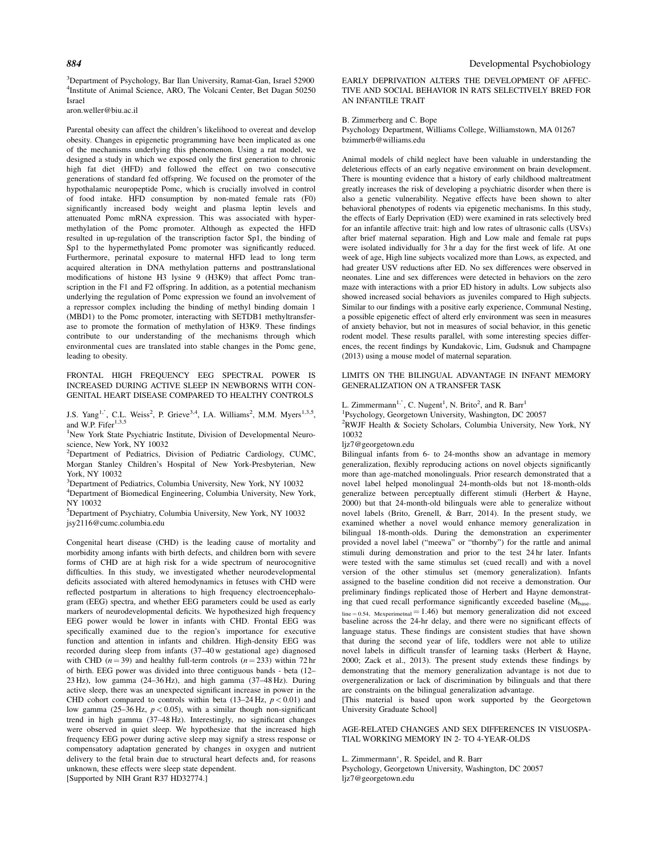<sup>3</sup>Department of Psychology, Bar Ilan University, Ramat-Gan, Israel 52900 4 Institute of Animal Science, ARO, The Volcani Center, Bet Dagan 50250 Israel

aron.weller@biu.ac.il

Parental obesity can affect the children's likelihood to overeat and develop obesity. Changes in epigenetic programming have been implicated as one of the mechanisms underlying this phenomenon. Using a rat model, we designed a study in which we exposed only the first generation to chronic high fat diet (HFD) and followed the effect on two consecutive generations of standard fed offspring. We focused on the promoter of the hypothalamic neuropeptide Pomc, which is crucially involved in control of food intake. HFD consumption by non-mated female rats (F0) significantly increased body weight and plasma leptin levels and attenuated Pomc mRNA expression. This was associated with hypermethylation of the Pomc promoter. Although as expected the HFD resulted in up-regulation of the transcription factor Sp1, the binding of Sp1 to the hypermethylated Pomc promoter was significantly reduced. Furthermore, perinatal exposure to maternal HFD lead to long term acquired alteration in DNA methylation patterns and posttranslational modifications of histone H3 lysine 9 (H3K9) that affect Pomc transcription in the F1 and F2 offspring. In addition, as a potential mechanism underlying the regulation of Pomc expression we found an involvement of a repressor complex including the binding of methyl binding domain 1 (MBD1) to the Pomc promoter, interacting with SETDB1 methyltransferase to promote the formation of methylation of H3K9. These findings contribute to our understanding of the mechanisms through which environmental cues are translated into stable changes in the Pomc gene, leading to obesity.

FRONTAL HIGH FREQUENCY EEG SPECTRAL POWER IS INCREASED DURING ACTIVE SLEEP IN NEWBORNS WITH CON-GENITAL HEART DISEASE COMPARED TO HEALTHY CONTROLS

J.S. Yang<sup>1,\*</sup>, C.L. Weiss<sup>2</sup>, P. Grieve<sup>3,4</sup>, I.A. Williams<sup>2</sup>, M.M. Myers<sup>1,3,5</sup>, and W.P. Fifer $1,3,5$ 

<sup>1</sup>New York State Psychiatric Institute, Division of Developmental Neuroscience, New York, NY 10032

<sup>2</sup>Department of Pediatrics, Division of Pediatric Cardiology, CUMC, Morgan Stanley Children's Hospital of New York-Presbyterian, New York, NY 10032

3 Department of Pediatrics, Columbia University, New York, NY 10032

4 Department of Biomedical Engineering, Columbia University, New York, NY 10032

5 Department of Psychiatry, Columbia University, New York, NY 10032 jsy2116@cumc.columbia.edu

Congenital heart disease (CHD) is the leading cause of mortality and morbidity among infants with birth defects, and children born with severe forms of CHD are at high risk for a wide spectrum of neurocognitive difficulties. In this study, we investigated whether neurodevelopmental deficits associated with altered hemodynamics in fetuses with CHD were reflected postpartum in alterations to high frequency electroencephalogram (EEG) spectra, and whether EEG parameters could be used as early markers of neurodevelopmental deficits. We hypothesized high frequency EEG power would be lower in infants with CHD. Frontal EEG was specifically examined due to the region's importance for executive function and attention in infants and children. High-density EEG was recorded during sleep from infants (37–40 w gestational age) diagnosed with CHD  $(n = 39)$  and healthy full-term controls  $(n = 233)$  within 72 hr of birth. EEG power was divided into three contiguous bands - beta (12– 23 Hz), low gamma (24–36 Hz), and high gamma (37–48 Hz). During active sleep, there was an unexpected significant increase in power in the CHD cohort compared to controls within beta  $(13-24 \text{ Hz}, p < 0.01)$  and low gamma (25–36 Hz,  $p < 0.05$ ), with a similar though non-significant trend in high gamma (37–48 Hz). Interestingly, no significant changes were observed in quiet sleep. We hypothesize that the increased high frequency EEG power during active sleep may signify a stress response or compensatory adaptation generated by changes in oxygen and nutrient delivery to the fetal brain due to structural heart defects and, for reasons unknown, these effects were sleep state dependent. [Supported by NIH Grant R37 HD32774.]

EARLY DEPRIVATION ALTERS THE DEVELOPMENT OF AFFEC-TIVE AND SOCIAL BEHAVIOR IN RATS SELECTIVELY BRED FOR AN INFANTILE TRAIT

B. Zimmerberg and C. Bope

Psychology Department, Williams College, Williamstown, MA 01267 bzimmerb@williams.edu

Animal models of child neglect have been valuable in understanding the deleterious effects of an early negative environment on brain development. There is mounting evidence that a history of early childhood maltreatment greatly increases the risk of developing a psychiatric disorder when there is also a genetic vulnerability. Negative effects have been shown to alter behavioral phenotypes of rodents via epigenetic mechanisms. In this study, the effects of Early Deprivation (ED) were examined in rats selectively bred for an infantile affective trait: high and low rates of ultrasonic calls (USVs) after brief maternal separation. High and Low male and female rat pups were isolated individually for 3 hr a day for the first week of life. At one week of age, High line subjects vocalized more than Lows, as expected, and had greater USV reductions after ED. No sex differences were observed in neonates. Line and sex differences were detected in behaviors on the zero maze with interactions with a prior ED history in adults. Low subjects also showed increased social behaviors as juveniles compared to High subjects. Similar to our findings with a positive early experience, Communal Nesting, a possible epigenetic effect of alterd erly environment was seen in measures of anxiety behavior, but not in measures of social behavior, in this genetic rodent model. These results parallel, with some interesting species differences, the recent findings by Kundakovic, Lim, Gudsnuk and Champagne (2013) using a mouse model of maternal separation.

LIMITS ON THE BILINGUAL ADVANTAGE IN INFANT MEMORY GENERALIZATION ON A TRANSFER TASK

L. Zimmermann<sup>1,\*</sup>, C. Nugent<sup>1</sup>, N. Brito<sup>2</sup>, and R. Barr<sup>1</sup>

1 Psychology, Georgetown University, Washington, DC 20057

2 RWJF Health & Society Scholars, Columbia University, New York, NY 10032

ljz7@georgetown.edu

Bilingual infants from 6- to 24-months show an advantage in memory generalization, flexibly reproducing actions on novel objects significantly more than age-matched monolinguals. Prior research demonstrated that a novel label helped monolingual 24-month-olds but not 18-month-olds generalize between perceptually different stimuli (Herbert & Hayne, 2000) but that 24-month-old bilinguals were able to generalize without novel labels (Brito, Grenell, & Barr, 2014). In the present study, we examined whether a novel would enhance memory generalization in bilingual 18-month-olds. During the demonstration an experimenter provided a novel label ("meewa" or "thornby") for the rattle and animal stimuli during demonstration and prior to the test 24 hr later. Infants were tested with the same stimulus set (cued recall) and with a novel version of the other stimulus set (memory generalization). Infants assigned to the baseline condition did not receive a demonstration. Our preliminary findings replicated those of Herbert and Hayne demonstrating that cued recall performance significantly exceeded baseline (Mbase $line = 0.54$ , Mexperimetnal = 1.46) but memory generalization did not exceed baseline across the 24-hr delay, and there were no significant effects of language status. These findings are consistent studies that have shown that during the second year of life, toddlers were not able to utilize novel labels in difficult transfer of learning tasks (Herbert & Hayne, 2000; Zack et al., 2013). The present study extends these findings by demonstrating that the memory generalization advantage is not due to overgeneralization or lack of discrimination by bilinguals and that there are constraints on the bilingual generalization advantage.

[This material is based upon work supported by the Georgetown University Graduate School]

AGE-RELATED CHANGES AND SEX DIFFERENCES IN VISUOSPA-TIAL WORKING MEMORY IN 2- TO 4-YEAR-OLDS

L. Zimmermann\*, R. Speidel, and R. Barr

Psychology, Georgetown University, Washington, DC 20057 liz7@georgetown.edu